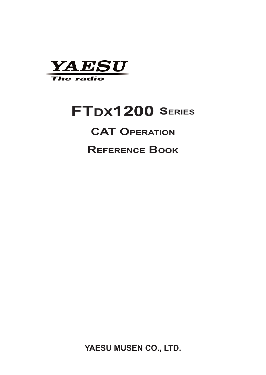

# **FTDX1200 Series**

#### **CAT Operation**

**Reference Book**

**YAESU MUSEN CO., LTD.**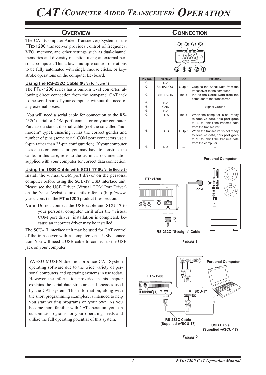#### **Overview**

The CAT (Computer Aided Transceiver) System in the **FTDX1200** transceiver provides control of frequency, VFO, memory, and other settings such as dual-channel memories and diversity reception using an external personal computer. This allows multiple control operations to be fully automated with single mouse clicks, or keystroke operations on the computer keyboard.

#### **Using the RS-232C Cable (Refer to figure 1)**

The **FTDX1200** series has a built-in level converter, allowing direct connection from the rear-panel CAT jack to the serial port of your computer without the need of any external boxes.

 You will need a serial cable for connection to the RS-232C (serial or COM port) connector on your computer. Purchase a standard serial cable (not the so-called "null modem" type), ensuring it has the correct gender and number of pins (some serial COM port connectors use a 9-pin rather than 25-pin configuration). If your computer uses a custom connector, you may have to construct the cable. In this case, refer to the technical documentation supplied with your computer for correct data connection.

#### **Using the USB Cable with SCU-17 (Refer to figure 2)**

Install the virtual COM port driver on the personal computer before using the **SCU-17** USB interface unit. Please see the USB Driver (Virtual COM Port Driver) on the Yaesu Website for details refer to (http://www. vaesu.com/) in the **FT<sub>DX</sub>1200** product files section.

**Note**: Do not connect the USB cable and **SCU-17** to your personal computer until after the "virtual COM port driver" installation is completed, because an incorrect driver may be installed.

The **SCU-17** interface unit may be used for CAT control of the transceiver with a computer via a USB connection. You will need a USB cable to connect to the USB jack on your computer.

YAESU MUSEN does not produce CAT System operating software due to the wide variety of personal computers and operating systems in use today. However, the information provided in this chapter explains the serial data structure and opcodes used by the CAT system. This information, along with the short programming examples, is intended to help you start writing programs on your own. As you become more familiar with CAT operation, you can customize programs for your operating needs and utilize the full operating potential of this system.

#### **Connection**



| PIN No.       | <b>PIN NAME</b>   | I/O    | <b>FUNCTION</b>                     |
|---------------|-------------------|--------|-------------------------------------|
| O)            | N/A               |        |                                     |
| $\circled{2}$ | <b>SERIAL OUT</b> | Output | Outputs the Serial Data from the    |
|               |                   |        | transceiver to the computer.        |
| 3             | <b>SERIAL IN</b>  | Input  | Inputs the Serial Data from the     |
|               |                   |        | computer to the transceiver.        |
| ④             | N/A               |        |                                     |
| (5)           | GND               |        | Signal Ground                       |
| 6             | N/A               | ---    |                                     |
| $\circled7$   | <b>RTS</b>        | Input  | When the computer is not ready      |
|               |                   |        | to receive data, this port goes     |
|               |                   |        | to "L" to inhibit the transmit data |
|               |                   |        | from the transceiver.               |
| (8)           | <b>CTS</b>        | Output | When the transceiver is not ready   |
|               |                   |        | to receive data, this port goes     |
|               |                   |        | to "L" to inhibit the transmit data |
|               |                   |        | from the computer.                  |
| ⊚             | N/A               |        |                                     |



**Personal Computer**

*FIGURE 1*



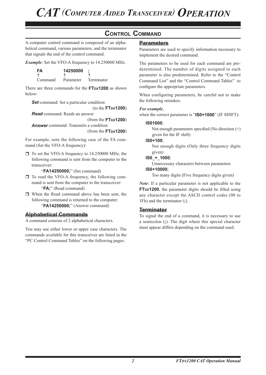#### **Control Command**

A computer control command is composed of an alphabetical command, various parameters, and the terminator that signals the end of the control command.

*Example*: Set the VFO-A frequency to 14.250000 MHz.

| FA      | 14250000  |            |
|---------|-----------|------------|
|         |           |            |
| Command | Parameter | Terminator |

There are three commands for the **FTDX1200** as shown below:

*Set* command: Set a particular condition

(to the **FTDX1200**)

*Read* command: Reads an answer (from the **FTDX1200**)

*Answer* command: Transmits a condition (from the **FTDX1200**)

For example, note the following case of the FA command (Set the VFO-A frequency):

 $\Box$  To set the VFO-A frequency to 14.250000 MHz, the following command is sent from the computer to the transceiver:

"**FA14250000;**" (Set command)

- $\Box$  To read the VFO-A frequency, the following command is sent from the computer to the transceiver: "**FA;**" (Read command)
- When the Read command above has been sent, the following command is returned to the computer: "**FA14250000;**" (Answer command)

#### **Alphabetical Commands**

A command consists of 2 alphabetical characters.

You may use either lower or upper case characters. The commands available for this transceiver are listed in the "PC Control Command Tables" on the following pages.

#### **Parameters**

Parameters are used to specify information necessary to implement the desired command.

The parameters to be used for each command are predetermined. The number of digits assigned to each parameter is also predetermined. Refer to the "Control Command List" and the "Control Command Tables" to configure the appropriate parameters.

When configuring parameters, be careful not to make the following mistakes.

#### *For example*,

when the correct parameter is "**IS0+1000**" (IF SHIFT):

#### **IS01000**;

Not enough parameters specified (No direction (+) given for the IF shift)

**IS0+100**;

Not enough digits (Only three frequency digits given)

#### **IS0**\_**+**\_**1000**;

Unnecessary characters between parameters **IS0+10000**;

Too many digits (Five frequency digits given)

*Note*: If a particular parameter is not applicable to the **FTDX1200**, the parameter digits should be filled using any character except the ASCII control codes (00 to 1Fh) and the terminator (**;**).

#### **Terminator**

To signal the end of a command, it is necessary to use a semicolon (**;**). The digit where this special character must appear differs depending on the command used.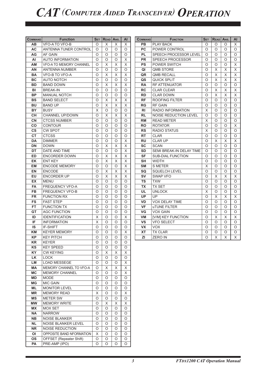| <b>COMMAND</b> | <b>Function</b>                | <b>SET</b> | READ ANS.               |                           | AI       | <b>COMMAND</b> | <b>FUNCTION</b>              | SET     | <b>READ</b> | ANS.    | A                        |
|----------------|--------------------------------|------------|-------------------------|---------------------------|----------|----------------|------------------------------|---------|-------------|---------|--------------------------|
| AВ             | VFO-A TO VFO-B                 | O          | X                       | X                         | X        | <b>PB</b>      | <b>PLAY BACK</b>             | $\circ$ | $\circ$     | O       | $\rangle$                |
| <b>AC</b>      | ANTENNA TUNER CONTROL          | $\circ$    | O                       | $\circ$                   | O        | <b>PC</b>      | POWER CONTROL                | $\circ$ | $\circ$     | O       | C                        |
| AG             | AF GAIN                        | O          | O                       | O                         | O        | <b>PL</b>      | SPEECH PROCESSOR LEVEL       | O       | O           | O       | C                        |
| AI             | <b>AUTO INFORMATION</b>        | $\circ$    | O                       | $\circ$                   | X        | <b>PR</b>      | <b>SPEECH PROCESSOR</b>      | O       | O           | O       | C                        |
| AM             | <b>VFO-A TO MEMORY CHANNEL</b> | $\circ$    | X                       | X                         | $\times$ | <b>PS</b>      | POWER SWITCH                 | O       | O           | O       | $\overline{\phantom{1}}$ |
| AN             | <b>ANTENNA NUMBER</b>          | $\circ$    | O                       | O                         | $\circ$  | QI             | <b>QMB STORE</b>             | O       | X           | X       | $\overline{\phantom{1}}$ |
| <b>BA</b>      | <b>VFO-B TO VFO-A</b>          | $\circ$    | $\overline{\mathsf{X}}$ | X                         | X        | QR             | <b>QMB RECALL</b>            | $\circ$ | X           | X       | $\overline{ }$           |
| <b>BC</b>      | <b>AUTO NOTCH</b>              | $\circ$    | O                       | $\circ$                   | $\circ$  | QS             | <b>QUICK SPLIT</b>           | O       | X           | X       | ⟩                        |
| <b>BD</b>      | <b>BAND DOWN</b>               | $\circ$    | X                       | $\times$                  | X        | <b>RA</b>      | <b>RF ATTENUATOR</b>         | $\circ$ | $\circ$     | O       | C                        |
| BI             | <b>BREAK-IN</b>                | $\circ$    | $\circ$                 | $\circ$                   | $\circ$  | <b>RC</b>      | <b>CLAR CLEAR</b>            | $\circ$ | X           | X       | $\rangle$                |
| <b>BP</b>      | <b>MANUAL NOTCH</b>            | $\circ$    | O                       | $\circ$                   | $\circ$  | <b>RD</b>      | <b>CLAR DOWN</b>             | O       | X           | X       | $\overline{ }$           |
| <b>BS</b>      | <b>BAND SELECT</b>             | $\circ$    | X                       | X                         | X        | <b>RF</b>      | <b>ROOFING FILTER</b>        | $\circ$ | O           | O       | C                        |
| <b>BU</b>      | <b>BAND UP</b>                 | $\circ$    | X                       | X                         | X        | <b>RG</b>      | <b>RF GAIN</b>               | O       | O           | O       | C                        |
| <b>BY</b>      | <b>BUSY</b>                    | Χ          | O                       | $\circ$                   | O        | <b>RI</b>      | RADIO INFORMATION            | X       | O           | O       | C                        |
| <b>CH</b>      | CHANNEL UP/DOWN                | $\circ$    | X                       | X                         | X        | <b>RL</b>      | <b>NOISE REDUCTION LEVEL</b> | O       | O           | O       | C                        |
| CN             | <b>CTCSS NUMBER</b>            | $\circ$    | O                       | O                         | $\circ$  | <b>RM</b>      | <b>READ METER</b>            | X       | O           | O       | C                        |
| co             | <b>CONTOUR</b>                 | $\circ$    | O                       | $\circ$                   | $\circ$  | <b>RO</b>      | <b>ROTATOR</b>               | $\circ$ | O           | O       | $\overline{ }$           |
| <b>CS</b>      | <b>CW SPOT</b>                 | $\circ$    | $\circ$                 | O                         | O        | <b>RS</b>      | <b>RADIO STATUS</b>          | X       | O           | O       | C                        |
| <b>CT</b>      | <b>CTCSS</b>                   | $\circ$    | $\circ$                 | $\circ$                   | $\circ$  | <b>RT</b>      | <b>CLAR</b>                  | O       | O           | O       | C                        |
| <b>DA</b>      | <b>DIMMER</b>                  | $\circ$    | $\circ$                 | $\circ$                   | $\times$ | <b>RU</b>      | <b>CLAR UP</b>               | $\circ$ | X           | X       | ⟩                        |
| <b>DN</b>      | <b>DOWN</b>                    | $\circ$    | X                       | $\boldsymbol{\mathsf{X}}$ | X        | <b>SC</b>      | <b>SCAN</b>                  | O       | O           | O       | C                        |
| DT             | DATE AND TIME                  | $\circ$    | O                       | $\circ$                   | X        | <b>SD</b>      | SEMI BREAK-IN DELAY TIME     | O       | O           | O       | C                        |
| ED             | <b>ENCORDER DOWN</b>           | $\circ$    | X                       | X                         | X        | <b>SF</b>      | <b>SUB-DIAL FUNCTION</b>     | O       | O           | O       | C                        |
| EK             | <b>ENT KEY</b>                 | $\circ$    | X                       | X                         | X        | <b>SH</b>      | <b>WIDTH</b>                 | O       | O           | O       | C                        |
| <b>EM</b>      | <b>ENCODE MEMORY</b>           | $\circ$    | $\circ$                 | $\circ$                   | X        | <b>SM</b>      | <b>S METER</b>               | X       | $\circ$     | O       | C                        |
| EN             | ENCODE                         | $\circ$    | X                       | X                         | X        | SQ             | <b>SQUELCH LEVEL</b>         | O       | O           | O       | C                        |
| EU             | <b>ENCORDER UP</b>             | $\circ$    | X                       | X                         | X        | <b>SV</b>      | <b>SWAP VFO</b>              | $\circ$ | X           | X       | $\overline{ }$           |
| <b>EX</b>      | <b>MENU</b>                    | $\circ$    | O                       | $\circ$                   | $\circ$  | TS             | <b>TXW</b>                   | O       | O           | O       | C                        |
| <b>FA</b>      | <b>FREQUENCY VFO-A</b>         | $\circ$    | $\circ$                 | $\circ$                   | $\circ$  | <b>TX</b>      | <b>TX SET</b>                | $\circ$ | O           | O       | C                        |
| <b>FB</b>      | <b>FREQUENCY VFO-B</b>         | $\circ$    | $\circ$                 | $\circ$                   | $\circ$  | <b>UL</b>      | <b>UNLOCK</b>                | X       | $\circ$     | O       | C                        |
| <b>FR</b>      | <b>FUNCTION RX</b>             | $\circ$    | $\circ$                 | $\circ$                   | $\circ$  | <b>UP</b>      | UP                           | $\circ$ | X           | X       | $\rangle$                |
| <b>FS</b>      | <b>FAST STEP</b>               | $\circ$    | O                       | $\circ$                   | $\circ$  | <b>VD</b>      | VOX DELAY TIME               | $\circ$ | O           | O       | C                        |
| FT.            | <b>FUNCTION TX</b>             | $\circ$    | O                       | O                         | O        | <b>VF</b>      | <b>uTUNE FILTER</b>          | O       | O           | O       | C                        |
| GT             | <b>AGC FUNCTION</b>            | $\circ$    | O                       | O                         | O        | VG             | <b>VOX GAIN</b>              | O       | O           | O       | C                        |
| ID             | <b>IDENTIFICATION</b>          | X          | $\circ$                 | O                         | X        | <b>VM</b>      | [V/M] KEY FUNCTION           | O       | X           | X       | $\overline{\phantom{1}}$ |
| IF             | <b>INFORMATION</b>             | X          | O                       | O                         | $\circ$  | <b>VS</b>      | <b>VFO SELECT</b>            | O       | $\circ$     | O       | $\mathsf{C}$             |
| IS             | <b>IF-SHIFT</b>                | $\circ$    | $\circ$                 | $\circ$                   | $\circ$  | <b>VX</b>      | <b>VOX</b>                   | $\circ$ | $\circ$     | $\circ$ | C                        |
| <b>KM</b>      | <b>KEYER MEMORY</b>            | O          | $\circ$                 | $\circ$                   | X        | <b>XT</b>      | <b>TX CLAR</b>               | $\circ$ | O           | $\circ$ | C                        |
| KP             | <b>KEY PITCH</b>               | O          | O                       | O                         | O        | ΖI             | <b>ZERO IN</b>               | O       | X           | X.      | $\rightarrow$            |
| <b>KR</b>      | <b>KEYER</b>                   | $\circ$    | O                       | O                         | $\circ$  |                |                              |         |             |         |                          |
| <b>KS</b>      | <b>KEY SPEED</b>               | $\circ$    | $\circ$                 | O                         | O        |                |                              |         |             |         |                          |
| <b>KY</b>      | <b>CW KEYING</b>               | $\circ$    | X                       | X                         | X        |                |                              |         |             |         |                          |
| LK             | <b>LOCK</b>                    | O          | O                       | O                         | 0        |                |                              |         |             |         |                          |
| LM             | <b>LOAD MESSEGE</b>            | O          | O                       | O                         | X        |                |                              |         |             |         |                          |
| МA             | MEMORY CHANNEL TO VFO-A        | O          | X                       | Χ                         | X        |                |                              |         |             |         |                          |
| <b>MC</b>      | <b>MEMORY CHANNEL</b>          | O          | O                       | O                         | X        |                |                              |         |             |         |                          |
| <b>MD</b>      | <b>MODE</b>                    | O          | O                       | O                         | O        |                |                              |         |             |         |                          |
| ΜG             | <b>MIC GAIN</b>                | $\circ$    | O                       | O                         | O        |                |                              |         |             |         |                          |
| ML             | <b>MONITOR LEVEL</b>           | $\circ$    | O                       | O                         | O        |                |                              |         |             |         |                          |
| ΜR             | <b>MEMORY READ</b>             | X          | O                       | O                         | X        |                |                              |         |             |         |                          |
| ΜS             | <b>METER SW</b>                | $\circ$    | O                       | O                         | O        |                |                              |         |             |         |                          |
| <b>MW</b>      | <b>MEMORY WRITE</b>            | O          | X                       | X                         | X        |                |                              |         |             |         |                          |
| ΜX             | <b>MOX SET</b>                 | O          | O                       | O                         | O        |                |                              |         |             |         |                          |
| ΝA             | <b>NARROW</b>                  | $\circ$    | O                       | O                         | O        |                |                              |         |             |         |                          |
| <b>NB</b>      | <b>NOISE BLANKER</b>           | $\circ$    | O                       | O                         | O        |                |                              |         |             |         |                          |
| <b>NL</b>      | NOISE BLANKER LEVEL            | O          | O                       | O                         | O        |                |                              |         |             |         |                          |
| <b>NR</b>      | <b>NOISE REDUCTION</b>         | O          | O                       | O                         | O        |                |                              |         |             |         |                          |
| ΟI             | OPPOSITE BAND NFORMATION       | Χ          | O                       | O                         | O        |                |                              |         |             |         |                          |
| <b>OS</b>      | OFFSET (Repeater Shift)        | $\circ$    | O                       | O                         | O        |                |                              |         |             |         |                          |
| PA             | PRE-AMP (IPO)                  | O          | O                       | O                         | $\circ$  |                |                              |         |             |         |                          |
|                |                                |            |                         |                           |          |                |                              |         |             |         |                          |

 $\overline{\mathsf{x}}$  $\overline{O}$  $\overline{\circ}$  $\overline{\circ}$ X X X  $\overline{\mathsf{x}}$  $\overline{O}$  $\overline{\mathsf{x}}$  $\overline{\mathsf{x}}$  $\overline{0}$  $\overline{\circ}$  $\overline{\circ}$  $\overline{\circ}$  $\overline{O}$ X  $\overline{O}$  $\overline{\circ}$ X O  $\overline{O}$  $\overline{O}$ O O O X  $\overline{\circ}$  $\overline{O}$  $\overline{\circ}$ X  $\overline{O}$  $\overline{O}$  $\overline{O}$  $\overline{\mathsf{x}}$  $\overline{\circ}$  $\overline{\circ}$ O X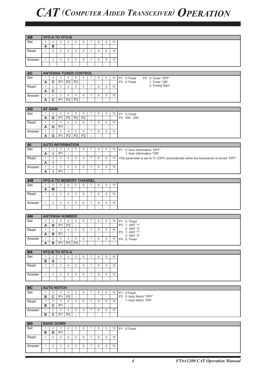| <b>AB</b> |              |                | <b>VFO-A TO VFO-B</b>          |                |                |                |                           |   |                  |    |                                                                                        |
|-----------|--------------|----------------|--------------------------------|----------------|----------------|----------------|---------------------------|---|------------------|----|----------------------------------------------------------------------------------------|
| Set       | 1            | $\overline{2}$ | 3                              | $\overline{4}$ | 5              | 6              | $\overline{7}$            | 8 | 9                | 10 |                                                                                        |
|           | A            | в              | ÷                              |                |                |                |                           |   |                  |    |                                                                                        |
| Read      | $\mathbf{1}$ | $\overline{2}$ | 3                              | 4              | 5              | 6              | $\overline{7}$            | 8 | 9                | 10 |                                                                                        |
| Answer    | $\mathbf{1}$ | 2              | 3                              | 4              | 5              | 6              | $\overline{7}$            | 8 | 9                | 10 |                                                                                        |
|           |              |                |                                |                |                |                |                           |   |                  |    |                                                                                        |
|           |              |                |                                |                |                |                |                           |   |                  |    |                                                                                        |
| <b>AC</b> |              |                | <b>ANTENNA TUNER CONTROL</b>   |                |                |                |                           |   |                  |    |                                                                                        |
| Set       | $\mathbf{1}$ | $\overline{2}$ | 3                              | $\overline{4}$ | 5              | 6              | $\overline{7}$            | 8 | 9                | 10 | P3 0: Tuner "OFF"<br>P1 0: Fixed                                                       |
|           | A            | C              | P <sub>1</sub>                 | P <sub>2</sub> | P <sub>3</sub> | $\cdot$        |                           |   |                  |    | P2 0: Fixed<br>1: Tuner "ON"                                                           |
| Read      | $\mathbf{1}$ | $\overline{2}$ | 3                              | $\overline{4}$ | 5              | 6              | $\overline{7}$            | 8 | 9                | 10 | 2: Tuning Start                                                                        |
|           | A            | C              | $\vdots$                       |                |                |                |                           |   |                  |    |                                                                                        |
| Answer    | $\mathbf{1}$ | 2              | 3                              | $\overline{4}$ | 5              | 6              | $\overline{7}$            | 8 | $\boldsymbol{9}$ | 10 |                                                                                        |
|           | Α            | C              | P1                             | P <sub>2</sub> | P3             | ÷              |                           |   |                  |    |                                                                                        |
|           |              |                |                                |                |                |                |                           |   |                  |    |                                                                                        |
| <b>AG</b> |              | <b>AF GAIN</b> |                                |                |                |                |                           |   |                  |    |                                                                                        |
| Set       | $\mathbf{1}$ | 2              | 3                              | 4              | $\,$ 5 $\,$    | 6              | $\overline{7}$            | 8 | 9                | 10 | P1 0: Fixed                                                                            |
|           | A            | G              | P <sub>1</sub>                 | P <sub>2</sub> | P <sub>2</sub> | P <sub>2</sub> | $\cdot$                   |   |                  |    | P2 000 - 255                                                                           |
| Read      | $\mathbf{1}$ | $\overline{2}$ | 3                              | $\overline{4}$ | 5              | 6              | $\overline{7}$            | 8 | 9                | 10 |                                                                                        |
|           | A            | $\overline{G}$ | P <sub>1</sub>                 | $\ddot{.}$     |                |                |                           |   |                  |    |                                                                                        |
| Answer    | $\mathbf{1}$ | 2              | 3                              | $\overline{4}$ | 5              | 6              | $\overline{7}$<br>$\cdot$ | 8 | 9                | 10 |                                                                                        |
|           | A            | G              | P <sub>1</sub>                 | P <sub>2</sub> | P <sub>2</sub> | P <sub>2</sub> |                           |   |                  |    |                                                                                        |
| <b>AI</b> |              |                | <b>AUTO INFORMATION</b>        |                |                |                |                           |   |                  |    |                                                                                        |
| Set       | $\mathbf{1}$ | 2              | 3                              | $\overline{4}$ | 5              | 6              | $\overline{7}$            | 8 | 9                | 10 | P1 0: Auto Information "OFF"                                                           |
|           | Α            | п              | P <sub>1</sub>                 | $\cdot$        |                |                |                           |   |                  |    | 1: Auto Information "ON"                                                               |
| Read      | $\mathbf{1}$ | $\overline{2}$ | 3                              | $\overline{4}$ | 5              | 6              | $\overline{7}$            | 8 | $\boldsymbol{9}$ | 10 | This parameter is set to "0" (OFF) automatically when the transceiver is turned "OFF". |
|           | A            | L              | $\cdot$                        |                |                |                |                           |   |                  |    |                                                                                        |
| Answer    | $\mathbf{1}$ | $\sqrt{2}$     | 3                              | 4              | 5              | 6              | $\overline{7}$            | 8 | $\boldsymbol{9}$ | 10 |                                                                                        |
|           | A            | ı              | P <sub>1</sub>                 | $\cdot$        |                |                |                           |   |                  |    |                                                                                        |
|           |              |                |                                |                |                |                |                           |   |                  |    |                                                                                        |
| <b>AM</b> |              |                | <b>VFO-A TO MEMORY CHANNEL</b> |                |                |                |                           |   |                  |    |                                                                                        |
| Set       | $\mathbf{1}$ | 2              | 3                              | 4              | 5              | 6              | $\overline{7}$            | 8 | $\boldsymbol{9}$ | 10 |                                                                                        |
|           | Α            | M              | ÷                              |                |                |                |                           |   |                  |    |                                                                                        |
| Read      | $\mathbf{1}$ | $\overline{2}$ | 3                              | $\overline{4}$ | 5              | 6              | $\overline{7}$            | 8 | 9                | 10 |                                                                                        |
|           |              | 2              |                                |                |                |                | $\overline{7}$            |   |                  |    |                                                                                        |
| Answer    | $\mathbf{1}$ |                | 3                              | 4              | 5              | 6              |                           | 8 | 9                | 10 |                                                                                        |
|           |              |                |                                |                |                |                |                           |   |                  |    |                                                                                        |
| <b>AN</b> |              |                | <b>ANTENNA NUMBER</b>          |                |                |                |                           |   |                  |    |                                                                                        |
| Set       | $\mathbf{1}$ | 2              | 3                              | $\overline{4}$ | 5              | 6              | $\overline{7}$            | 8 | 9                | 10 | P1 0: Fixed                                                                            |
|           | A            | N              | P <sub>1</sub>                 | P <sub>2</sub> | ÷              |                |                           |   |                  |    | P2 1: ANT "1"                                                                          |
| Read      | $\mathbf{1}$ | $\overline{2}$ | 3                              | $\overline{4}$ | 5              | 6              | $\overline{7}$            | 8 | $\boldsymbol{9}$ | 10 | 2: ANT "2"                                                                             |
|           | A            | N              | <b>P1</b>                      | $\cdot$        |                |                |                           |   |                  |    | P3 1: ANT "1"<br>2: ANT "2"                                                            |
| Answer    | $\mathbf{1}$ | 2              | 3                              | $\overline{4}$ | 5              | 6              | $\overline{7}$            | 8 | 9                | 10 | P4 0: Fixed                                                                            |
|           | Α            | N              | <b>P1</b>                      | P3             | <b>P4</b>      | $\ddot{\cdot}$ |                           |   |                  |    |                                                                                        |
|           |              |                |                                |                |                |                |                           |   |                  |    |                                                                                        |
| <b>BA</b> |              |                | <b>VFO-B TO VFO-A</b>          |                |                |                |                           |   |                  |    |                                                                                        |
| Set       | $\mathbf{1}$ | $\overline{2}$ | 3                              | 4              | 5              | 6              | $\overline{7}$            | 8 | 9                | 10 |                                                                                        |
|           | в            | A              | $\cdot$                        |                |                |                |                           |   |                  |    |                                                                                        |
| Read      | $\mathbf{1}$ | 2              | 3                              | $\overline{4}$ | 5              | 6              | $\overline{7}$            | 8 | 9                | 10 |                                                                                        |
|           | $\mathbf{1}$ | $\overline{2}$ | 3                              | $\overline{4}$ | 5              | 6              | $\overline{7}$            | 8 | 9                | 10 |                                                                                        |
| Answer    |              |                |                                |                |                |                |                           |   |                  |    |                                                                                        |
|           |              |                |                                |                |                |                |                           |   |                  |    |                                                                                        |
| <b>BC</b> |              |                | <b>AUTO NOTCH</b>              |                |                |                |                           |   |                  |    |                                                                                        |
| Set       | $\mathbf{1}$ | 2              | 3                              | $\overline{4}$ | 5              | 6              | $\overline{7}$            | 8 | 9                | 10 | P1 0:Fixed                                                                             |
|           | в            | C              | P <sub>1</sub>                 | P <sub>2</sub> | $\dddot{.}$    |                |                           |   |                  |    | P2 0: Auto Notch "OFF"                                                                 |
| Read      | $\mathbf{1}$ | 2              | $\mathbf{3}$                   | $\overline{4}$ | 5              | 6              | $\overline{7}$            | 8 | 9                | 10 | 1: Auto Notch "ON"                                                                     |
|           | B            | $\mathbf{C}$   | P <sub>1</sub>                 | $\cdot$        |                |                |                           |   |                  |    |                                                                                        |

| <b>BD</b>        |        |   | <b>BAND DOWN</b> |   |   |  |   |    |           |          |
|------------------|--------|---|------------------|---|---|--|---|----|-----------|----------|
| Set <sup>-</sup> |        |   | - 1              | h | 6 |  | 9 | 10 | <b>P1</b> | 0: Fixed |
|                  | P<br>D | D | P۱               |   |   |  |   |    |           |          |
| Read             |        |   |                  | ۰ | 6 |  | 9 | 10 |           |          |
|                  |        |   |                  |   |   |  |   |    |           |          |
| Answer           |        |   | c<br>◡           | ÷ | 6 |  | 9 | 10 |           |          |
|                  |        |   |                  |   |   |  |   |    |           |          |

Answer | 1 | 2 | 3 | 4 | 5 | 6 | 7 | 8 | 9 | 10

**B C** P1 P2 ;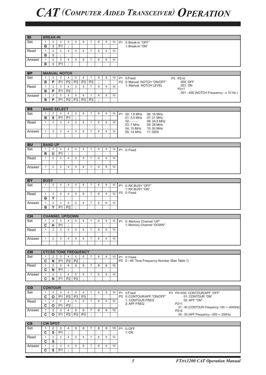| B <sub>1</sub>         |                         | <b>BREAK-IN</b>         |                             |                |                |                |                |         |                  |    |           |                                                          |
|------------------------|-------------------------|-------------------------|-----------------------------|----------------|----------------|----------------|----------------|---------|------------------|----|-----------|----------------------------------------------------------|
| Set                    | $\mathbf{1}$            | $\overline{2}$          | 3                           | 4              | 5              | 6              | $\overline{7}$ | 8       | 9                | 10 |           | P1 0: Break-in "OFF"                                     |
|                        | $\overline{B}$          | ı                       | P <sub>1</sub>              | $\vdots$       |                |                |                |         |                  |    |           | 1: Break-in "ON"                                         |
| Read                   | $\mathbf{1}$            | $\overline{2}$          | 3                           | $\overline{4}$ | 5              | 6              | $\overline{7}$ | 8       | $\mathsf g$      | 10 |           |                                                          |
|                        |                         |                         | $\cdot$                     |                |                |                |                |         |                  |    |           |                                                          |
|                        | в                       | п                       |                             |                |                |                |                |         |                  |    |           |                                                          |
| Answer                 | $\mathbf{1}$            | $\overline{2}$          | 3                           | 4              | 5              | 6              | $\overline{7}$ | 8       | 9                | 10 |           |                                                          |
|                        | B                       | ı                       | P <sub>1</sub>              | ٠              |                |                |                |         |                  |    |           |                                                          |
|                        |                         |                         |                             |                |                |                |                |         |                  |    |           |                                                          |
| <b>BP</b>              |                         |                         | <b>MANUAL NOTCH</b>         |                |                |                |                |         |                  |    |           |                                                          |
| Set                    | $\mathbf{1}$            | $\overline{\mathbf{c}}$ | 3                           | 4              | 5              | 6              | $\overline{7}$ | 8       | 9                | 10 |           | P1 0:Fixed<br>P3 P2=0                                    |
|                        | B                       | P                       | P <sub>1</sub>              | P <sub>2</sub> | P <sub>3</sub> | P <sub>3</sub> | P <sub>3</sub> | $\cdot$ |                  |    |           | P2 0: Manual NOTCH "ON/OFF"<br>000: OFF                  |
| Read                   | $\mathbf{1}$            | 2                       | 3                           | $\overline{4}$ | 5              | 6              | $\overline{7}$ | 8       | 9                | 10 |           | 1: Manual NOTCH LEVEL<br>001: ON                         |
|                        | в                       | P                       | P <sub>1</sub>              | P <sub>2</sub> | $\cdot$        |                |                |         |                  |    |           | $P2 = 1$                                                 |
|                        |                         |                         |                             |                |                |                |                |         |                  |    |           | 001 - 400 (NOTCH Frequency: x 10 Hz)                     |
| Answer                 | $\mathbf{1}$            | $\overline{2}$          | 3                           | $\overline{4}$ | 5              | 6              | $\overline{7}$ | 8       | $\boldsymbol{9}$ | 10 |           |                                                          |
|                        | B                       | P                       | $\overline{P1}$             | P <sub>2</sub> | P3             | P3             | P3             | ÷       |                  |    |           |                                                          |
|                        |                         |                         |                             |                |                |                |                |         |                  |    |           |                                                          |
| <b>BS</b>              |                         |                         | <b>BAND SELECT</b>          |                |                |                |                |         |                  |    |           |                                                          |
| Set                    | $\mathbf{1}$            | $\overline{2}$          | 3                           | 4              | $\,$ 5 $\,$    | 6              | $\overline{7}$ | 8       | 9                | 10 | <b>P1</b> | 00: 1.8 MHz<br>06: 18 MHz                                |
|                        | в                       | S                       | P <sub>1</sub>              | P <sub>1</sub> | $\cdot$        |                |                |         |                  |    |           | 01: 3.5 MHz<br>07: 21 MHz                                |
| Read                   | $\mathbf{1}$            | $\overline{2}$          | 3                           | $\overline{4}$ | 5              | 6              | $\overline{7}$ | 8       | 9                | 10 |           | $02: - - - -$<br>08: 24.5 MHz                            |
|                        |                         |                         |                             |                |                |                |                |         |                  |    |           | 03: 7 MHz<br>09: 28 MHz                                  |
| Answer                 | $\mathbf{1}$            | 2                       | 3                           | $\overline{4}$ | 5              | 6              | $\overline{7}$ | 8       | $\boldsymbol{9}$ | 10 |           | 04: 10 MHz<br>10:50 MHz                                  |
|                        |                         |                         |                             |                |                |                |                |         |                  |    |           | 05: 14 MHz<br>11: GEN                                    |
|                        |                         |                         |                             |                |                |                |                |         |                  |    |           |                                                          |
|                        |                         |                         |                             |                |                |                |                |         |                  |    |           |                                                          |
| <b>BU</b>              |                         | <b>BAND UP</b>          |                             |                |                |                |                |         |                  |    |           |                                                          |
| Set                    | $\mathbf{1}$            | 2                       | 3                           | $\overline{4}$ | 5              | 6              | $\overline{7}$ | 8       | 9                | 10 |           | P1 0: Fixed                                              |
|                        | в                       | U                       | P <sub>1</sub>              | ÷              |                |                |                |         |                  |    |           |                                                          |
| Read                   | $\mathbf{1}$            | 2                       | 3                           | $\overline{4}$ | 5              | 6              | $\overline{7}$ | 8       | 9                | 10 |           |                                                          |
|                        |                         |                         |                             |                |                |                |                |         |                  |    |           |                                                          |
| Answer                 | $\mathbf{1}$            | $\overline{2}$          | 3                           | $\overline{4}$ | 5              | 6              | $\overline{7}$ | 8       | 9                | 10 |           |                                                          |
|                        |                         |                         |                             |                |                |                |                |         |                  |    |           |                                                          |
|                        |                         |                         |                             |                |                |                |                |         |                  |    |           |                                                          |
| <b>BY</b>              | <b>BUSY</b>             |                         |                             |                |                |                |                |         |                  |    |           |                                                          |
| Set                    | $\mathbf{1}$            | $\overline{2}$          | 3                           | 4              | 5              | 6              | $\overline{7}$ | 8       | 9                | 10 | <b>P1</b> | 0: RX BUSY "OFF"                                         |
|                        |                         |                         |                             |                |                |                |                |         |                  |    |           | 1: RX BUSY "ON"                                          |
| Read                   | $\mathbf{1}$            | $\overline{2}$          | 3                           | 4              | 5              | 6              | $\overline{7}$ | 8       | 9                | 10 |           | P2 0: Fixed                                              |
|                        | в                       | Y                       | $\vdots$                    |                |                |                |                |         |                  |    |           |                                                          |
| Answer                 | $\mathbf{1}$            | 2                       | 3                           | $\overline{4}$ | 5              | 6              | $\overline{7}$ | 8       | $\boldsymbol{9}$ | 10 |           |                                                          |
|                        | в                       | Y                       | P <sub>1</sub>              | P <sub>2</sub> | $\cdot$        |                |                |         |                  |    |           |                                                          |
|                        |                         |                         |                             |                |                |                |                |         |                  |    |           |                                                          |
| <b>CH</b>              |                         |                         | <b>CHANNEL UP/DOWN</b>      |                |                |                |                |         |                  |    |           |                                                          |
| Set                    | $\mathbf{1}$            | 2                       | 3                           | 4              | 5              | 6              | $\overline{7}$ | 8       | 9                | 10 |           | P1 0: Memory Channel "UP"                                |
|                        | $\overline{c}$          | н                       | P <sub>1</sub>              | ÷              |                |                |                |         |                  |    |           | 1: Memory Channel "DOWN"                                 |
| Read                   | $\mathbf{1}$            | 2                       | 3                           | $\overline{4}$ | 5              | 6              | $\overline{7}$ | 8       | 9                | 10 |           |                                                          |
|                        |                         |                         |                             |                |                |                |                |         |                  |    |           |                                                          |
| Answer                 | $\mathbf{1}$            | $\overline{2}$          | 3                           | 4              | 5              | 6              | $\overline{7}$ | 8       | 9                | 10 |           |                                                          |
|                        |                         |                         |                             |                |                |                |                |         |                  |    |           |                                                          |
|                        |                         |                         |                             |                |                |                |                |         |                  |    |           |                                                          |
| <b>CN</b>              |                         |                         | <b>CTCSS TONE FREQUENCY</b> |                |                |                |                |         |                  |    |           |                                                          |
| Set                    |                         |                         |                             |                |                |                |                |         |                  |    |           |                                                          |
|                        | $\mathbf{1}$            | 2                       | 3                           | $\overline{4}$ | $\,$ 5 $\,$    | 6<br>$\cdot$   | $\overline{7}$ | 8       | 9                | 10 |           | P1 0: Fixed                                              |
|                        | C                       | N                       | P <sub>1</sub>              | P <sub>2</sub> | P <sub>2</sub> |                |                |         |                  |    |           | P2 0 - 49: Tone Frequency Number (See Table 1)           |
| Read                   | $\mathbf{1}$            | 2                       | 3                           | 4              | 5              | 6              | $\overline{7}$ | 8       | 9                | 10 |           |                                                          |
|                        | C                       | N                       | P <sub>1</sub>              | ٠              |                |                |                |         |                  |    |           |                                                          |
| Answer                 | $\mathbf{1}$            | $\overline{2}$          | 3                           | 4              | 5              | 6              | $\overline{7}$ | 8       | 9                | 10 |           |                                                          |
|                        | C                       | N                       | P <sub>1</sub>              | <b>P2</b>      | P <sub>2</sub> | $\cdot$        |                |         |                  |    |           |                                                          |
|                        |                         |                         |                             |                |                |                |                |         |                  |    |           |                                                          |
| co                     |                         | <b>CONTOUR</b>          |                             |                |                |                |                |         |                  |    |           |                                                          |
| Set                    | $\mathbf{1}$            | 2                       | 3                           | $\overline{4}$ | 5              | 6              | $\overline{7}$ | 8       | 9                | 10 |           | P1 0:Fixed<br>P3 P2=000: CONTOUR/APF "OFF"               |
|                        | $\overline{\mathbf{c}}$ | O                       | P <sub>1</sub>              | P <sub>2</sub> | P <sub>3</sub> | P <sub>3</sub> | ÷              |         |                  |    |           | P2 0: CONTOUR/APF "ON/OFF"<br>01: CONTOUR "ON"           |
| Read                   | $\mathbf{1}$            | 2                       | 3                           | 4              | 5              | 6              | $\overline{7}$ | 8       | 9                | 10 |           | 1: CONTOUR FREQ<br>02: APF "ON"<br>2: APF FREQ<br>$P2=1$ |
|                        | C                       | $\mathbf{o}$            | P <sub>1</sub>              | P <sub>2</sub> | ÷              |                |                |         |                  |    |           | 01 - 40 (CONTOUR Frequency: $100 \sim 4000$ Hz)          |
| Answer                 | 1                       | 2                       | 3                           | 4              | 5              | 6              | 7              | 8       | 9                | 10 |           | $P2=2$                                                   |
|                        | $\overline{\mathbf{c}}$ | O                       | P <sub>1</sub>              | P <sub>2</sub> | P3             | P3             | ÷              |         |                  |    |           | 00 - 50 (APF Frequency: $-250 \sim 250$ Hz)              |
|                        |                         |                         |                             |                |                |                |                |         |                  |    |           |                                                          |
| $\overline{\text{cs}}$ |                         | <b>CW SPOT</b>          |                             |                |                |                |                |         |                  |    |           |                                                          |
| Set                    | $\mathbf{1}$            | 2                       | 3                           | 4              | 5              | 6              | 7              | 8       | 9                | 10 |           | P1 0: OFF                                                |
|                        | $\mathbf c$             | S                       | P <sub>1</sub>              | $\epsilon$     |                |                |                |         |                  |    |           | 1:ON                                                     |
| Read                   | $\mathbf{1}$            | 2                       | 3                           | $\overline{4}$ | 5              | 6              | $\overline{7}$ | 8       | 9                | 10 |           |                                                          |
|                        | $\overline{\mathbf{c}}$ | $\overline{\mathbf{s}}$ | $\ddot{.}$                  |                |                |                |                |         |                  |    |           |                                                          |
| Answer                 | $\mathbf{1}$            | $\overline{2}$          | 3                           | 4              | $\,$ 5 $\,$    | 6              | $\overline{7}$ | 8       | $\mathsf g$      | 10 |           |                                                          |
|                        | C                       | S                       | P <sub>1</sub>              | ÷              |                |                |                |         |                  |    |           |                                                          |
|                        |                         |                         |                             |                |                |                |                |         |                  |    |           |                                                          |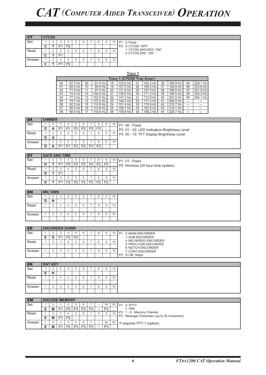| CТ     | <b>CTCSS</b> |                |   |    |   |   |   |   |    |
|--------|--------------|----------------|---|----|---|---|---|---|----|
| Set    |              | 2              | 3 | 4  | 5 | 6 | 8 | 9 | 10 |
|        | C            |                |   | P2 |   |   |   |   |    |
| Read   |              | $\overline{2}$ | 3 |    | 5 | 6 | 8 | 9 | 10 |
|        | с            |                |   |    |   |   |   |   |    |
| Answer |              | $\overline{2}$ | 3 |    | 5 | 6 | 8 | 9 | 10 |
|        | C            |                |   | P2 |   |   |   |   |    |

1: CTCSS ENC/DEC "ON" 2: CTCSS ENC "ON"

P1 0: Fixed P2 0: CTCSS "OFF"

|    | Table 1                    |    |          |    |          |    |          |    |          |    |          |  |  |  |  |
|----|----------------------------|----|----------|----|----------|----|----------|----|----------|----|----------|--|--|--|--|
|    | TABLE 1 (CTCSS TONE CHART) |    |          |    |          |    |          |    |          |    |          |  |  |  |  |
| 00 | 67.0 Hz                    | 09 | 91.5 Hz  | 18 | 123.0 Hz | 27 | 162.2 Hz | 36 | 189.9 Hz | 45 | 229.1 Hz |  |  |  |  |
| 01 | 69.3 Hz                    | 10 | 94.8 Hz  | 19 | 127.3 Hz | 28 | 165.5 Hz | 37 | 192.8 Hz | 46 | 233.6 Hz |  |  |  |  |
| 02 | 71.9 Hz                    | 11 | 97.4 Hz  | 20 | 131.8 Hz | 29 | 167.9 Hz | 38 | 196.6 Hz | 47 | 241.8 Hz |  |  |  |  |
| 03 | 74.4 Hz                    | 12 | 100.0 Hz | 21 | 136.5 Hz | 30 | 171.3 Hz | 39 | 199.5 Hz | 48 | 250.3 Hz |  |  |  |  |
| 04 | 77.0 Hz                    | 13 | 103.5 Hz | 22 | 141.3 Hz | 31 | 173.8 Hz | 40 | 203.5 Hz | 49 | 254.1 Hz |  |  |  |  |
| 05 | 79.7 Hz                    | 14 | 107.2 Hz | 23 | 146.2 Hz | 32 | 177.3 Hz | 41 | 206.5 Hz | -  |          |  |  |  |  |
| 06 | 82.5 Hz                    | 15 | 110.9 Hz | 24 | 151.4 Hz | 33 | 179.9 Hz | 42 | 210.7 Hz | -  |          |  |  |  |  |
| 07 | 85.4 Hz                    | 16 | 114.8 Hz | 25 | 156.7 Hz | 34 | 183.5 Hz | 43 | 218.1 Hz | -  |          |  |  |  |  |
| 08 | 88.5 Hz                    | 17 | 118.8 Hz | 26 | 159.8 Hz | 35 | 186.2 Hz | 44 | 225.7 Hz |    |          |  |  |  |  |

| <b>DA</b> |   | <b>DIMMER</b> |                |                |                |                |                |                |   |    |                                             |
|-----------|---|---------------|----------------|----------------|----------------|----------------|----------------|----------------|---|----|---------------------------------------------|
| Set       |   |               |                |                |                |                |                |                | 9 | 10 | $\Box$ P1 00 : Fixed                        |
|           | υ |               | P <sub>1</sub> | D <sub>1</sub> | P <sub>2</sub> | P <sub>2</sub> | P <sub>3</sub> | P <sub>3</sub> |   |    | P2 01 - 02: LED Indicators Brightness Level |
| Read      |   |               |                |                |                | 6              |                |                | 9 | 10 | P3 00 - 15: TFT Display Brightness Level    |
|           | D | A             |                |                |                |                |                |                |   |    |                                             |
| Answer    |   |               |                |                |                | 6              |                |                | 9 | 10 |                                             |
|           | D |               | D <sub>1</sub> | D <sub>1</sub> | P <sub>2</sub> | P <sub>2</sub> | P <sub>3</sub> | P <sub>3</sub> |   |    |                                             |

| DT     |    | <b>DATE AND TIME</b> |                |                |                |                |                |                |    |                                 |
|--------|----|----------------------|----------------|----------------|----------------|----------------|----------------|----------------|----|---------------------------------|
| Set    |    |                      |                |                | 6              |                |                | 9              | 10 | IP1 01 : Fixed                  |
|        | ш  | D <sub>1</sub>       | P <sub>2</sub> | P <sub>2</sub> | P <sub>2</sub> | P <sub>2</sub> | P <sub>2</sub> | P <sub>2</sub> |    | P2 hhmmss (24 hour time system) |
| Read   |    |                      |                |                | 6              |                |                | 9              | 10 |                                 |
|        | D. | D <sub>1</sub>       |                |                |                |                |                |                |    |                                 |
| Answer |    |                      |                |                | 6              |                |                | <sub>9</sub>   | 10 |                                 |
|        |    | D <sub>1</sub>       | P <sub>2</sub> | D?             | P <sub>2</sub> | P <sub>2</sub> | P <sub>2</sub> | P <sub>2</sub> |    |                                 |

| <b>DN</b> | <b>MIC DWN</b> |   |          |    |   |   |          |    |
|-----------|----------------|---|----------|----|---|---|----------|----|
| Set       |                |   | c<br>- 2 | 5  | 6 | 8 | 9        | 10 |
|           | ◡              | N |          |    |   |   |          |    |
| Read      |                |   | c<br>- 0 | 5  | 6 | 8 | $\Omega$ | 10 |
|           |                |   |          |    |   |   |          |    |
| Answer    |                |   | c<br>- 0 | b. | 6 | 8 | 9        | 10 |
|           |                |   |          |    |   |   |          |    |

| ED     | <b>ENCORDER DOWN</b> |                |                |                |   |  |   |                 |                                                  |
|--------|----------------------|----------------|----------------|----------------|---|--|---|-----------------|--------------------------------------------------|
| Set    |                      |                |                | $\overline{5}$ | 6 |  | 9 | 10              | 0: MAIN ENCORDER<br>P <sub>1</sub>               |
|        |                      | D <sub>1</sub> | P <sub>2</sub> | P <sub>2</sub> |   |  |   |                 | 1: SUB ENCORDER                                  |
| Read   |                      |                |                |                | 6 |  | 9 | 10 <sup>1</sup> | 4: MIC/SPEED ENCORDER                            |
|        |                      |                |                |                |   |  |   |                 | 5: PROC/CAR ENCORDER<br><b>6: NOTCH ENCORDER</b> |
| Answer |                      |                |                |                | ี |  | 9 | 10 <sup>°</sup> | 7: CONT ENCORDER                                 |
|        |                      |                |                |                |   |  |   |                 | P2 01-99: Steps                                  |

| EK     |   | <b>ENT KEY</b>     |   |   |          |   |   |   |    |
|--------|---|--------------------|---|---|----------|---|---|---|----|
| Set    |   | $\sim$<br><u>.</u> | ◡ | ≖ |          | ь | 8 | 9 | 10 |
|        | Е | n.                 |   |   |          |   |   |   |    |
| Read   |   | ∼                  |   | 4 | b.       | b | 8 | 9 | 10 |
|        |   |                    |   |   |          |   |   |   |    |
| Answer |   | $\sim$<br><u>_</u> | ◡ |   | <b>E</b> | 6 | 8 | 9 | 10 |
|        |   |                    |   |   |          |   |   |   |    |

| <b>EM</b> | <b>ENCODE MEMORY</b> |                |                |                |                |                |                       |                |    |                                              |
|-----------|----------------------|----------------|----------------|----------------|----------------|----------------|-----------------------|----------------|----|----------------------------------------------|
| Set       |                      |                |                |                | 6              |                | $\sim$                | 54             | 55 | P <sub>1</sub><br>0: RTTY                    |
|           | M                    | P <sub>1</sub> | P <sub>2</sub> | P <sub>3</sub> | P <sub>3</sub> | P <sub>3</sub> | $\tilde{\phantom{a}}$ | P <sub>3</sub> |    | $1:$ PSK                                     |
| Read      |                      |                |                |                | 6              |                |                       | 9              | 10 | P2: 1 - 5 : Memory Channel                   |
|           | M                    | P <sub>1</sub> | P <sub>2</sub> |                |                |                |                       |                |    | P3: Message Characters (up to 50 characters) |
| Answer    |                      |                |                |                | 6              |                | $\tilde{\phantom{a}}$ | 54             | 55 | X: requires FFT-1 (option)                   |
|           | M                    | P <sub>1</sub> | P <sub>2</sub> | P <sub>3</sub> | P <sub>3</sub> | P <sub>3</sub> | $\sim$                | P <sub>3</sub> |    |                                              |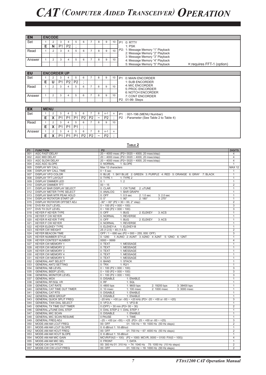| <b>EN</b> |   | <b>ENCODE</b> |                |                |  |  |   |                 |                                                                  |
|-----------|---|---------------|----------------|----------------|--|--|---|-----------------|------------------------------------------------------------------|
| Set       |   |               |                |                |  |  | 9 | 10              | P1 0: RTTY                                                       |
|           | Е |               | P <sub>1</sub> | P <sub>2</sub> |  |  |   |                 | 1: PSK                                                           |
| Read      |   |               |                |                |  |  |   | 10 <sup>1</sup> | P2: 1: Message Memory "1" Playback                               |
|           |   |               |                |                |  |  |   |                 | 2: Message Memory "2" Playback<br>3: Message Memory "3" Playback |
| Answer    |   |               |                |                |  |  | 9 | 10              | 4: Message Memory "4" Playback                                   |
|           |   |               |                |                |  |  |   |                 | 5: Message Memory "5" Playback<br>X: requires FFT-1 (option)     |

| EU     |   | <b>ENCORDER UP</b> |                |                |   |   |    |                                              |
|--------|---|--------------------|----------------|----------------|---|---|----|----------------------------------------------|
| Set    |   | $\cdot$            |                |                | 6 | × | 10 | 0: MAIN ENCORDER<br>P <sub>1</sub>           |
|        | Е | P <sub>1</sub>     | P <sub>2</sub> | P <sub>2</sub> |   |   |    | 1: SUB ENCORDER                              |
| Read   |   | ъD                 |                | ю              | 6 | 8 | 10 | 4: MIC ENCORDER                              |
|        |   |                    |                |                |   |   |    | 5: PROC ENCORDER<br><b>6: NOTCH ENCORDER</b> |
| Answer |   | $\sim$<br>×.       |                |                | 6 | 8 | 10 | 7: CONT ENCORDER                             |
|        |   |                    |                |                |   |   |    | P2 01-99: Steps                              |
|        |   |                    |                |                |   |   |    |                                              |

| <b>EX</b> | <b>MENU</b> |            |                          |                |                |                |                |                       |                |    |                                         |
|-----------|-------------|------------|--------------------------|----------------|----------------|----------------|----------------|-----------------------|----------------|----|-----------------------------------------|
| Set       |             |            |                          |                |                |                |                |                       | $n - 1$        |    | P1 : 001-196 (MENU Number)              |
|           |             |            | D <sub>1</sub>           | D <sub>1</sub> | D <sub>1</sub> | P <sub>2</sub> | P <sub>2</sub> | $\tilde{\phantom{a}}$ | P <sub>2</sub> |    | P2 : Parameter (See Table 2 to Table 4) |
| Read      |             |            | $\overline{\phantom{0}}$ |                |                | 6              |                |                       | 9              | 10 |                                         |
|           |             | $\sqrt{ }$ | D <sub>1</sub>           | D <sub>1</sub> | D <sub>1</sub> |                |                |                       |                |    |                                         |
| Answer    |             |            |                          |                |                | 6              |                |                       | $n - 1$        |    |                                         |
|           |             |            | D <sub>1</sub>           | D <sub>1</sub> | D <sub>1</sub> | P <sub>2</sub> | P <sub>2</sub> | $\tilde{\phantom{a}}$ | P <sub>2</sub> |    |                                         |

|                |                                   | TABLE <sub>2</sub>                                                       |                |
|----------------|-----------------------------------|--------------------------------------------------------------------------|----------------|
| P <sub>1</sub> | <b>FUNCTION</b>                   | P <sub>2</sub>                                                           | <b>DIGITS</b>  |
| 001            | <b>AGC FAST-DELAY</b>             | $20 \sim 4000$ msec (P2= 0020 $\sim 4000$ , 20 msec/step)                | 4              |
| 002            | AGC MID DELAY                     | $20 \sim 4000$ msec (P2= 0020 ~ 4000, 20 msec/step)                      | $\overline{4}$ |
| 003            | <b>AGC SLOW DELAY</b>             | $20 \sim 4000$ msec (P2= 0020 $\sim 4000$ , 20 msec/step)                | $\overline{4}$ |
| 004            | AGC AGC SLOPE                     | 1: SLOPE<br>0: NORMAL                                                    | $\mathbf{1}$   |
| 005            | <b>DISPLAY MY CALL</b>            | Max 12 characters                                                        | <b>MAX 12</b>  |
| 006            | DISPLAY MY CALL TIME              | $0 \sim 5$ sec                                                           | 1              |
| 007            | <b>DISPLAY VFO COLOR</b>          | 0: BLUE 1: SKY BLUE 2: GREEN 3: PURPLE 4: RED 5: ORANGE 6: GRAY 7: BLACK | 1              |
| 008            | <b>DISPLAY TFT LAYOUT</b>         | 0: TYPE 1<br>1: TYPE 2                                                   | $\mathbf{1}$   |
| 009            | <b>DISPLAY DIMMER LED</b>         | 1:2<br>0:1                                                               | $\mathbf{1}$   |
| 010            | <b>DISPLAY DIMMER TFT</b>         | $00 - 15$                                                                | $\overline{2}$ |
| 011            | DISPLAY BAR DISPLAY SELECT        | 0: CLAR<br>1: CW TUNE 2: uTUNE                                           | $\mathbf{1}$   |
| 012            | DISPLAY METER TYPE SELECT         | 0: ANALOG<br>1: BAR GRAPH                                                | $\mathbf{1}$   |
| 013            | DISPLAY BAR MTR PEAK HOLD         | $0:$ OFF<br>$1:0.5$ sec<br>2: 1.0 sec<br>3:2.0 sec                       | $\mathbf{1}$   |
| 014            | DISPLAY ROTATOR START UP          | $0:0^{\circ}$<br>$1:90^\circ$<br>$2:180^{\circ}$<br>$3:270^{\circ}$      | $\overline{1}$ |
| 015            | DISPLAY ROTATOR OFFSET ADJ        | $-30^{\circ} \sim 00^{\circ}$ (P2 = 30 $\sim$ 00, 2° step)               | 2              |
| 016            | DVS RX OUT LEVEL                  | $0 \sim 100$ (P2 = 000 $\sim 100$ )                                      | 3              |
| 017            | DVS TX OUT LEVEL                  | $0 \sim 100$ (P2 = 000 $\sim 100$ )                                      | 3              |
| 018            | <b>KEYER F KEYER TYPE</b>         | $0:$ OFF<br>$1:$ BUG<br>2: ELEKEY<br>3: ACS                              | $\mathbf{1}$   |
| 019            | <b>KEYER F CW KEYER</b>           | 0: NORNAL<br>1: REVERSE                                                  | 1              |
| 020            | <b>KEYER R KEYER TYPE</b>         | $1:$ BUG<br>$0:$ OFF<br>2: ELEKEY<br>3:ACS                               | 1              |
| 021            | <b>KEYER F CW KEYER</b>           | 0: NORNAL<br>1: REVERSE                                                  | 1              |
| 022            | <b>KEYER ELEKEY TYPE</b>          | 0: ELEKEY-A 1: ELEKEY-B                                                  | $\mathbf{1}$   |
| 023            | <b>KEYER CW WEIGHT</b>            | $25(1:2.5) \approx 45(1:4.5)$                                            | $\overline{2}$ |
| 024            | <b>KEYER BEACON TIME</b>          | OFF / $1 \sim 690$ sec (P2 = 000 $\sim$ 255, 000: OFF)                   | 3              |
| 025            | <b>KEYER NUMBER STYLE</b>         | 1: AUNO 2: AUNT 3: A2NO 4: A2NT 5: 12NO 6: 12NT<br>0:1290                | $\mathbf{1}$   |
| 026            | <b>KEYER CONTEST NUMBER</b>       | $0000 - 9999$                                                            | $\overline{4}$ |
| 027            | <b>KEYER CW MEMORY 1</b>          | 0: TEXT<br>1: MESSAGE                                                    | $\mathbf{1}$   |
| 028            | <b>KEYER CW MEMORY 2</b>          | 0: TEXT<br>1: MESSAGE                                                    | 1              |
| 029            | <b>KEYER CW MEMORY 3</b>          | 0: TEXT<br>1: MESSAGE                                                    | $\mathbf{1}$   |
| 030            | <b>KEYER CW MEMORY 4</b>          | 0: TEXT<br>1: MESSAGE                                                    | $\mathbf{1}$   |
| 031            | <b>KEYER CW MEMORY 5</b>          | 0: TEXT<br>1: MESSAGE                                                    | $\mathbf{1}$   |
| 032            | <b>GENERAL ANT SELECT</b>         | 0: BAND<br>1: STACK                                                      | $\mathbf{1}$   |
| 033            | <b>GENERAL ANT2 SETTING</b>       | 0:TRY<br>1: R2/1                                                         | $\mathbf{1}$   |
| 034            | <b>GENERAL NB LEVEL</b>           | $0 \sim 100$ (P2 = 000 $\sim 100$ )                                      | $\overline{3}$ |
| 035            | <b>GENERAL BEEP LEVEL</b>         | $0 \sim 100$ (P2 = 000 $\sim 100$ )                                      | 3              |
| 036            | <b>GENERAL MONITOR LEVEL</b>      | $0 \sim 100$ (P2 = 000 $\sim 100$ )                                      | 3              |
| 037            | <b>GENERAL MOX</b>                | 0: DISABLE<br>1: ENABLE                                                  | $\mathbf{1}$   |
| 038            | <b>GENERAL RF/SQL VR</b>          | 0:RF<br>1: SOL                                                           | $\mathbf{1}$   |
| 039            | <b>GENERAL CAT RATE</b>           | 0:4800 bps<br>1: 9600 bps<br>2: 19200 bps<br>3:38400 bps                 | $\mathbf{1}$   |
| 040            | <b>GENERAL CAT TIME OUT TIMER</b> | $0:10$ msec<br>1: 100 msec<br>2: 1000 msec<br>3:3000 msec                | $\mathbf{1}$   |
| 041            | <b>GENERAL CAT RTS</b>            | 0: DISABLE<br>1: ENABLE                                                  | $\mathbf{1}$   |
| 042            | <b>GENERAL MEM GROUP</b>          | 0: DISABLE<br>1: ENABLE                                                  | $\mathbf{1}$   |
| 043            | <b>GENERAL QUICK SPLIT FREQ</b>   | $-20$ kHz ~ +00 (or $-00$ ) ~ +20 kHz (P2= -20 ~ +00 or -00 ~ +20)       | 3              |
| 044            | <b>GENERAL TXW DIAL SELECT</b>    | 0: VFO-A<br>1: VFO-B                                                     | 1              |
| 045            | <b>GENERAL TX TIME OUT TIMER</b>  | 0 (OFF) ~ 30 min (P2= $00 \sim 30$ )                                     | $\overline{2}$ |
| 046            | <b>GENERAL µTUNE DIAL STEP</b>    | 0: DIAL STEP-2 1: DIAL STEP-1                                            | $\mathbf{1}$   |
| 047            | <b>GENERAL MIC SCAN</b>           | 0: DISABLE<br>1: ENABLE                                                  | $\mathbf{1}$   |
| 048            | <b>GENERAL MIC SCAN RESUME</b>    | 0 PAUSE<br>1: TIME                                                       | $\mathbf{1}$   |
| 049            | <b>GENERAL FREQ ADJ</b>           | $-25 \sim +00$ (or $-00 \sim +25$ (P2= -25 $\sim$ +00 or -00 $\sim$ +25) | 3              |
| 050            | MODE-AM AM LCUT FREQ              | 00: OFF<br>01: 100 Hz ~ 19: 1000 Hz (50 Hz steps)                        | $\overline{2}$ |
| 051            | MODE-AM AM LCUT SLOPE             | 0: 6 dB/oct 1: 18 dB/oct                                                 | $\mathbf{1}$   |
| 052            | MODE-AM AM HCUT FREQ              | 01: 700 Hz $\sim$ 67: 4000 Hz (50 Hz steps)<br>00: OFF                   | $\overline{2}$ |
| 053            | MODE-AM AM HCUT SLOPE             | 0: 6 dB/oct 1: 18 dB/oct                                                 | $\mathbf{1}$   |
| 054            | MODE-AM AM MIC GAIN               | MCVR/FIX(0 ~ 100) (P2 = 1000: MCVR, 0000 ~ 0100: FIX(0 ~ 100))           | $\overline{4}$ |
| 055            | MODE-AM AM MIC SEL                | 0: FRONT<br>1: DATA                                                      | $\mathbf{1}$   |
| 056            | MODE-CW CW PITCH                  | 00: 300 Hz 01: 310 Hz ~ 74: 1040 Hz 75: 1050 Hz (10 Hz steps)            | $\overline{2}$ |
| 057            | MODE-CW CW LCUT FREQ              | 00: OFF<br>01: 100 Hz $\sim$ 19: 1000 Hz (50 Hz steps)                   | 2              |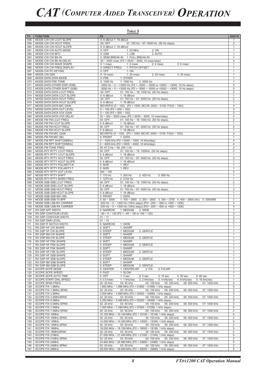| P <sub>1</sub><br><b>FUNCTION</b><br><b>P2</b><br>058<br>MODE-CW CW LCUT SLOPE<br>0: 6 dB/oct 1: 18 dB/oct<br>059<br>MODE-CW CW HCUT FREQ<br>00: OFF<br>01: 700 Hz $\sim$ 67: 4000 Hz (50 Hz steps)<br>060<br>MODE-CW CW HCUT SLOPE<br>0: 6 dB/oct 1: 18 dB/oct<br>2:ON<br>061<br>MODE-CW CW AUTO MODE<br>0: OFF<br>1:50 MHz<br>0: USB<br>2: AUTO<br>062<br>MODE-CW CW BFO<br>$1:$ LSB<br>063<br>MODE-CW CW BK-IN<br>0: SEMI BREAK-IN 1: FULL BREAK-IN<br>064<br>MODE-CW CW BK-IN DELAY<br>$30 \sim 3000$ msec (P2 = 0030 $\sim 3000$ , 10 msec/step)<br>065<br>MODE-CW CW WAVE SHAPE<br>$0:1$ msec<br>$1:2$ msec<br>$2:4$ msec<br>$3:6$ msec<br>0: DIRECT FREQ<br>1: PITCH OFFSET<br>066<br>MODE-CW CW FREQ DISPLAY<br>067<br>MODE-CW PC KEYING<br>0: OFF<br>1: ON<br>MODE-CW QSK<br>$0:15$ msec<br>1:20 msec<br>2:25 mesc<br>068<br>3:30 msec<br>069<br>MODE-DATA DATA MODE<br>0: PSK<br>1: OTHER<br>070<br>MODE-DATA PSK TONE<br>0:1000 Hz<br>1: 1500 Hz<br>2: 2000 Hz<br>-3000 Hz ~ $0 \sim$ +3000 Hz (P2 = -3000 ~ -0000 or +0000 ~ +3000, 10 Hz steps)<br>071<br>MODE-DATA OTHER DISP (SSB)<br>-3000 Hz ~ 0 ~ +3000 Hz (P2 = -3000 ~ -0000 or +0000 ~ +3000, 10 Hz steps)<br>072<br>MODE-DATA OTHER SHIFT (SSB)<br>073<br>00: OFF<br>01: 100 Hz $\sim$ 19: 1000 Hz (50 Hz steps)<br>MODE-DATA DATA LCUT FREQ<br>074<br>MODE-DATA DATA LCUT SLOPE<br>$0:6$ dB/oct<br>1: 18 dB/oct<br>075<br>MODE-DATA DATA HCUT FREQ<br>00: OFF<br>01: 700 Hz $\sim$ 67: 4000 Hz (50 Hz steps)<br>076<br>MODE-DATA DATA HCUT SLOPE<br>1: 18 dB/oct<br>$0:6$ dB/oct<br>MCVR/FIX (0 ~ 100) (P2 = 1000: MCVR, 0000 ~ 0100: FIX(0 ~ 100))<br>077<br>MODE-DATA DATA MIC GAIN<br>078<br>MODE-DATA DATA OUT LEVEL<br>$0 \sim 100$ (P2 = 000 $\sim 100$ )<br>079<br>MODE-DATA DATA VOX GAIN<br>$0 \sim 100$ (P2 = 000 $\sim 100$ )<br>$30 \sim 300 \sim 3000$ msec (P2 = 0030 $\sim 3000$ , 10 msec/step)<br>080<br>MODE-DATA DATA VOX DELAY<br>081<br>MODE-FM FM LCUT FREQ<br>00: OFF<br>01: 100 Hz $\sim$ 19: 1000 Hz (50 Hz steps)<br>MODE-FM FM LCUT SLOPE<br>$0:6$ dB/oct<br>082<br>1: 18 dB/oct<br>01: 700 Hz ~ 67: 4000 Hz (50 Hz steps)<br>083<br>MODE-FM FM HCUT FREQ<br>00: OFF<br>084<br>MODE-FM FM HCUT SLOPE<br>$0:6$ dB/oct<br>1: 18 dB/oct<br>MCVR/FIX (0 ~ 100) (P2 = 1000: MCVR, 0000 ~ 0100: FIX(0 ~ 100))<br>085<br>MODE-FM FM MIC GAIN<br>086<br>MODE-FM FM MIC SEL<br>0: FRONT<br>1: DATA<br>$0 \sim 1000$ kHz (P2 = 0000 ~ 1000, 10 kHz/step)<br>087<br>MODE-FM RPT SHIFT(28MHz)<br>088<br>$0 \sim 4000$ kHz (P2 = 0000 $\sim 4000$ , 10 kHz/step)<br>MODE-FM RPT SHIFT(50MHz)<br>089<br>MODE-FM TONE FREQ<br>00: 67.0 Hz $\sim$ 49: 254.1 Hz<br>01: 100 Hz ~ 19: 1000Hz (50 Hz steps)<br>090<br>MODE-RTY RTTY LCUT FREQ<br>00: OFF<br>091<br>MODE-RTY RTTY LCUT SLOPE<br>$0:6$ dB/oct<br>1: 18 dB/oct<br>MODE-RTY RTTY HCUT FREQ<br>00: OFF<br>01: 700 Hz $\sim$ 67: 4000 Hz (50 Hz steps)<br>092<br>093<br>MODE-RTY RTTY HCUT SLOPE<br>$0:6$ dB/oct<br>1: 18 dB/oct<br>0: NOR<br>094<br>MODE-RTY RTTY POLARITY-R<br>1: REV<br>1:REV<br>095<br>MODE-RTY RTTY POLARITY-T<br>0: NOR<br>096<br>MODE-RTY RTTY OUT LEVEL<br>$000 - 100$<br>MODE-RTY RTTY SHIFT<br>1:170 $Hz$<br>097<br>1:200 Hz<br>2: 425 Hz<br>3:850 Hz<br>098<br>1: 1275 Hz<br>2: 2125 Hz<br>MODE-RTY RTTY MARK FREQ<br>099<br>MODE-SSB SSB LCUT FREQ<br>00: OFF<br>01: 100 Hz ~ 19: 1000 Hz (50 Hz steps)<br>100<br>MODE-SSB SSB LCUT SLOPE<br>$0:6$ dB/oct<br>1: 18 dB/oct<br>101<br>MODE-SSB SSB HCUT FREQ<br>00: OFF<br>01: 700 Hz $\sim$ 67: 4000 Hz (50 Hz steps)<br>MODE-SSB SSB HCUT SLOPE<br>$0:6$ dB/oct<br>1: 18 dB/oct<br>102<br>103<br>MODE-SSB SSB MIC SEL<br>0: FRONT<br>1: DATA<br>104<br>MODE-SSB SSB TX BPF<br>$0:50 \sim 3000$<br>1: 100 ~ 2900 2: 200 ~ 2800 3: 300 ~ 2700 4: 400 ~ 2600 (Hz) 5: 3000 WB<br>-200 Hz ~ $0 \sim$ +200 Hz (10Hz steps) (P2= -200 ~ -000 or +000 ~ +200)<br>105<br>MODE-SSB LSB RX CARRIER<br>-200 Hz ~ $0 \sim$ +200 Hz (10Hz steps) (P2= -200 ~ -000 or +000 ~ +200)<br>106<br>MODE-SSB USB RX CARRIER<br>RX DSP APF WIDTH<br>0: NARROW<br>1: MEDIUM<br>2: WIDE<br>107<br>RX DSP CONTOUR LEVEL<br>$-40 \sim 0 \sim +20$ (P2 = $-40 \sim -00$ or $+00 \sim +20$ )<br>108<br>RX DSP CONTOUR WIDTH<br>$01 - 11$<br>109<br>110<br>RX DSP DNR LEVEL<br>$01 - 15$<br>RX DSP IF NOTCH WIDTH<br>0: NARROW<br>1: WIDE<br>111<br>RX DSP HF CW SHAPE<br>0: SOFT<br>1: SHARP<br>112<br>113<br>RX DSP HF CW SLOPE<br>0: STEEP<br>1: MEDIUM<br>2: GENTLE<br>1: SHARP<br>114<br>RX DSP 6M CW SHAPE<br>0: SOFT<br>RX DSP 6M CW SLOPE<br>0: STEEP<br>1: MEDIUM<br>2: GENTLE<br>115<br>0: SOFT<br>1: SHARP<br>116<br>RX DSP HF PSK SHAPE<br>0: STEEP<br>RX DSP HF PSK SLOPE<br>1: MEDIUM<br>2: GENTLE<br>117<br>RX DSP HF FSK SHAPE<br>0: SOFT<br>1: SHARP<br>118<br>0: STEEP<br>1: MEDIUM<br>2: GENTLE<br>119<br>RX DSP HF FSK SLOPE<br>120<br>RX DSP HF SSB SHAPE<br>0: SOFT<br>1: SHARP<br>0: STEEP<br>RX DSP HF SSB SLOPE<br>1: MEDIUM<br>121<br>2: GENTLE<br>RX DSP 6M SSB SHAPE<br>0: SOFT<br>1: SHARP<br>122<br>RX DSP 6M SSB SLOPE<br>0: STEEP<br>1: MEDIUM<br>2: GENTLE<br>123<br>SCOPE SCPE MODE<br>0: CENTER<br>1: CENTER-WF<br>3: FIX-WF<br>124<br>2: FIX<br>125<br><b>SCOPE SCPE SPEED</b><br>0: FAST<br>1: SLOW<br>SCOPE SCPE AUTO TIME<br>$0:$ OFF<br>$1:3$ sec<br>$2:5$ sec<br>3:10 sec<br>4:30 sec<br>5:60 sec<br>126<br><b>SCOPE START DIAL SPEED</b><br>0: 0.5 k/sec<br>1: 1 kHz/sec<br>2: 2 kHz/sec<br>3: 4 kHz/sec<br>4: 8 kHz/sec<br>127<br>5: 16 kHz/sec<br><b>SCOPE SPAN FREQ</b><br>02: 20 kHz<br>03: 50 kHz<br>04: 100 kHz<br>05: 200 kHz<br>06: 500 kHz<br>07: 1000 kHz<br>128<br>1.800 MHz ~ 1.999 MHz (P2 = 01800 ~ 01999, 1 kHz steps)<br>129<br>SCOPE FIX 1.8MHz<br>130<br>SCOPE FIX 1.8MHz SPAN<br>02: 20 kHz<br>03: 50 kHz<br>04: 100 kHz<br>05: 200 kHz<br>06: 500 kHz<br>07: 1000 kHz<br>3.500 MHz ~ 3.999 MHz (P2 = 03500 ~ 03999, 1 kHz steps)<br>131<br>SCOPE FIX 3.5MHz<br>02: 20 kHz<br>04: 100 kHz<br>05: 200 kHz<br>06: 500 kHz<br>07: 1000 kHz<br>132<br>SCOPE FIX 3.5MHzSPAN<br>03: 50 kHz<br>SCOPE FIX 5.0MHz<br>5.250 MHz ~ 5.499 MHz (P2 = 05250 ~ 05499, 1 kHz steps)<br>133<br>SCOPE FIX 5.0MHz SPAN<br>02: 20 kHz<br>03: 50 kHz<br>04: 100 kHz<br>05: 200 kHz<br>06: 500 kHz<br>07: 1000 kHz<br>134<br>7.000 MHz ~ 7.299 MHz (P2 = 07000 ~ 07299, 1 kHz steps)<br>135<br>SCOPE FIX 7.0MHz<br>02: 20 kHz<br>04: 100 kHz<br>05: 200 kHz<br>06: 500 kHz<br>07: 1000 kHz<br>136<br>SCOPE FIX 7.0MHz SPAN<br>03: 50 kHz<br>10.100 MHz ~ 10.149 MHz (P2 = 10100 ~ 10149, 1 kHz steps)<br>SCOPE FIX 10MHz<br>137<br>SCOPE FIX 10MHz SPAN<br>02: 20 kHz<br>03: 50 kHz<br>04: 100 kHz<br>05: 200 kHz<br>06: 500 kHz<br>07: 1000 kHz<br>138<br>SCOPE FIX 14MHz<br>14.000 MHz ~ 14.349 MHz (P2 = 14000 ~ 14349, 1 kHz steps)<br>139<br>140<br>SCOPE FIX 14MHz SPAN<br>02: 20 kHz<br>03:50 kHz<br>04: 100 kHz<br>05: 200 kHz<br>06: 500 kHz<br>07: 1000 kHz<br>18.000 MHz ~ 18.199 MHz (P2 = 18000 ~ 18199, 1 kHz steps)<br>141<br>SCOPE FIX 18MHz<br>SCOPE FIX 18MHzSPAN<br>02: 20 kHz<br>04: 100 kHz<br>05: 200 kHz<br>06: 500 kHz<br>07: 1000 kHz<br>142<br>03: 50 kHz<br>SCOPE FIX 21MHz<br>21.000 MHz ~ 21.449 MHz (P2 = 21000 ~ 21449, 1 kHz steps)<br>143<br>SCOPE FIX 21MHz SPAN<br>02: 20 kHz<br>03:50 kHz<br>04: 100 kHz<br>05: 200 kHz<br>06: 500 kHz<br>07: 1000 kHz<br>144<br>SCOPE FIX 24MHz<br>24.800 MHz ~ 24.989 MHz (P2 = 24800 ~ 24989, 1 kHz steps)<br>145<br>SCOPE FIX 24MHz SPAN<br>04: 100 kHz<br>07: 1000 kHz<br>146<br>02: 20 kHz<br>03: 50 kHz<br>05: 200 kHz<br>06: 500 kHz |     |                 | Table 3                                                   |                              |
|-----------------------------------------------------------------------------------------------------------------------------------------------------------------------------------------------------------------------------------------------------------------------------------------------------------------------------------------------------------------------------------------------------------------------------------------------------------------------------------------------------------------------------------------------------------------------------------------------------------------------------------------------------------------------------------------------------------------------------------------------------------------------------------------------------------------------------------------------------------------------------------------------------------------------------------------------------------------------------------------------------------------------------------------------------------------------------------------------------------------------------------------------------------------------------------------------------------------------------------------------------------------------------------------------------------------------------------------------------------------------------------------------------------------------------------------------------------------------------------------------------------------------------------------------------------------------------------------------------------------------------------------------------------------------------------------------------------------------------------------------------------------------------------------------------------------------------------------------------------------------------------------------------------------------------------------------------------------------------------------------------------------------------------------------------------------------------------------------------------------------------------------------------------------------------------------------------------------------------------------------------------------------------------------------------------------------------------------------------------------------------------------------------------------------------------------------------------------------------------------------------------------------------------------------------------------------------------------------------------------------------------------------------------------------------------------------------------------------------------------------------------------------------------------------------------------------------------------------------------------------------------------------------------------------------------------------------------------------------------------------------------------------------------------------------------------------------------------------------------------------------------------------------------------------------------------------------------------------------------------------------------------------------------------------------------------------------------------------------------------------------------------------------------------------------------------------------------------------------------------------------------------------------------------------------------------------------------------------------------------------------------------------------------------------------------------------------------------------------------------------------------------------------------------------------------------------------------------------------------------------------------------------------------------------------------------------------------------------------------------------------------------------------------------------------------------------------------------------------------------------------------------------------------------------------------------------------------------------------------------------------------------------------------------------------------------------------------------------------------------------------------------------------------------------------------------------------------------------------------------------------------------------------------------------------------------------------------------------------------------------------------------------------------------------------------------------------------------------------------------------------------------------------------------------------------------------------------------------------------------------------------------------------------------------------------------------------------------------------------------------------------------------------------------------------------------------------------------------------------------------------------------------------------------------------------------------------------------------------------------------------------------------------------------------------------------------------------------------------------------------------------------------------------------------------------------------------------------------------------------------------------------------------------------------------------------------------------------------------------------------------------------------------------------------------------------------------------------------------------------------------------------------------------------------------------------------------------------------------------------------------------------------------------------------------------------------------------------------------------------------------------------------------------------------------------------------------------------------------------------------------------------------------------------------------------------------------------------------------------------------------------------------------------------------------------------------------------------------------------------------------------------------------------------------------------------------------------------------------------------------------------------------------------------------------------------------------------------------------------------------------------------------------------------------------------------------------------------------------------------------------------------------------------------------------------------------------------------------------------------------------------------------------------------------------------------------------------------------------------------------------------------------------------------------------------------------------------------------------------------------------------------------------------------------------------------------------------------------------------------------------------------------------------------------------------------------------------------------------------------------------------------------------------------------------------------------------------------------------------------------------------------------------------------------|-----|-----------------|-----------------------------------------------------------|------------------------------|
|                                                                                                                                                                                                                                                                                                                                                                                                                                                                                                                                                                                                                                                                                                                                                                                                                                                                                                                                                                                                                                                                                                                                                                                                                                                                                                                                                                                                                                                                                                                                                                                                                                                                                                                                                                                                                                                                                                                                                                                                                                                                                                                                                                                                                                                                                                                                                                                                                                                                                                                                                                                                                                                                                                                                                                                                                                                                                                                                                                                                                                                                                                                                                                                                                                                                                                                                                                                                                                                                                                                                                                                                                                                                                                                                                                                                                                                                                                                                                                                                                                                                                                                                                                                                                                                                                                                                                                                                                                                                                                                                                                                                                                                                                                                                                                                                                                                                                                                                                                                                                                                                                                                                                                                                                                                                                                                                                                                                                                                                                                                                                                                                                                                                                                                                                                                                                                                                                                                                                                                                                                                                                                                                                                                                                                                                                                                                                                                                                                                                                                                                                                                                                                                                                                                                                                                                                                                                                                                                                                                                                                                                                                                                                                                                                                                                                                                                                                                                                                                                                                                                               |     |                 |                                                           | <b>DIGITS</b>                |
|                                                                                                                                                                                                                                                                                                                                                                                                                                                                                                                                                                                                                                                                                                                                                                                                                                                                                                                                                                                                                                                                                                                                                                                                                                                                                                                                                                                                                                                                                                                                                                                                                                                                                                                                                                                                                                                                                                                                                                                                                                                                                                                                                                                                                                                                                                                                                                                                                                                                                                                                                                                                                                                                                                                                                                                                                                                                                                                                                                                                                                                                                                                                                                                                                                                                                                                                                                                                                                                                                                                                                                                                                                                                                                                                                                                                                                                                                                                                                                                                                                                                                                                                                                                                                                                                                                                                                                                                                                                                                                                                                                                                                                                                                                                                                                                                                                                                                                                                                                                                                                                                                                                                                                                                                                                                                                                                                                                                                                                                                                                                                                                                                                                                                                                                                                                                                                                                                                                                                                                                                                                                                                                                                                                                                                                                                                                                                                                                                                                                                                                                                                                                                                                                                                                                                                                                                                                                                                                                                                                                                                                                                                                                                                                                                                                                                                                                                                                                                                                                                                                                               |     |                 |                                                           | 1                            |
|                                                                                                                                                                                                                                                                                                                                                                                                                                                                                                                                                                                                                                                                                                                                                                                                                                                                                                                                                                                                                                                                                                                                                                                                                                                                                                                                                                                                                                                                                                                                                                                                                                                                                                                                                                                                                                                                                                                                                                                                                                                                                                                                                                                                                                                                                                                                                                                                                                                                                                                                                                                                                                                                                                                                                                                                                                                                                                                                                                                                                                                                                                                                                                                                                                                                                                                                                                                                                                                                                                                                                                                                                                                                                                                                                                                                                                                                                                                                                                                                                                                                                                                                                                                                                                                                                                                                                                                                                                                                                                                                                                                                                                                                                                                                                                                                                                                                                                                                                                                                                                                                                                                                                                                                                                                                                                                                                                                                                                                                                                                                                                                                                                                                                                                                                                                                                                                                                                                                                                                                                                                                                                                                                                                                                                                                                                                                                                                                                                                                                                                                                                                                                                                                                                                                                                                                                                                                                                                                                                                                                                                                                                                                                                                                                                                                                                                                                                                                                                                                                                                                               |     |                 |                                                           | $\overline{2}$               |
|                                                                                                                                                                                                                                                                                                                                                                                                                                                                                                                                                                                                                                                                                                                                                                                                                                                                                                                                                                                                                                                                                                                                                                                                                                                                                                                                                                                                                                                                                                                                                                                                                                                                                                                                                                                                                                                                                                                                                                                                                                                                                                                                                                                                                                                                                                                                                                                                                                                                                                                                                                                                                                                                                                                                                                                                                                                                                                                                                                                                                                                                                                                                                                                                                                                                                                                                                                                                                                                                                                                                                                                                                                                                                                                                                                                                                                                                                                                                                                                                                                                                                                                                                                                                                                                                                                                                                                                                                                                                                                                                                                                                                                                                                                                                                                                                                                                                                                                                                                                                                                                                                                                                                                                                                                                                                                                                                                                                                                                                                                                                                                                                                                                                                                                                                                                                                                                                                                                                                                                                                                                                                                                                                                                                                                                                                                                                                                                                                                                                                                                                                                                                                                                                                                                                                                                                                                                                                                                                                                                                                                                                                                                                                                                                                                                                                                                                                                                                                                                                                                                                               |     |                 |                                                           | $\mathbf{1}$                 |
|                                                                                                                                                                                                                                                                                                                                                                                                                                                                                                                                                                                                                                                                                                                                                                                                                                                                                                                                                                                                                                                                                                                                                                                                                                                                                                                                                                                                                                                                                                                                                                                                                                                                                                                                                                                                                                                                                                                                                                                                                                                                                                                                                                                                                                                                                                                                                                                                                                                                                                                                                                                                                                                                                                                                                                                                                                                                                                                                                                                                                                                                                                                                                                                                                                                                                                                                                                                                                                                                                                                                                                                                                                                                                                                                                                                                                                                                                                                                                                                                                                                                                                                                                                                                                                                                                                                                                                                                                                                                                                                                                                                                                                                                                                                                                                                                                                                                                                                                                                                                                                                                                                                                                                                                                                                                                                                                                                                                                                                                                                                                                                                                                                                                                                                                                                                                                                                                                                                                                                                                                                                                                                                                                                                                                                                                                                                                                                                                                                                                                                                                                                                                                                                                                                                                                                                                                                                                                                                                                                                                                                                                                                                                                                                                                                                                                                                                                                                                                                                                                                                                               |     |                 |                                                           | $\mathbf{1}$                 |
|                                                                                                                                                                                                                                                                                                                                                                                                                                                                                                                                                                                                                                                                                                                                                                                                                                                                                                                                                                                                                                                                                                                                                                                                                                                                                                                                                                                                                                                                                                                                                                                                                                                                                                                                                                                                                                                                                                                                                                                                                                                                                                                                                                                                                                                                                                                                                                                                                                                                                                                                                                                                                                                                                                                                                                                                                                                                                                                                                                                                                                                                                                                                                                                                                                                                                                                                                                                                                                                                                                                                                                                                                                                                                                                                                                                                                                                                                                                                                                                                                                                                                                                                                                                                                                                                                                                                                                                                                                                                                                                                                                                                                                                                                                                                                                                                                                                                                                                                                                                                                                                                                                                                                                                                                                                                                                                                                                                                                                                                                                                                                                                                                                                                                                                                                                                                                                                                                                                                                                                                                                                                                                                                                                                                                                                                                                                                                                                                                                                                                                                                                                                                                                                                                                                                                                                                                                                                                                                                                                                                                                                                                                                                                                                                                                                                                                                                                                                                                                                                                                                                               |     |                 |                                                           | $\mathbf{1}$<br>$\mathbf{1}$ |
|                                                                                                                                                                                                                                                                                                                                                                                                                                                                                                                                                                                                                                                                                                                                                                                                                                                                                                                                                                                                                                                                                                                                                                                                                                                                                                                                                                                                                                                                                                                                                                                                                                                                                                                                                                                                                                                                                                                                                                                                                                                                                                                                                                                                                                                                                                                                                                                                                                                                                                                                                                                                                                                                                                                                                                                                                                                                                                                                                                                                                                                                                                                                                                                                                                                                                                                                                                                                                                                                                                                                                                                                                                                                                                                                                                                                                                                                                                                                                                                                                                                                                                                                                                                                                                                                                                                                                                                                                                                                                                                                                                                                                                                                                                                                                                                                                                                                                                                                                                                                                                                                                                                                                                                                                                                                                                                                                                                                                                                                                                                                                                                                                                                                                                                                                                                                                                                                                                                                                                                                                                                                                                                                                                                                                                                                                                                                                                                                                                                                                                                                                                                                                                                                                                                                                                                                                                                                                                                                                                                                                                                                                                                                                                                                                                                                                                                                                                                                                                                                                                                                               |     |                 |                                                           | $\overline{4}$               |
|                                                                                                                                                                                                                                                                                                                                                                                                                                                                                                                                                                                                                                                                                                                                                                                                                                                                                                                                                                                                                                                                                                                                                                                                                                                                                                                                                                                                                                                                                                                                                                                                                                                                                                                                                                                                                                                                                                                                                                                                                                                                                                                                                                                                                                                                                                                                                                                                                                                                                                                                                                                                                                                                                                                                                                                                                                                                                                                                                                                                                                                                                                                                                                                                                                                                                                                                                                                                                                                                                                                                                                                                                                                                                                                                                                                                                                                                                                                                                                                                                                                                                                                                                                                                                                                                                                                                                                                                                                                                                                                                                                                                                                                                                                                                                                                                                                                                                                                                                                                                                                                                                                                                                                                                                                                                                                                                                                                                                                                                                                                                                                                                                                                                                                                                                                                                                                                                                                                                                                                                                                                                                                                                                                                                                                                                                                                                                                                                                                                                                                                                                                                                                                                                                                                                                                                                                                                                                                                                                                                                                                                                                                                                                                                                                                                                                                                                                                                                                                                                                                                                               |     |                 |                                                           | $\mathbf{1}$                 |
|                                                                                                                                                                                                                                                                                                                                                                                                                                                                                                                                                                                                                                                                                                                                                                                                                                                                                                                                                                                                                                                                                                                                                                                                                                                                                                                                                                                                                                                                                                                                                                                                                                                                                                                                                                                                                                                                                                                                                                                                                                                                                                                                                                                                                                                                                                                                                                                                                                                                                                                                                                                                                                                                                                                                                                                                                                                                                                                                                                                                                                                                                                                                                                                                                                                                                                                                                                                                                                                                                                                                                                                                                                                                                                                                                                                                                                                                                                                                                                                                                                                                                                                                                                                                                                                                                                                                                                                                                                                                                                                                                                                                                                                                                                                                                                                                                                                                                                                                                                                                                                                                                                                                                                                                                                                                                                                                                                                                                                                                                                                                                                                                                                                                                                                                                                                                                                                                                                                                                                                                                                                                                                                                                                                                                                                                                                                                                                                                                                                                                                                                                                                                                                                                                                                                                                                                                                                                                                                                                                                                                                                                                                                                                                                                                                                                                                                                                                                                                                                                                                                                               |     |                 |                                                           | $\mathbf{1}$                 |
|                                                                                                                                                                                                                                                                                                                                                                                                                                                                                                                                                                                                                                                                                                                                                                                                                                                                                                                                                                                                                                                                                                                                                                                                                                                                                                                                                                                                                                                                                                                                                                                                                                                                                                                                                                                                                                                                                                                                                                                                                                                                                                                                                                                                                                                                                                                                                                                                                                                                                                                                                                                                                                                                                                                                                                                                                                                                                                                                                                                                                                                                                                                                                                                                                                                                                                                                                                                                                                                                                                                                                                                                                                                                                                                                                                                                                                                                                                                                                                                                                                                                                                                                                                                                                                                                                                                                                                                                                                                                                                                                                                                                                                                                                                                                                                                                                                                                                                                                                                                                                                                                                                                                                                                                                                                                                                                                                                                                                                                                                                                                                                                                                                                                                                                                                                                                                                                                                                                                                                                                                                                                                                                                                                                                                                                                                                                                                                                                                                                                                                                                                                                                                                                                                                                                                                                                                                                                                                                                                                                                                                                                                                                                                                                                                                                                                                                                                                                                                                                                                                                                               |     |                 |                                                           | $\mathbf{1}$                 |
|                                                                                                                                                                                                                                                                                                                                                                                                                                                                                                                                                                                                                                                                                                                                                                                                                                                                                                                                                                                                                                                                                                                                                                                                                                                                                                                                                                                                                                                                                                                                                                                                                                                                                                                                                                                                                                                                                                                                                                                                                                                                                                                                                                                                                                                                                                                                                                                                                                                                                                                                                                                                                                                                                                                                                                                                                                                                                                                                                                                                                                                                                                                                                                                                                                                                                                                                                                                                                                                                                                                                                                                                                                                                                                                                                                                                                                                                                                                                                                                                                                                                                                                                                                                                                                                                                                                                                                                                                                                                                                                                                                                                                                                                                                                                                                                                                                                                                                                                                                                                                                                                                                                                                                                                                                                                                                                                                                                                                                                                                                                                                                                                                                                                                                                                                                                                                                                                                                                                                                                                                                                                                                                                                                                                                                                                                                                                                                                                                                                                                                                                                                                                                                                                                                                                                                                                                                                                                                                                                                                                                                                                                                                                                                                                                                                                                                                                                                                                                                                                                                                                               |     |                 |                                                           | $\mathbf{1}$                 |
|                                                                                                                                                                                                                                                                                                                                                                                                                                                                                                                                                                                                                                                                                                                                                                                                                                                                                                                                                                                                                                                                                                                                                                                                                                                                                                                                                                                                                                                                                                                                                                                                                                                                                                                                                                                                                                                                                                                                                                                                                                                                                                                                                                                                                                                                                                                                                                                                                                                                                                                                                                                                                                                                                                                                                                                                                                                                                                                                                                                                                                                                                                                                                                                                                                                                                                                                                                                                                                                                                                                                                                                                                                                                                                                                                                                                                                                                                                                                                                                                                                                                                                                                                                                                                                                                                                                                                                                                                                                                                                                                                                                                                                                                                                                                                                                                                                                                                                                                                                                                                                                                                                                                                                                                                                                                                                                                                                                                                                                                                                                                                                                                                                                                                                                                                                                                                                                                                                                                                                                                                                                                                                                                                                                                                                                                                                                                                                                                                                                                                                                                                                                                                                                                                                                                                                                                                                                                                                                                                                                                                                                                                                                                                                                                                                                                                                                                                                                                                                                                                                                                               |     |                 |                                                           | 1                            |
|                                                                                                                                                                                                                                                                                                                                                                                                                                                                                                                                                                                                                                                                                                                                                                                                                                                                                                                                                                                                                                                                                                                                                                                                                                                                                                                                                                                                                                                                                                                                                                                                                                                                                                                                                                                                                                                                                                                                                                                                                                                                                                                                                                                                                                                                                                                                                                                                                                                                                                                                                                                                                                                                                                                                                                                                                                                                                                                                                                                                                                                                                                                                                                                                                                                                                                                                                                                                                                                                                                                                                                                                                                                                                                                                                                                                                                                                                                                                                                                                                                                                                                                                                                                                                                                                                                                                                                                                                                                                                                                                                                                                                                                                                                                                                                                                                                                                                                                                                                                                                                                                                                                                                                                                                                                                                                                                                                                                                                                                                                                                                                                                                                                                                                                                                                                                                                                                                                                                                                                                                                                                                                                                                                                                                                                                                                                                                                                                                                                                                                                                                                                                                                                                                                                                                                                                                                                                                                                                                                                                                                                                                                                                                                                                                                                                                                                                                                                                                                                                                                                                               |     |                 |                                                           | $\mathbf{1}$                 |
|                                                                                                                                                                                                                                                                                                                                                                                                                                                                                                                                                                                                                                                                                                                                                                                                                                                                                                                                                                                                                                                                                                                                                                                                                                                                                                                                                                                                                                                                                                                                                                                                                                                                                                                                                                                                                                                                                                                                                                                                                                                                                                                                                                                                                                                                                                                                                                                                                                                                                                                                                                                                                                                                                                                                                                                                                                                                                                                                                                                                                                                                                                                                                                                                                                                                                                                                                                                                                                                                                                                                                                                                                                                                                                                                                                                                                                                                                                                                                                                                                                                                                                                                                                                                                                                                                                                                                                                                                                                                                                                                                                                                                                                                                                                                                                                                                                                                                                                                                                                                                                                                                                                                                                                                                                                                                                                                                                                                                                                                                                                                                                                                                                                                                                                                                                                                                                                                                                                                                                                                                                                                                                                                                                                                                                                                                                                                                                                                                                                                                                                                                                                                                                                                                                                                                                                                                                                                                                                                                                                                                                                                                                                                                                                                                                                                                                                                                                                                                                                                                                                                               |     |                 |                                                           | 5                            |
|                                                                                                                                                                                                                                                                                                                                                                                                                                                                                                                                                                                                                                                                                                                                                                                                                                                                                                                                                                                                                                                                                                                                                                                                                                                                                                                                                                                                                                                                                                                                                                                                                                                                                                                                                                                                                                                                                                                                                                                                                                                                                                                                                                                                                                                                                                                                                                                                                                                                                                                                                                                                                                                                                                                                                                                                                                                                                                                                                                                                                                                                                                                                                                                                                                                                                                                                                                                                                                                                                                                                                                                                                                                                                                                                                                                                                                                                                                                                                                                                                                                                                                                                                                                                                                                                                                                                                                                                                                                                                                                                                                                                                                                                                                                                                                                                                                                                                                                                                                                                                                                                                                                                                                                                                                                                                                                                                                                                                                                                                                                                                                                                                                                                                                                                                                                                                                                                                                                                                                                                                                                                                                                                                                                                                                                                                                                                                                                                                                                                                                                                                                                                                                                                                                                                                                                                                                                                                                                                                                                                                                                                                                                                                                                                                                                                                                                                                                                                                                                                                                                                               |     |                 |                                                           | 5                            |
|                                                                                                                                                                                                                                                                                                                                                                                                                                                                                                                                                                                                                                                                                                                                                                                                                                                                                                                                                                                                                                                                                                                                                                                                                                                                                                                                                                                                                                                                                                                                                                                                                                                                                                                                                                                                                                                                                                                                                                                                                                                                                                                                                                                                                                                                                                                                                                                                                                                                                                                                                                                                                                                                                                                                                                                                                                                                                                                                                                                                                                                                                                                                                                                                                                                                                                                                                                                                                                                                                                                                                                                                                                                                                                                                                                                                                                                                                                                                                                                                                                                                                                                                                                                                                                                                                                                                                                                                                                                                                                                                                                                                                                                                                                                                                                                                                                                                                                                                                                                                                                                                                                                                                                                                                                                                                                                                                                                                                                                                                                                                                                                                                                                                                                                                                                                                                                                                                                                                                                                                                                                                                                                                                                                                                                                                                                                                                                                                                                                                                                                                                                                                                                                                                                                                                                                                                                                                                                                                                                                                                                                                                                                                                                                                                                                                                                                                                                                                                                                                                                                                               |     |                 |                                                           | $\overline{2}$               |
|                                                                                                                                                                                                                                                                                                                                                                                                                                                                                                                                                                                                                                                                                                                                                                                                                                                                                                                                                                                                                                                                                                                                                                                                                                                                                                                                                                                                                                                                                                                                                                                                                                                                                                                                                                                                                                                                                                                                                                                                                                                                                                                                                                                                                                                                                                                                                                                                                                                                                                                                                                                                                                                                                                                                                                                                                                                                                                                                                                                                                                                                                                                                                                                                                                                                                                                                                                                                                                                                                                                                                                                                                                                                                                                                                                                                                                                                                                                                                                                                                                                                                                                                                                                                                                                                                                                                                                                                                                                                                                                                                                                                                                                                                                                                                                                                                                                                                                                                                                                                                                                                                                                                                                                                                                                                                                                                                                                                                                                                                                                                                                                                                                                                                                                                                                                                                                                                                                                                                                                                                                                                                                                                                                                                                                                                                                                                                                                                                                                                                                                                                                                                                                                                                                                                                                                                                                                                                                                                                                                                                                                                                                                                                                                                                                                                                                                                                                                                                                                                                                                                               |     |                 |                                                           | 1                            |
|                                                                                                                                                                                                                                                                                                                                                                                                                                                                                                                                                                                                                                                                                                                                                                                                                                                                                                                                                                                                                                                                                                                                                                                                                                                                                                                                                                                                                                                                                                                                                                                                                                                                                                                                                                                                                                                                                                                                                                                                                                                                                                                                                                                                                                                                                                                                                                                                                                                                                                                                                                                                                                                                                                                                                                                                                                                                                                                                                                                                                                                                                                                                                                                                                                                                                                                                                                                                                                                                                                                                                                                                                                                                                                                                                                                                                                                                                                                                                                                                                                                                                                                                                                                                                                                                                                                                                                                                                                                                                                                                                                                                                                                                                                                                                                                                                                                                                                                                                                                                                                                                                                                                                                                                                                                                                                                                                                                                                                                                                                                                                                                                                                                                                                                                                                                                                                                                                                                                                                                                                                                                                                                                                                                                                                                                                                                                                                                                                                                                                                                                                                                                                                                                                                                                                                                                                                                                                                                                                                                                                                                                                                                                                                                                                                                                                                                                                                                                                                                                                                                                               |     |                 |                                                           | $\overline{2}$               |
|                                                                                                                                                                                                                                                                                                                                                                                                                                                                                                                                                                                                                                                                                                                                                                                                                                                                                                                                                                                                                                                                                                                                                                                                                                                                                                                                                                                                                                                                                                                                                                                                                                                                                                                                                                                                                                                                                                                                                                                                                                                                                                                                                                                                                                                                                                                                                                                                                                                                                                                                                                                                                                                                                                                                                                                                                                                                                                                                                                                                                                                                                                                                                                                                                                                                                                                                                                                                                                                                                                                                                                                                                                                                                                                                                                                                                                                                                                                                                                                                                                                                                                                                                                                                                                                                                                                                                                                                                                                                                                                                                                                                                                                                                                                                                                                                                                                                                                                                                                                                                                                                                                                                                                                                                                                                                                                                                                                                                                                                                                                                                                                                                                                                                                                                                                                                                                                                                                                                                                                                                                                                                                                                                                                                                                                                                                                                                                                                                                                                                                                                                                                                                                                                                                                                                                                                                                                                                                                                                                                                                                                                                                                                                                                                                                                                                                                                                                                                                                                                                                                                               |     |                 |                                                           | 1                            |
|                                                                                                                                                                                                                                                                                                                                                                                                                                                                                                                                                                                                                                                                                                                                                                                                                                                                                                                                                                                                                                                                                                                                                                                                                                                                                                                                                                                                                                                                                                                                                                                                                                                                                                                                                                                                                                                                                                                                                                                                                                                                                                                                                                                                                                                                                                                                                                                                                                                                                                                                                                                                                                                                                                                                                                                                                                                                                                                                                                                                                                                                                                                                                                                                                                                                                                                                                                                                                                                                                                                                                                                                                                                                                                                                                                                                                                                                                                                                                                                                                                                                                                                                                                                                                                                                                                                                                                                                                                                                                                                                                                                                                                                                                                                                                                                                                                                                                                                                                                                                                                                                                                                                                                                                                                                                                                                                                                                                                                                                                                                                                                                                                                                                                                                                                                                                                                                                                                                                                                                                                                                                                                                                                                                                                                                                                                                                                                                                                                                                                                                                                                                                                                                                                                                                                                                                                                                                                                                                                                                                                                                                                                                                                                                                                                                                                                                                                                                                                                                                                                                                               |     |                 |                                                           | $\overline{4}$               |
|                                                                                                                                                                                                                                                                                                                                                                                                                                                                                                                                                                                                                                                                                                                                                                                                                                                                                                                                                                                                                                                                                                                                                                                                                                                                                                                                                                                                                                                                                                                                                                                                                                                                                                                                                                                                                                                                                                                                                                                                                                                                                                                                                                                                                                                                                                                                                                                                                                                                                                                                                                                                                                                                                                                                                                                                                                                                                                                                                                                                                                                                                                                                                                                                                                                                                                                                                                                                                                                                                                                                                                                                                                                                                                                                                                                                                                                                                                                                                                                                                                                                                                                                                                                                                                                                                                                                                                                                                                                                                                                                                                                                                                                                                                                                                                                                                                                                                                                                                                                                                                                                                                                                                                                                                                                                                                                                                                                                                                                                                                                                                                                                                                                                                                                                                                                                                                                                                                                                                                                                                                                                                                                                                                                                                                                                                                                                                                                                                                                                                                                                                                                                                                                                                                                                                                                                                                                                                                                                                                                                                                                                                                                                                                                                                                                                                                                                                                                                                                                                                                                                               |     |                 |                                                           | 3                            |
|                                                                                                                                                                                                                                                                                                                                                                                                                                                                                                                                                                                                                                                                                                                                                                                                                                                                                                                                                                                                                                                                                                                                                                                                                                                                                                                                                                                                                                                                                                                                                                                                                                                                                                                                                                                                                                                                                                                                                                                                                                                                                                                                                                                                                                                                                                                                                                                                                                                                                                                                                                                                                                                                                                                                                                                                                                                                                                                                                                                                                                                                                                                                                                                                                                                                                                                                                                                                                                                                                                                                                                                                                                                                                                                                                                                                                                                                                                                                                                                                                                                                                                                                                                                                                                                                                                                                                                                                                                                                                                                                                                                                                                                                                                                                                                                                                                                                                                                                                                                                                                                                                                                                                                                                                                                                                                                                                                                                                                                                                                                                                                                                                                                                                                                                                                                                                                                                                                                                                                                                                                                                                                                                                                                                                                                                                                                                                                                                                                                                                                                                                                                                                                                                                                                                                                                                                                                                                                                                                                                                                                                                                                                                                                                                                                                                                                                                                                                                                                                                                                                                               |     |                 |                                                           | 3<br>$\overline{4}$          |
|                                                                                                                                                                                                                                                                                                                                                                                                                                                                                                                                                                                                                                                                                                                                                                                                                                                                                                                                                                                                                                                                                                                                                                                                                                                                                                                                                                                                                                                                                                                                                                                                                                                                                                                                                                                                                                                                                                                                                                                                                                                                                                                                                                                                                                                                                                                                                                                                                                                                                                                                                                                                                                                                                                                                                                                                                                                                                                                                                                                                                                                                                                                                                                                                                                                                                                                                                                                                                                                                                                                                                                                                                                                                                                                                                                                                                                                                                                                                                                                                                                                                                                                                                                                                                                                                                                                                                                                                                                                                                                                                                                                                                                                                                                                                                                                                                                                                                                                                                                                                                                                                                                                                                                                                                                                                                                                                                                                                                                                                                                                                                                                                                                                                                                                                                                                                                                                                                                                                                                                                                                                                                                                                                                                                                                                                                                                                                                                                                                                                                                                                                                                                                                                                                                                                                                                                                                                                                                                                                                                                                                                                                                                                                                                                                                                                                                                                                                                                                                                                                                                                               |     |                 |                                                           | $\overline{2}$               |
|                                                                                                                                                                                                                                                                                                                                                                                                                                                                                                                                                                                                                                                                                                                                                                                                                                                                                                                                                                                                                                                                                                                                                                                                                                                                                                                                                                                                                                                                                                                                                                                                                                                                                                                                                                                                                                                                                                                                                                                                                                                                                                                                                                                                                                                                                                                                                                                                                                                                                                                                                                                                                                                                                                                                                                                                                                                                                                                                                                                                                                                                                                                                                                                                                                                                                                                                                                                                                                                                                                                                                                                                                                                                                                                                                                                                                                                                                                                                                                                                                                                                                                                                                                                                                                                                                                                                                                                                                                                                                                                                                                                                                                                                                                                                                                                                                                                                                                                                                                                                                                                                                                                                                                                                                                                                                                                                                                                                                                                                                                                                                                                                                                                                                                                                                                                                                                                                                                                                                                                                                                                                                                                                                                                                                                                                                                                                                                                                                                                                                                                                                                                                                                                                                                                                                                                                                                                                                                                                                                                                                                                                                                                                                                                                                                                                                                                                                                                                                                                                                                                                               |     |                 |                                                           | 1                            |
|                                                                                                                                                                                                                                                                                                                                                                                                                                                                                                                                                                                                                                                                                                                                                                                                                                                                                                                                                                                                                                                                                                                                                                                                                                                                                                                                                                                                                                                                                                                                                                                                                                                                                                                                                                                                                                                                                                                                                                                                                                                                                                                                                                                                                                                                                                                                                                                                                                                                                                                                                                                                                                                                                                                                                                                                                                                                                                                                                                                                                                                                                                                                                                                                                                                                                                                                                                                                                                                                                                                                                                                                                                                                                                                                                                                                                                                                                                                                                                                                                                                                                                                                                                                                                                                                                                                                                                                                                                                                                                                                                                                                                                                                                                                                                                                                                                                                                                                                                                                                                                                                                                                                                                                                                                                                                                                                                                                                                                                                                                                                                                                                                                                                                                                                                                                                                                                                                                                                                                                                                                                                                                                                                                                                                                                                                                                                                                                                                                                                                                                                                                                                                                                                                                                                                                                                                                                                                                                                                                                                                                                                                                                                                                                                                                                                                                                                                                                                                                                                                                                                               |     |                 |                                                           | $\overline{2}$               |
|                                                                                                                                                                                                                                                                                                                                                                                                                                                                                                                                                                                                                                                                                                                                                                                                                                                                                                                                                                                                                                                                                                                                                                                                                                                                                                                                                                                                                                                                                                                                                                                                                                                                                                                                                                                                                                                                                                                                                                                                                                                                                                                                                                                                                                                                                                                                                                                                                                                                                                                                                                                                                                                                                                                                                                                                                                                                                                                                                                                                                                                                                                                                                                                                                                                                                                                                                                                                                                                                                                                                                                                                                                                                                                                                                                                                                                                                                                                                                                                                                                                                                                                                                                                                                                                                                                                                                                                                                                                                                                                                                                                                                                                                                                                                                                                                                                                                                                                                                                                                                                                                                                                                                                                                                                                                                                                                                                                                                                                                                                                                                                                                                                                                                                                                                                                                                                                                                                                                                                                                                                                                                                                                                                                                                                                                                                                                                                                                                                                                                                                                                                                                                                                                                                                                                                                                                                                                                                                                                                                                                                                                                                                                                                                                                                                                                                                                                                                                                                                                                                                                               |     |                 |                                                           | 1                            |
|                                                                                                                                                                                                                                                                                                                                                                                                                                                                                                                                                                                                                                                                                                                                                                                                                                                                                                                                                                                                                                                                                                                                                                                                                                                                                                                                                                                                                                                                                                                                                                                                                                                                                                                                                                                                                                                                                                                                                                                                                                                                                                                                                                                                                                                                                                                                                                                                                                                                                                                                                                                                                                                                                                                                                                                                                                                                                                                                                                                                                                                                                                                                                                                                                                                                                                                                                                                                                                                                                                                                                                                                                                                                                                                                                                                                                                                                                                                                                                                                                                                                                                                                                                                                                                                                                                                                                                                                                                                                                                                                                                                                                                                                                                                                                                                                                                                                                                                                                                                                                                                                                                                                                                                                                                                                                                                                                                                                                                                                                                                                                                                                                                                                                                                                                                                                                                                                                                                                                                                                                                                                                                                                                                                                                                                                                                                                                                                                                                                                                                                                                                                                                                                                                                                                                                                                                                                                                                                                                                                                                                                                                                                                                                                                                                                                                                                                                                                                                                                                                                                                               |     |                 |                                                           | $\overline{4}$               |
|                                                                                                                                                                                                                                                                                                                                                                                                                                                                                                                                                                                                                                                                                                                                                                                                                                                                                                                                                                                                                                                                                                                                                                                                                                                                                                                                                                                                                                                                                                                                                                                                                                                                                                                                                                                                                                                                                                                                                                                                                                                                                                                                                                                                                                                                                                                                                                                                                                                                                                                                                                                                                                                                                                                                                                                                                                                                                                                                                                                                                                                                                                                                                                                                                                                                                                                                                                                                                                                                                                                                                                                                                                                                                                                                                                                                                                                                                                                                                                                                                                                                                                                                                                                                                                                                                                                                                                                                                                                                                                                                                                                                                                                                                                                                                                                                                                                                                                                                                                                                                                                                                                                                                                                                                                                                                                                                                                                                                                                                                                                                                                                                                                                                                                                                                                                                                                                                                                                                                                                                                                                                                                                                                                                                                                                                                                                                                                                                                                                                                                                                                                                                                                                                                                                                                                                                                                                                                                                                                                                                                                                                                                                                                                                                                                                                                                                                                                                                                                                                                                                                               |     |                 |                                                           | 1                            |
|                                                                                                                                                                                                                                                                                                                                                                                                                                                                                                                                                                                                                                                                                                                                                                                                                                                                                                                                                                                                                                                                                                                                                                                                                                                                                                                                                                                                                                                                                                                                                                                                                                                                                                                                                                                                                                                                                                                                                                                                                                                                                                                                                                                                                                                                                                                                                                                                                                                                                                                                                                                                                                                                                                                                                                                                                                                                                                                                                                                                                                                                                                                                                                                                                                                                                                                                                                                                                                                                                                                                                                                                                                                                                                                                                                                                                                                                                                                                                                                                                                                                                                                                                                                                                                                                                                                                                                                                                                                                                                                                                                                                                                                                                                                                                                                                                                                                                                                                                                                                                                                                                                                                                                                                                                                                                                                                                                                                                                                                                                                                                                                                                                                                                                                                                                                                                                                                                                                                                                                                                                                                                                                                                                                                                                                                                                                                                                                                                                                                                                                                                                                                                                                                                                                                                                                                                                                                                                                                                                                                                                                                                                                                                                                                                                                                                                                                                                                                                                                                                                                                               |     |                 |                                                           | 4                            |
|                                                                                                                                                                                                                                                                                                                                                                                                                                                                                                                                                                                                                                                                                                                                                                                                                                                                                                                                                                                                                                                                                                                                                                                                                                                                                                                                                                                                                                                                                                                                                                                                                                                                                                                                                                                                                                                                                                                                                                                                                                                                                                                                                                                                                                                                                                                                                                                                                                                                                                                                                                                                                                                                                                                                                                                                                                                                                                                                                                                                                                                                                                                                                                                                                                                                                                                                                                                                                                                                                                                                                                                                                                                                                                                                                                                                                                                                                                                                                                                                                                                                                                                                                                                                                                                                                                                                                                                                                                                                                                                                                                                                                                                                                                                                                                                                                                                                                                                                                                                                                                                                                                                                                                                                                                                                                                                                                                                                                                                                                                                                                                                                                                                                                                                                                                                                                                                                                                                                                                                                                                                                                                                                                                                                                                                                                                                                                                                                                                                                                                                                                                                                                                                                                                                                                                                                                                                                                                                                                                                                                                                                                                                                                                                                                                                                                                                                                                                                                                                                                                                                               |     |                 |                                                           | $\overline{4}$               |
|                                                                                                                                                                                                                                                                                                                                                                                                                                                                                                                                                                                                                                                                                                                                                                                                                                                                                                                                                                                                                                                                                                                                                                                                                                                                                                                                                                                                                                                                                                                                                                                                                                                                                                                                                                                                                                                                                                                                                                                                                                                                                                                                                                                                                                                                                                                                                                                                                                                                                                                                                                                                                                                                                                                                                                                                                                                                                                                                                                                                                                                                                                                                                                                                                                                                                                                                                                                                                                                                                                                                                                                                                                                                                                                                                                                                                                                                                                                                                                                                                                                                                                                                                                                                                                                                                                                                                                                                                                                                                                                                                                                                                                                                                                                                                                                                                                                                                                                                                                                                                                                                                                                                                                                                                                                                                                                                                                                                                                                                                                                                                                                                                                                                                                                                                                                                                                                                                                                                                                                                                                                                                                                                                                                                                                                                                                                                                                                                                                                                                                                                                                                                                                                                                                                                                                                                                                                                                                                                                                                                                                                                                                                                                                                                                                                                                                                                                                                                                                                                                                                                               |     |                 |                                                           | $\overline{2}$               |
|                                                                                                                                                                                                                                                                                                                                                                                                                                                                                                                                                                                                                                                                                                                                                                                                                                                                                                                                                                                                                                                                                                                                                                                                                                                                                                                                                                                                                                                                                                                                                                                                                                                                                                                                                                                                                                                                                                                                                                                                                                                                                                                                                                                                                                                                                                                                                                                                                                                                                                                                                                                                                                                                                                                                                                                                                                                                                                                                                                                                                                                                                                                                                                                                                                                                                                                                                                                                                                                                                                                                                                                                                                                                                                                                                                                                                                                                                                                                                                                                                                                                                                                                                                                                                                                                                                                                                                                                                                                                                                                                                                                                                                                                                                                                                                                                                                                                                                                                                                                                                                                                                                                                                                                                                                                                                                                                                                                                                                                                                                                                                                                                                                                                                                                                                                                                                                                                                                                                                                                                                                                                                                                                                                                                                                                                                                                                                                                                                                                                                                                                                                                                                                                                                                                                                                                                                                                                                                                                                                                                                                                                                                                                                                                                                                                                                                                                                                                                                                                                                                                                               |     |                 |                                                           | $\overline{2}$               |
|                                                                                                                                                                                                                                                                                                                                                                                                                                                                                                                                                                                                                                                                                                                                                                                                                                                                                                                                                                                                                                                                                                                                                                                                                                                                                                                                                                                                                                                                                                                                                                                                                                                                                                                                                                                                                                                                                                                                                                                                                                                                                                                                                                                                                                                                                                                                                                                                                                                                                                                                                                                                                                                                                                                                                                                                                                                                                                                                                                                                                                                                                                                                                                                                                                                                                                                                                                                                                                                                                                                                                                                                                                                                                                                                                                                                                                                                                                                                                                                                                                                                                                                                                                                                                                                                                                                                                                                                                                                                                                                                                                                                                                                                                                                                                                                                                                                                                                                                                                                                                                                                                                                                                                                                                                                                                                                                                                                                                                                                                                                                                                                                                                                                                                                                                                                                                                                                                                                                                                                                                                                                                                                                                                                                                                                                                                                                                                                                                                                                                                                                                                                                                                                                                                                                                                                                                                                                                                                                                                                                                                                                                                                                                                                                                                                                                                                                                                                                                                                                                                                                               |     |                 |                                                           | $\mathbf{1}$                 |
|                                                                                                                                                                                                                                                                                                                                                                                                                                                                                                                                                                                                                                                                                                                                                                                                                                                                                                                                                                                                                                                                                                                                                                                                                                                                                                                                                                                                                                                                                                                                                                                                                                                                                                                                                                                                                                                                                                                                                                                                                                                                                                                                                                                                                                                                                                                                                                                                                                                                                                                                                                                                                                                                                                                                                                                                                                                                                                                                                                                                                                                                                                                                                                                                                                                                                                                                                                                                                                                                                                                                                                                                                                                                                                                                                                                                                                                                                                                                                                                                                                                                                                                                                                                                                                                                                                                                                                                                                                                                                                                                                                                                                                                                                                                                                                                                                                                                                                                                                                                                                                                                                                                                                                                                                                                                                                                                                                                                                                                                                                                                                                                                                                                                                                                                                                                                                                                                                                                                                                                                                                                                                                                                                                                                                                                                                                                                                                                                                                                                                                                                                                                                                                                                                                                                                                                                                                                                                                                                                                                                                                                                                                                                                                                                                                                                                                                                                                                                                                                                                                                                               |     |                 |                                                           | $\overline{2}$               |
|                                                                                                                                                                                                                                                                                                                                                                                                                                                                                                                                                                                                                                                                                                                                                                                                                                                                                                                                                                                                                                                                                                                                                                                                                                                                                                                                                                                                                                                                                                                                                                                                                                                                                                                                                                                                                                                                                                                                                                                                                                                                                                                                                                                                                                                                                                                                                                                                                                                                                                                                                                                                                                                                                                                                                                                                                                                                                                                                                                                                                                                                                                                                                                                                                                                                                                                                                                                                                                                                                                                                                                                                                                                                                                                                                                                                                                                                                                                                                                                                                                                                                                                                                                                                                                                                                                                                                                                                                                                                                                                                                                                                                                                                                                                                                                                                                                                                                                                                                                                                                                                                                                                                                                                                                                                                                                                                                                                                                                                                                                                                                                                                                                                                                                                                                                                                                                                                                                                                                                                                                                                                                                                                                                                                                                                                                                                                                                                                                                                                                                                                                                                                                                                                                                                                                                                                                                                                                                                                                                                                                                                                                                                                                                                                                                                                                                                                                                                                                                                                                                                                               |     |                 |                                                           | 1                            |
|                                                                                                                                                                                                                                                                                                                                                                                                                                                                                                                                                                                                                                                                                                                                                                                                                                                                                                                                                                                                                                                                                                                                                                                                                                                                                                                                                                                                                                                                                                                                                                                                                                                                                                                                                                                                                                                                                                                                                                                                                                                                                                                                                                                                                                                                                                                                                                                                                                                                                                                                                                                                                                                                                                                                                                                                                                                                                                                                                                                                                                                                                                                                                                                                                                                                                                                                                                                                                                                                                                                                                                                                                                                                                                                                                                                                                                                                                                                                                                                                                                                                                                                                                                                                                                                                                                                                                                                                                                                                                                                                                                                                                                                                                                                                                                                                                                                                                                                                                                                                                                                                                                                                                                                                                                                                                                                                                                                                                                                                                                                                                                                                                                                                                                                                                                                                                                                                                                                                                                                                                                                                                                                                                                                                                                                                                                                                                                                                                                                                                                                                                                                                                                                                                                                                                                                                                                                                                                                                                                                                                                                                                                                                                                                                                                                                                                                                                                                                                                                                                                                                               |     |                 |                                                           | 1                            |
|                                                                                                                                                                                                                                                                                                                                                                                                                                                                                                                                                                                                                                                                                                                                                                                                                                                                                                                                                                                                                                                                                                                                                                                                                                                                                                                                                                                                                                                                                                                                                                                                                                                                                                                                                                                                                                                                                                                                                                                                                                                                                                                                                                                                                                                                                                                                                                                                                                                                                                                                                                                                                                                                                                                                                                                                                                                                                                                                                                                                                                                                                                                                                                                                                                                                                                                                                                                                                                                                                                                                                                                                                                                                                                                                                                                                                                                                                                                                                                                                                                                                                                                                                                                                                                                                                                                                                                                                                                                                                                                                                                                                                                                                                                                                                                                                                                                                                                                                                                                                                                                                                                                                                                                                                                                                                                                                                                                                                                                                                                                                                                                                                                                                                                                                                                                                                                                                                                                                                                                                                                                                                                                                                                                                                                                                                                                                                                                                                                                                                                                                                                                                                                                                                                                                                                                                                                                                                                                                                                                                                                                                                                                                                                                                                                                                                                                                                                                                                                                                                                                                               |     |                 |                                                           | $\mathbf{1}$                 |
|                                                                                                                                                                                                                                                                                                                                                                                                                                                                                                                                                                                                                                                                                                                                                                                                                                                                                                                                                                                                                                                                                                                                                                                                                                                                                                                                                                                                                                                                                                                                                                                                                                                                                                                                                                                                                                                                                                                                                                                                                                                                                                                                                                                                                                                                                                                                                                                                                                                                                                                                                                                                                                                                                                                                                                                                                                                                                                                                                                                                                                                                                                                                                                                                                                                                                                                                                                                                                                                                                                                                                                                                                                                                                                                                                                                                                                                                                                                                                                                                                                                                                                                                                                                                                                                                                                                                                                                                                                                                                                                                                                                                                                                                                                                                                                                                                                                                                                                                                                                                                                                                                                                                                                                                                                                                                                                                                                                                                                                                                                                                                                                                                                                                                                                                                                                                                                                                                                                                                                                                                                                                                                                                                                                                                                                                                                                                                                                                                                                                                                                                                                                                                                                                                                                                                                                                                                                                                                                                                                                                                                                                                                                                                                                                                                                                                                                                                                                                                                                                                                                                               |     |                 |                                                           | 3                            |
|                                                                                                                                                                                                                                                                                                                                                                                                                                                                                                                                                                                                                                                                                                                                                                                                                                                                                                                                                                                                                                                                                                                                                                                                                                                                                                                                                                                                                                                                                                                                                                                                                                                                                                                                                                                                                                                                                                                                                                                                                                                                                                                                                                                                                                                                                                                                                                                                                                                                                                                                                                                                                                                                                                                                                                                                                                                                                                                                                                                                                                                                                                                                                                                                                                                                                                                                                                                                                                                                                                                                                                                                                                                                                                                                                                                                                                                                                                                                                                                                                                                                                                                                                                                                                                                                                                                                                                                                                                                                                                                                                                                                                                                                                                                                                                                                                                                                                                                                                                                                                                                                                                                                                                                                                                                                                                                                                                                                                                                                                                                                                                                                                                                                                                                                                                                                                                                                                                                                                                                                                                                                                                                                                                                                                                                                                                                                                                                                                                                                                                                                                                                                                                                                                                                                                                                                                                                                                                                                                                                                                                                                                                                                                                                                                                                                                                                                                                                                                                                                                                                                               |     |                 |                                                           | $\mathbf{1}$<br>$\mathbf{1}$ |
|                                                                                                                                                                                                                                                                                                                                                                                                                                                                                                                                                                                                                                                                                                                                                                                                                                                                                                                                                                                                                                                                                                                                                                                                                                                                                                                                                                                                                                                                                                                                                                                                                                                                                                                                                                                                                                                                                                                                                                                                                                                                                                                                                                                                                                                                                                                                                                                                                                                                                                                                                                                                                                                                                                                                                                                                                                                                                                                                                                                                                                                                                                                                                                                                                                                                                                                                                                                                                                                                                                                                                                                                                                                                                                                                                                                                                                                                                                                                                                                                                                                                                                                                                                                                                                                                                                                                                                                                                                                                                                                                                                                                                                                                                                                                                                                                                                                                                                                                                                                                                                                                                                                                                                                                                                                                                                                                                                                                                                                                                                                                                                                                                                                                                                                                                                                                                                                                                                                                                                                                                                                                                                                                                                                                                                                                                                                                                                                                                                                                                                                                                                                                                                                                                                                                                                                                                                                                                                                                                                                                                                                                                                                                                                                                                                                                                                                                                                                                                                                                                                                                               |     |                 |                                                           | $\overline{\mathbf{c}}$      |
|                                                                                                                                                                                                                                                                                                                                                                                                                                                                                                                                                                                                                                                                                                                                                                                                                                                                                                                                                                                                                                                                                                                                                                                                                                                                                                                                                                                                                                                                                                                                                                                                                                                                                                                                                                                                                                                                                                                                                                                                                                                                                                                                                                                                                                                                                                                                                                                                                                                                                                                                                                                                                                                                                                                                                                                                                                                                                                                                                                                                                                                                                                                                                                                                                                                                                                                                                                                                                                                                                                                                                                                                                                                                                                                                                                                                                                                                                                                                                                                                                                                                                                                                                                                                                                                                                                                                                                                                                                                                                                                                                                                                                                                                                                                                                                                                                                                                                                                                                                                                                                                                                                                                                                                                                                                                                                                                                                                                                                                                                                                                                                                                                                                                                                                                                                                                                                                                                                                                                                                                                                                                                                                                                                                                                                                                                                                                                                                                                                                                                                                                                                                                                                                                                                                                                                                                                                                                                                                                                                                                                                                                                                                                                                                                                                                                                                                                                                                                                                                                                                                                               |     |                 |                                                           | $\mathbf{1}$                 |
|                                                                                                                                                                                                                                                                                                                                                                                                                                                                                                                                                                                                                                                                                                                                                                                                                                                                                                                                                                                                                                                                                                                                                                                                                                                                                                                                                                                                                                                                                                                                                                                                                                                                                                                                                                                                                                                                                                                                                                                                                                                                                                                                                                                                                                                                                                                                                                                                                                                                                                                                                                                                                                                                                                                                                                                                                                                                                                                                                                                                                                                                                                                                                                                                                                                                                                                                                                                                                                                                                                                                                                                                                                                                                                                                                                                                                                                                                                                                                                                                                                                                                                                                                                                                                                                                                                                                                                                                                                                                                                                                                                                                                                                                                                                                                                                                                                                                                                                                                                                                                                                                                                                                                                                                                                                                                                                                                                                                                                                                                                                                                                                                                                                                                                                                                                                                                                                                                                                                                                                                                                                                                                                                                                                                                                                                                                                                                                                                                                                                                                                                                                                                                                                                                                                                                                                                                                                                                                                                                                                                                                                                                                                                                                                                                                                                                                                                                                                                                                                                                                                                               |     |                 |                                                           | 2                            |
|                                                                                                                                                                                                                                                                                                                                                                                                                                                                                                                                                                                                                                                                                                                                                                                                                                                                                                                                                                                                                                                                                                                                                                                                                                                                                                                                                                                                                                                                                                                                                                                                                                                                                                                                                                                                                                                                                                                                                                                                                                                                                                                                                                                                                                                                                                                                                                                                                                                                                                                                                                                                                                                                                                                                                                                                                                                                                                                                                                                                                                                                                                                                                                                                                                                                                                                                                                                                                                                                                                                                                                                                                                                                                                                                                                                                                                                                                                                                                                                                                                                                                                                                                                                                                                                                                                                                                                                                                                                                                                                                                                                                                                                                                                                                                                                                                                                                                                                                                                                                                                                                                                                                                                                                                                                                                                                                                                                                                                                                                                                                                                                                                                                                                                                                                                                                                                                                                                                                                                                                                                                                                                                                                                                                                                                                                                                                                                                                                                                                                                                                                                                                                                                                                                                                                                                                                                                                                                                                                                                                                                                                                                                                                                                                                                                                                                                                                                                                                                                                                                                                               |     |                 |                                                           | 1                            |
|                                                                                                                                                                                                                                                                                                                                                                                                                                                                                                                                                                                                                                                                                                                                                                                                                                                                                                                                                                                                                                                                                                                                                                                                                                                                                                                                                                                                                                                                                                                                                                                                                                                                                                                                                                                                                                                                                                                                                                                                                                                                                                                                                                                                                                                                                                                                                                                                                                                                                                                                                                                                                                                                                                                                                                                                                                                                                                                                                                                                                                                                                                                                                                                                                                                                                                                                                                                                                                                                                                                                                                                                                                                                                                                                                                                                                                                                                                                                                                                                                                                                                                                                                                                                                                                                                                                                                                                                                                                                                                                                                                                                                                                                                                                                                                                                                                                                                                                                                                                                                                                                                                                                                                                                                                                                                                                                                                                                                                                                                                                                                                                                                                                                                                                                                                                                                                                                                                                                                                                                                                                                                                                                                                                                                                                                                                                                                                                                                                                                                                                                                                                                                                                                                                                                                                                                                                                                                                                                                                                                                                                                                                                                                                                                                                                                                                                                                                                                                                                                                                                                               |     |                 |                                                           | $\mathbf{1}$                 |
|                                                                                                                                                                                                                                                                                                                                                                                                                                                                                                                                                                                                                                                                                                                                                                                                                                                                                                                                                                                                                                                                                                                                                                                                                                                                                                                                                                                                                                                                                                                                                                                                                                                                                                                                                                                                                                                                                                                                                                                                                                                                                                                                                                                                                                                                                                                                                                                                                                                                                                                                                                                                                                                                                                                                                                                                                                                                                                                                                                                                                                                                                                                                                                                                                                                                                                                                                                                                                                                                                                                                                                                                                                                                                                                                                                                                                                                                                                                                                                                                                                                                                                                                                                                                                                                                                                                                                                                                                                                                                                                                                                                                                                                                                                                                                                                                                                                                                                                                                                                                                                                                                                                                                                                                                                                                                                                                                                                                                                                                                                                                                                                                                                                                                                                                                                                                                                                                                                                                                                                                                                                                                                                                                                                                                                                                                                                                                                                                                                                                                                                                                                                                                                                                                                                                                                                                                                                                                                                                                                                                                                                                                                                                                                                                                                                                                                                                                                                                                                                                                                                                               |     |                 |                                                           | 1                            |
|                                                                                                                                                                                                                                                                                                                                                                                                                                                                                                                                                                                                                                                                                                                                                                                                                                                                                                                                                                                                                                                                                                                                                                                                                                                                                                                                                                                                                                                                                                                                                                                                                                                                                                                                                                                                                                                                                                                                                                                                                                                                                                                                                                                                                                                                                                                                                                                                                                                                                                                                                                                                                                                                                                                                                                                                                                                                                                                                                                                                                                                                                                                                                                                                                                                                                                                                                                                                                                                                                                                                                                                                                                                                                                                                                                                                                                                                                                                                                                                                                                                                                                                                                                                                                                                                                                                                                                                                                                                                                                                                                                                                                                                                                                                                                                                                                                                                                                                                                                                                                                                                                                                                                                                                                                                                                                                                                                                                                                                                                                                                                                                                                                                                                                                                                                                                                                                                                                                                                                                                                                                                                                                                                                                                                                                                                                                                                                                                                                                                                                                                                                                                                                                                                                                                                                                                                                                                                                                                                                                                                                                                                                                                                                                                                                                                                                                                                                                                                                                                                                                                               |     |                 |                                                           | $\overline{4}$               |
|                                                                                                                                                                                                                                                                                                                                                                                                                                                                                                                                                                                                                                                                                                                                                                                                                                                                                                                                                                                                                                                                                                                                                                                                                                                                                                                                                                                                                                                                                                                                                                                                                                                                                                                                                                                                                                                                                                                                                                                                                                                                                                                                                                                                                                                                                                                                                                                                                                                                                                                                                                                                                                                                                                                                                                                                                                                                                                                                                                                                                                                                                                                                                                                                                                                                                                                                                                                                                                                                                                                                                                                                                                                                                                                                                                                                                                                                                                                                                                                                                                                                                                                                                                                                                                                                                                                                                                                                                                                                                                                                                                                                                                                                                                                                                                                                                                                                                                                                                                                                                                                                                                                                                                                                                                                                                                                                                                                                                                                                                                                                                                                                                                                                                                                                                                                                                                                                                                                                                                                                                                                                                                                                                                                                                                                                                                                                                                                                                                                                                                                                                                                                                                                                                                                                                                                                                                                                                                                                                                                                                                                                                                                                                                                                                                                                                                                                                                                                                                                                                                                                               |     |                 |                                                           | $\overline{\mathbf{4}}$      |
|                                                                                                                                                                                                                                                                                                                                                                                                                                                                                                                                                                                                                                                                                                                                                                                                                                                                                                                                                                                                                                                                                                                                                                                                                                                                                                                                                                                                                                                                                                                                                                                                                                                                                                                                                                                                                                                                                                                                                                                                                                                                                                                                                                                                                                                                                                                                                                                                                                                                                                                                                                                                                                                                                                                                                                                                                                                                                                                                                                                                                                                                                                                                                                                                                                                                                                                                                                                                                                                                                                                                                                                                                                                                                                                                                                                                                                                                                                                                                                                                                                                                                                                                                                                                                                                                                                                                                                                                                                                                                                                                                                                                                                                                                                                                                                                                                                                                                                                                                                                                                                                                                                                                                                                                                                                                                                                                                                                                                                                                                                                                                                                                                                                                                                                                                                                                                                                                                                                                                                                                                                                                                                                                                                                                                                                                                                                                                                                                                                                                                                                                                                                                                                                                                                                                                                                                                                                                                                                                                                                                                                                                                                                                                                                                                                                                                                                                                                                                                                                                                                                                               |     |                 |                                                           | $\mathbf{1}$                 |
|                                                                                                                                                                                                                                                                                                                                                                                                                                                                                                                                                                                                                                                                                                                                                                                                                                                                                                                                                                                                                                                                                                                                                                                                                                                                                                                                                                                                                                                                                                                                                                                                                                                                                                                                                                                                                                                                                                                                                                                                                                                                                                                                                                                                                                                                                                                                                                                                                                                                                                                                                                                                                                                                                                                                                                                                                                                                                                                                                                                                                                                                                                                                                                                                                                                                                                                                                                                                                                                                                                                                                                                                                                                                                                                                                                                                                                                                                                                                                                                                                                                                                                                                                                                                                                                                                                                                                                                                                                                                                                                                                                                                                                                                                                                                                                                                                                                                                                                                                                                                                                                                                                                                                                                                                                                                                                                                                                                                                                                                                                                                                                                                                                                                                                                                                                                                                                                                                                                                                                                                                                                                                                                                                                                                                                                                                                                                                                                                                                                                                                                                                                                                                                                                                                                                                                                                                                                                                                                                                                                                                                                                                                                                                                                                                                                                                                                                                                                                                                                                                                                                               |     |                 |                                                           | 3                            |
|                                                                                                                                                                                                                                                                                                                                                                                                                                                                                                                                                                                                                                                                                                                                                                                                                                                                                                                                                                                                                                                                                                                                                                                                                                                                                                                                                                                                                                                                                                                                                                                                                                                                                                                                                                                                                                                                                                                                                                                                                                                                                                                                                                                                                                                                                                                                                                                                                                                                                                                                                                                                                                                                                                                                                                                                                                                                                                                                                                                                                                                                                                                                                                                                                                                                                                                                                                                                                                                                                                                                                                                                                                                                                                                                                                                                                                                                                                                                                                                                                                                                                                                                                                                                                                                                                                                                                                                                                                                                                                                                                                                                                                                                                                                                                                                                                                                                                                                                                                                                                                                                                                                                                                                                                                                                                                                                                                                                                                                                                                                                                                                                                                                                                                                                                                                                                                                                                                                                                                                                                                                                                                                                                                                                                                                                                                                                                                                                                                                                                                                                                                                                                                                                                                                                                                                                                                                                                                                                                                                                                                                                                                                                                                                                                                                                                                                                                                                                                                                                                                                                               |     |                 |                                                           | $\overline{2}$               |
|                                                                                                                                                                                                                                                                                                                                                                                                                                                                                                                                                                                                                                                                                                                                                                                                                                                                                                                                                                                                                                                                                                                                                                                                                                                                                                                                                                                                                                                                                                                                                                                                                                                                                                                                                                                                                                                                                                                                                                                                                                                                                                                                                                                                                                                                                                                                                                                                                                                                                                                                                                                                                                                                                                                                                                                                                                                                                                                                                                                                                                                                                                                                                                                                                                                                                                                                                                                                                                                                                                                                                                                                                                                                                                                                                                                                                                                                                                                                                                                                                                                                                                                                                                                                                                                                                                                                                                                                                                                                                                                                                                                                                                                                                                                                                                                                                                                                                                                                                                                                                                                                                                                                                                                                                                                                                                                                                                                                                                                                                                                                                                                                                                                                                                                                                                                                                                                                                                                                                                                                                                                                                                                                                                                                                                                                                                                                                                                                                                                                                                                                                                                                                                                                                                                                                                                                                                                                                                                                                                                                                                                                                                                                                                                                                                                                                                                                                                                                                                                                                                                                               |     |                 |                                                           | $\overline{2}$               |
|                                                                                                                                                                                                                                                                                                                                                                                                                                                                                                                                                                                                                                                                                                                                                                                                                                                                                                                                                                                                                                                                                                                                                                                                                                                                                                                                                                                                                                                                                                                                                                                                                                                                                                                                                                                                                                                                                                                                                                                                                                                                                                                                                                                                                                                                                                                                                                                                                                                                                                                                                                                                                                                                                                                                                                                                                                                                                                                                                                                                                                                                                                                                                                                                                                                                                                                                                                                                                                                                                                                                                                                                                                                                                                                                                                                                                                                                                                                                                                                                                                                                                                                                                                                                                                                                                                                                                                                                                                                                                                                                                                                                                                                                                                                                                                                                                                                                                                                                                                                                                                                                                                                                                                                                                                                                                                                                                                                                                                                                                                                                                                                                                                                                                                                                                                                                                                                                                                                                                                                                                                                                                                                                                                                                                                                                                                                                                                                                                                                                                                                                                                                                                                                                                                                                                                                                                                                                                                                                                                                                                                                                                                                                                                                                                                                                                                                                                                                                                                                                                                                                               |     |                 |                                                           | $\mathbf{1}$                 |
|                                                                                                                                                                                                                                                                                                                                                                                                                                                                                                                                                                                                                                                                                                                                                                                                                                                                                                                                                                                                                                                                                                                                                                                                                                                                                                                                                                                                                                                                                                                                                                                                                                                                                                                                                                                                                                                                                                                                                                                                                                                                                                                                                                                                                                                                                                                                                                                                                                                                                                                                                                                                                                                                                                                                                                                                                                                                                                                                                                                                                                                                                                                                                                                                                                                                                                                                                                                                                                                                                                                                                                                                                                                                                                                                                                                                                                                                                                                                                                                                                                                                                                                                                                                                                                                                                                                                                                                                                                                                                                                                                                                                                                                                                                                                                                                                                                                                                                                                                                                                                                                                                                                                                                                                                                                                                                                                                                                                                                                                                                                                                                                                                                                                                                                                                                                                                                                                                                                                                                                                                                                                                                                                                                                                                                                                                                                                                                                                                                                                                                                                                                                                                                                                                                                                                                                                                                                                                                                                                                                                                                                                                                                                                                                                                                                                                                                                                                                                                                                                                                                                               |     |                 |                                                           | $\mathbf{1}$                 |
|                                                                                                                                                                                                                                                                                                                                                                                                                                                                                                                                                                                                                                                                                                                                                                                                                                                                                                                                                                                                                                                                                                                                                                                                                                                                                                                                                                                                                                                                                                                                                                                                                                                                                                                                                                                                                                                                                                                                                                                                                                                                                                                                                                                                                                                                                                                                                                                                                                                                                                                                                                                                                                                                                                                                                                                                                                                                                                                                                                                                                                                                                                                                                                                                                                                                                                                                                                                                                                                                                                                                                                                                                                                                                                                                                                                                                                                                                                                                                                                                                                                                                                                                                                                                                                                                                                                                                                                                                                                                                                                                                                                                                                                                                                                                                                                                                                                                                                                                                                                                                                                                                                                                                                                                                                                                                                                                                                                                                                                                                                                                                                                                                                                                                                                                                                                                                                                                                                                                                                                                                                                                                                                                                                                                                                                                                                                                                                                                                                                                                                                                                                                                                                                                                                                                                                                                                                                                                                                                                                                                                                                                                                                                                                                                                                                                                                                                                                                                                                                                                                                                               |     |                 |                                                           | 1<br>1                       |
|                                                                                                                                                                                                                                                                                                                                                                                                                                                                                                                                                                                                                                                                                                                                                                                                                                                                                                                                                                                                                                                                                                                                                                                                                                                                                                                                                                                                                                                                                                                                                                                                                                                                                                                                                                                                                                                                                                                                                                                                                                                                                                                                                                                                                                                                                                                                                                                                                                                                                                                                                                                                                                                                                                                                                                                                                                                                                                                                                                                                                                                                                                                                                                                                                                                                                                                                                                                                                                                                                                                                                                                                                                                                                                                                                                                                                                                                                                                                                                                                                                                                                                                                                                                                                                                                                                                                                                                                                                                                                                                                                                                                                                                                                                                                                                                                                                                                                                                                                                                                                                                                                                                                                                                                                                                                                                                                                                                                                                                                                                                                                                                                                                                                                                                                                                                                                                                                                                                                                                                                                                                                                                                                                                                                                                                                                                                                                                                                                                                                                                                                                                                                                                                                                                                                                                                                                                                                                                                                                                                                                                                                                                                                                                                                                                                                                                                                                                                                                                                                                                                                               |     |                 |                                                           | 1                            |
|                                                                                                                                                                                                                                                                                                                                                                                                                                                                                                                                                                                                                                                                                                                                                                                                                                                                                                                                                                                                                                                                                                                                                                                                                                                                                                                                                                                                                                                                                                                                                                                                                                                                                                                                                                                                                                                                                                                                                                                                                                                                                                                                                                                                                                                                                                                                                                                                                                                                                                                                                                                                                                                                                                                                                                                                                                                                                                                                                                                                                                                                                                                                                                                                                                                                                                                                                                                                                                                                                                                                                                                                                                                                                                                                                                                                                                                                                                                                                                                                                                                                                                                                                                                                                                                                                                                                                                                                                                                                                                                                                                                                                                                                                                                                                                                                                                                                                                                                                                                                                                                                                                                                                                                                                                                                                                                                                                                                                                                                                                                                                                                                                                                                                                                                                                                                                                                                                                                                                                                                                                                                                                                                                                                                                                                                                                                                                                                                                                                                                                                                                                                                                                                                                                                                                                                                                                                                                                                                                                                                                                                                                                                                                                                                                                                                                                                                                                                                                                                                                                                                               |     |                 |                                                           | $\mathbf{1}$                 |
|                                                                                                                                                                                                                                                                                                                                                                                                                                                                                                                                                                                                                                                                                                                                                                                                                                                                                                                                                                                                                                                                                                                                                                                                                                                                                                                                                                                                                                                                                                                                                                                                                                                                                                                                                                                                                                                                                                                                                                                                                                                                                                                                                                                                                                                                                                                                                                                                                                                                                                                                                                                                                                                                                                                                                                                                                                                                                                                                                                                                                                                                                                                                                                                                                                                                                                                                                                                                                                                                                                                                                                                                                                                                                                                                                                                                                                                                                                                                                                                                                                                                                                                                                                                                                                                                                                                                                                                                                                                                                                                                                                                                                                                                                                                                                                                                                                                                                                                                                                                                                                                                                                                                                                                                                                                                                                                                                                                                                                                                                                                                                                                                                                                                                                                                                                                                                                                                                                                                                                                                                                                                                                                                                                                                                                                                                                                                                                                                                                                                                                                                                                                                                                                                                                                                                                                                                                                                                                                                                                                                                                                                                                                                                                                                                                                                                                                                                                                                                                                                                                                                               |     |                 |                                                           | $\mathbf{1}$                 |
|                                                                                                                                                                                                                                                                                                                                                                                                                                                                                                                                                                                                                                                                                                                                                                                                                                                                                                                                                                                                                                                                                                                                                                                                                                                                                                                                                                                                                                                                                                                                                                                                                                                                                                                                                                                                                                                                                                                                                                                                                                                                                                                                                                                                                                                                                                                                                                                                                                                                                                                                                                                                                                                                                                                                                                                                                                                                                                                                                                                                                                                                                                                                                                                                                                                                                                                                                                                                                                                                                                                                                                                                                                                                                                                                                                                                                                                                                                                                                                                                                                                                                                                                                                                                                                                                                                                                                                                                                                                                                                                                                                                                                                                                                                                                                                                                                                                                                                                                                                                                                                                                                                                                                                                                                                                                                                                                                                                                                                                                                                                                                                                                                                                                                                                                                                                                                                                                                                                                                                                                                                                                                                                                                                                                                                                                                                                                                                                                                                                                                                                                                                                                                                                                                                                                                                                                                                                                                                                                                                                                                                                                                                                                                                                                                                                                                                                                                                                                                                                                                                                                               |     |                 |                                                           | $\mathbf{1}$                 |
|                                                                                                                                                                                                                                                                                                                                                                                                                                                                                                                                                                                                                                                                                                                                                                                                                                                                                                                                                                                                                                                                                                                                                                                                                                                                                                                                                                                                                                                                                                                                                                                                                                                                                                                                                                                                                                                                                                                                                                                                                                                                                                                                                                                                                                                                                                                                                                                                                                                                                                                                                                                                                                                                                                                                                                                                                                                                                                                                                                                                                                                                                                                                                                                                                                                                                                                                                                                                                                                                                                                                                                                                                                                                                                                                                                                                                                                                                                                                                                                                                                                                                                                                                                                                                                                                                                                                                                                                                                                                                                                                                                                                                                                                                                                                                                                                                                                                                                                                                                                                                                                                                                                                                                                                                                                                                                                                                                                                                                                                                                                                                                                                                                                                                                                                                                                                                                                                                                                                                                                                                                                                                                                                                                                                                                                                                                                                                                                                                                                                                                                                                                                                                                                                                                                                                                                                                                                                                                                                                                                                                                                                                                                                                                                                                                                                                                                                                                                                                                                                                                                                               |     |                 |                                                           | 1                            |
|                                                                                                                                                                                                                                                                                                                                                                                                                                                                                                                                                                                                                                                                                                                                                                                                                                                                                                                                                                                                                                                                                                                                                                                                                                                                                                                                                                                                                                                                                                                                                                                                                                                                                                                                                                                                                                                                                                                                                                                                                                                                                                                                                                                                                                                                                                                                                                                                                                                                                                                                                                                                                                                                                                                                                                                                                                                                                                                                                                                                                                                                                                                                                                                                                                                                                                                                                                                                                                                                                                                                                                                                                                                                                                                                                                                                                                                                                                                                                                                                                                                                                                                                                                                                                                                                                                                                                                                                                                                                                                                                                                                                                                                                                                                                                                                                                                                                                                                                                                                                                                                                                                                                                                                                                                                                                                                                                                                                                                                                                                                                                                                                                                                                                                                                                                                                                                                                                                                                                                                                                                                                                                                                                                                                                                                                                                                                                                                                                                                                                                                                                                                                                                                                                                                                                                                                                                                                                                                                                                                                                                                                                                                                                                                                                                                                                                                                                                                                                                                                                                                                               |     |                 |                                                           | $\mathbf{1}$                 |
|                                                                                                                                                                                                                                                                                                                                                                                                                                                                                                                                                                                                                                                                                                                                                                                                                                                                                                                                                                                                                                                                                                                                                                                                                                                                                                                                                                                                                                                                                                                                                                                                                                                                                                                                                                                                                                                                                                                                                                                                                                                                                                                                                                                                                                                                                                                                                                                                                                                                                                                                                                                                                                                                                                                                                                                                                                                                                                                                                                                                                                                                                                                                                                                                                                                                                                                                                                                                                                                                                                                                                                                                                                                                                                                                                                                                                                                                                                                                                                                                                                                                                                                                                                                                                                                                                                                                                                                                                                                                                                                                                                                                                                                                                                                                                                                                                                                                                                                                                                                                                                                                                                                                                                                                                                                                                                                                                                                                                                                                                                                                                                                                                                                                                                                                                                                                                                                                                                                                                                                                                                                                                                                                                                                                                                                                                                                                                                                                                                                                                                                                                                                                                                                                                                                                                                                                                                                                                                                                                                                                                                                                                                                                                                                                                                                                                                                                                                                                                                                                                                                                               |     |                 |                                                           | $\mathbf{1}$                 |
|                                                                                                                                                                                                                                                                                                                                                                                                                                                                                                                                                                                                                                                                                                                                                                                                                                                                                                                                                                                                                                                                                                                                                                                                                                                                                                                                                                                                                                                                                                                                                                                                                                                                                                                                                                                                                                                                                                                                                                                                                                                                                                                                                                                                                                                                                                                                                                                                                                                                                                                                                                                                                                                                                                                                                                                                                                                                                                                                                                                                                                                                                                                                                                                                                                                                                                                                                                                                                                                                                                                                                                                                                                                                                                                                                                                                                                                                                                                                                                                                                                                                                                                                                                                                                                                                                                                                                                                                                                                                                                                                                                                                                                                                                                                                                                                                                                                                                                                                                                                                                                                                                                                                                                                                                                                                                                                                                                                                                                                                                                                                                                                                                                                                                                                                                                                                                                                                                                                                                                                                                                                                                                                                                                                                                                                                                                                                                                                                                                                                                                                                                                                                                                                                                                                                                                                                                                                                                                                                                                                                                                                                                                                                                                                                                                                                                                                                                                                                                                                                                                                                               |     |                 |                                                           | $\mathbf{1}$                 |
|                                                                                                                                                                                                                                                                                                                                                                                                                                                                                                                                                                                                                                                                                                                                                                                                                                                                                                                                                                                                                                                                                                                                                                                                                                                                                                                                                                                                                                                                                                                                                                                                                                                                                                                                                                                                                                                                                                                                                                                                                                                                                                                                                                                                                                                                                                                                                                                                                                                                                                                                                                                                                                                                                                                                                                                                                                                                                                                                                                                                                                                                                                                                                                                                                                                                                                                                                                                                                                                                                                                                                                                                                                                                                                                                                                                                                                                                                                                                                                                                                                                                                                                                                                                                                                                                                                                                                                                                                                                                                                                                                                                                                                                                                                                                                                                                                                                                                                                                                                                                                                                                                                                                                                                                                                                                                                                                                                                                                                                                                                                                                                                                                                                                                                                                                                                                                                                                                                                                                                                                                                                                                                                                                                                                                                                                                                                                                                                                                                                                                                                                                                                                                                                                                                                                                                                                                                                                                                                                                                                                                                                                                                                                                                                                                                                                                                                                                                                                                                                                                                                                               |     |                 |                                                           | $\mathbf{1}$                 |
|                                                                                                                                                                                                                                                                                                                                                                                                                                                                                                                                                                                                                                                                                                                                                                                                                                                                                                                                                                                                                                                                                                                                                                                                                                                                                                                                                                                                                                                                                                                                                                                                                                                                                                                                                                                                                                                                                                                                                                                                                                                                                                                                                                                                                                                                                                                                                                                                                                                                                                                                                                                                                                                                                                                                                                                                                                                                                                                                                                                                                                                                                                                                                                                                                                                                                                                                                                                                                                                                                                                                                                                                                                                                                                                                                                                                                                                                                                                                                                                                                                                                                                                                                                                                                                                                                                                                                                                                                                                                                                                                                                                                                                                                                                                                                                                                                                                                                                                                                                                                                                                                                                                                                                                                                                                                                                                                                                                                                                                                                                                                                                                                                                                                                                                                                                                                                                                                                                                                                                                                                                                                                                                                                                                                                                                                                                                                                                                                                                                                                                                                                                                                                                                                                                                                                                                                                                                                                                                                                                                                                                                                                                                                                                                                                                                                                                                                                                                                                                                                                                                                               |     |                 |                                                           | 1                            |
|                                                                                                                                                                                                                                                                                                                                                                                                                                                                                                                                                                                                                                                                                                                                                                                                                                                                                                                                                                                                                                                                                                                                                                                                                                                                                                                                                                                                                                                                                                                                                                                                                                                                                                                                                                                                                                                                                                                                                                                                                                                                                                                                                                                                                                                                                                                                                                                                                                                                                                                                                                                                                                                                                                                                                                                                                                                                                                                                                                                                                                                                                                                                                                                                                                                                                                                                                                                                                                                                                                                                                                                                                                                                                                                                                                                                                                                                                                                                                                                                                                                                                                                                                                                                                                                                                                                                                                                                                                                                                                                                                                                                                                                                                                                                                                                                                                                                                                                                                                                                                                                                                                                                                                                                                                                                                                                                                                                                                                                                                                                                                                                                                                                                                                                                                                                                                                                                                                                                                                                                                                                                                                                                                                                                                                                                                                                                                                                                                                                                                                                                                                                                                                                                                                                                                                                                                                                                                                                                                                                                                                                                                                                                                                                                                                                                                                                                                                                                                                                                                                                                               |     |                 |                                                           | $\mathbf{1}$                 |
|                                                                                                                                                                                                                                                                                                                                                                                                                                                                                                                                                                                                                                                                                                                                                                                                                                                                                                                                                                                                                                                                                                                                                                                                                                                                                                                                                                                                                                                                                                                                                                                                                                                                                                                                                                                                                                                                                                                                                                                                                                                                                                                                                                                                                                                                                                                                                                                                                                                                                                                                                                                                                                                                                                                                                                                                                                                                                                                                                                                                                                                                                                                                                                                                                                                                                                                                                                                                                                                                                                                                                                                                                                                                                                                                                                                                                                                                                                                                                                                                                                                                                                                                                                                                                                                                                                                                                                                                                                                                                                                                                                                                                                                                                                                                                                                                                                                                                                                                                                                                                                                                                                                                                                                                                                                                                                                                                                                                                                                                                                                                                                                                                                                                                                                                                                                                                                                                                                                                                                                                                                                                                                                                                                                                                                                                                                                                                                                                                                                                                                                                                                                                                                                                                                                                                                                                                                                                                                                                                                                                                                                                                                                                                                                                                                                                                                                                                                                                                                                                                                                                               |     |                 |                                                           | $\mathbf{1}$<br>$\mathbf{1}$ |
|                                                                                                                                                                                                                                                                                                                                                                                                                                                                                                                                                                                                                                                                                                                                                                                                                                                                                                                                                                                                                                                                                                                                                                                                                                                                                                                                                                                                                                                                                                                                                                                                                                                                                                                                                                                                                                                                                                                                                                                                                                                                                                                                                                                                                                                                                                                                                                                                                                                                                                                                                                                                                                                                                                                                                                                                                                                                                                                                                                                                                                                                                                                                                                                                                                                                                                                                                                                                                                                                                                                                                                                                                                                                                                                                                                                                                                                                                                                                                                                                                                                                                                                                                                                                                                                                                                                                                                                                                                                                                                                                                                                                                                                                                                                                                                                                                                                                                                                                                                                                                                                                                                                                                                                                                                                                                                                                                                                                                                                                                                                                                                                                                                                                                                                                                                                                                                                                                                                                                                                                                                                                                                                                                                                                                                                                                                                                                                                                                                                                                                                                                                                                                                                                                                                                                                                                                                                                                                                                                                                                                                                                                                                                                                                                                                                                                                                                                                                                                                                                                                                                               |     |                 |                                                           | $\overline{\mathbf{c}}$      |
|                                                                                                                                                                                                                                                                                                                                                                                                                                                                                                                                                                                                                                                                                                                                                                                                                                                                                                                                                                                                                                                                                                                                                                                                                                                                                                                                                                                                                                                                                                                                                                                                                                                                                                                                                                                                                                                                                                                                                                                                                                                                                                                                                                                                                                                                                                                                                                                                                                                                                                                                                                                                                                                                                                                                                                                                                                                                                                                                                                                                                                                                                                                                                                                                                                                                                                                                                                                                                                                                                                                                                                                                                                                                                                                                                                                                                                                                                                                                                                                                                                                                                                                                                                                                                                                                                                                                                                                                                                                                                                                                                                                                                                                                                                                                                                                                                                                                                                                                                                                                                                                                                                                                                                                                                                                                                                                                                                                                                                                                                                                                                                                                                                                                                                                                                                                                                                                                                                                                                                                                                                                                                                                                                                                                                                                                                                                                                                                                                                                                                                                                                                                                                                                                                                                                                                                                                                                                                                                                                                                                                                                                                                                                                                                                                                                                                                                                                                                                                                                                                                                                               |     |                 |                                                           | 5                            |
|                                                                                                                                                                                                                                                                                                                                                                                                                                                                                                                                                                                                                                                                                                                                                                                                                                                                                                                                                                                                                                                                                                                                                                                                                                                                                                                                                                                                                                                                                                                                                                                                                                                                                                                                                                                                                                                                                                                                                                                                                                                                                                                                                                                                                                                                                                                                                                                                                                                                                                                                                                                                                                                                                                                                                                                                                                                                                                                                                                                                                                                                                                                                                                                                                                                                                                                                                                                                                                                                                                                                                                                                                                                                                                                                                                                                                                                                                                                                                                                                                                                                                                                                                                                                                                                                                                                                                                                                                                                                                                                                                                                                                                                                                                                                                                                                                                                                                                                                                                                                                                                                                                                                                                                                                                                                                                                                                                                                                                                                                                                                                                                                                                                                                                                                                                                                                                                                                                                                                                                                                                                                                                                                                                                                                                                                                                                                                                                                                                                                                                                                                                                                                                                                                                                                                                                                                                                                                                                                                                                                                                                                                                                                                                                                                                                                                                                                                                                                                                                                                                                                               |     |                 |                                                           | $\overline{2}$               |
|                                                                                                                                                                                                                                                                                                                                                                                                                                                                                                                                                                                                                                                                                                                                                                                                                                                                                                                                                                                                                                                                                                                                                                                                                                                                                                                                                                                                                                                                                                                                                                                                                                                                                                                                                                                                                                                                                                                                                                                                                                                                                                                                                                                                                                                                                                                                                                                                                                                                                                                                                                                                                                                                                                                                                                                                                                                                                                                                                                                                                                                                                                                                                                                                                                                                                                                                                                                                                                                                                                                                                                                                                                                                                                                                                                                                                                                                                                                                                                                                                                                                                                                                                                                                                                                                                                                                                                                                                                                                                                                                                                                                                                                                                                                                                                                                                                                                                                                                                                                                                                                                                                                                                                                                                                                                                                                                                                                                                                                                                                                                                                                                                                                                                                                                                                                                                                                                                                                                                                                                                                                                                                                                                                                                                                                                                                                                                                                                                                                                                                                                                                                                                                                                                                                                                                                                                                                                                                                                                                                                                                                                                                                                                                                                                                                                                                                                                                                                                                                                                                                                               |     |                 |                                                           | 5                            |
|                                                                                                                                                                                                                                                                                                                                                                                                                                                                                                                                                                                                                                                                                                                                                                                                                                                                                                                                                                                                                                                                                                                                                                                                                                                                                                                                                                                                                                                                                                                                                                                                                                                                                                                                                                                                                                                                                                                                                                                                                                                                                                                                                                                                                                                                                                                                                                                                                                                                                                                                                                                                                                                                                                                                                                                                                                                                                                                                                                                                                                                                                                                                                                                                                                                                                                                                                                                                                                                                                                                                                                                                                                                                                                                                                                                                                                                                                                                                                                                                                                                                                                                                                                                                                                                                                                                                                                                                                                                                                                                                                                                                                                                                                                                                                                                                                                                                                                                                                                                                                                                                                                                                                                                                                                                                                                                                                                                                                                                                                                                                                                                                                                                                                                                                                                                                                                                                                                                                                                                                                                                                                                                                                                                                                                                                                                                                                                                                                                                                                                                                                                                                                                                                                                                                                                                                                                                                                                                                                                                                                                                                                                                                                                                                                                                                                                                                                                                                                                                                                                                                               |     |                 |                                                           | $\sqrt{2}$                   |
|                                                                                                                                                                                                                                                                                                                                                                                                                                                                                                                                                                                                                                                                                                                                                                                                                                                                                                                                                                                                                                                                                                                                                                                                                                                                                                                                                                                                                                                                                                                                                                                                                                                                                                                                                                                                                                                                                                                                                                                                                                                                                                                                                                                                                                                                                                                                                                                                                                                                                                                                                                                                                                                                                                                                                                                                                                                                                                                                                                                                                                                                                                                                                                                                                                                                                                                                                                                                                                                                                                                                                                                                                                                                                                                                                                                                                                                                                                                                                                                                                                                                                                                                                                                                                                                                                                                                                                                                                                                                                                                                                                                                                                                                                                                                                                                                                                                                                                                                                                                                                                                                                                                                                                                                                                                                                                                                                                                                                                                                                                                                                                                                                                                                                                                                                                                                                                                                                                                                                                                                                                                                                                                                                                                                                                                                                                                                                                                                                                                                                                                                                                                                                                                                                                                                                                                                                                                                                                                                                                                                                                                                                                                                                                                                                                                                                                                                                                                                                                                                                                                                               |     |                 |                                                           | 5                            |
|                                                                                                                                                                                                                                                                                                                                                                                                                                                                                                                                                                                                                                                                                                                                                                                                                                                                                                                                                                                                                                                                                                                                                                                                                                                                                                                                                                                                                                                                                                                                                                                                                                                                                                                                                                                                                                                                                                                                                                                                                                                                                                                                                                                                                                                                                                                                                                                                                                                                                                                                                                                                                                                                                                                                                                                                                                                                                                                                                                                                                                                                                                                                                                                                                                                                                                                                                                                                                                                                                                                                                                                                                                                                                                                                                                                                                                                                                                                                                                                                                                                                                                                                                                                                                                                                                                                                                                                                                                                                                                                                                                                                                                                                                                                                                                                                                                                                                                                                                                                                                                                                                                                                                                                                                                                                                                                                                                                                                                                                                                                                                                                                                                                                                                                                                                                                                                                                                                                                                                                                                                                                                                                                                                                                                                                                                                                                                                                                                                                                                                                                                                                                                                                                                                                                                                                                                                                                                                                                                                                                                                                                                                                                                                                                                                                                                                                                                                                                                                                                                                                                               |     |                 |                                                           | $\overline{\mathbf{c}}$      |
|                                                                                                                                                                                                                                                                                                                                                                                                                                                                                                                                                                                                                                                                                                                                                                                                                                                                                                                                                                                                                                                                                                                                                                                                                                                                                                                                                                                                                                                                                                                                                                                                                                                                                                                                                                                                                                                                                                                                                                                                                                                                                                                                                                                                                                                                                                                                                                                                                                                                                                                                                                                                                                                                                                                                                                                                                                                                                                                                                                                                                                                                                                                                                                                                                                                                                                                                                                                                                                                                                                                                                                                                                                                                                                                                                                                                                                                                                                                                                                                                                                                                                                                                                                                                                                                                                                                                                                                                                                                                                                                                                                                                                                                                                                                                                                                                                                                                                                                                                                                                                                                                                                                                                                                                                                                                                                                                                                                                                                                                                                                                                                                                                                                                                                                                                                                                                                                                                                                                                                                                                                                                                                                                                                                                                                                                                                                                                                                                                                                                                                                                                                                                                                                                                                                                                                                                                                                                                                                                                                                                                                                                                                                                                                                                                                                                                                                                                                                                                                                                                                                                               |     |                 |                                                           | 5                            |
|                                                                                                                                                                                                                                                                                                                                                                                                                                                                                                                                                                                                                                                                                                                                                                                                                                                                                                                                                                                                                                                                                                                                                                                                                                                                                                                                                                                                                                                                                                                                                                                                                                                                                                                                                                                                                                                                                                                                                                                                                                                                                                                                                                                                                                                                                                                                                                                                                                                                                                                                                                                                                                                                                                                                                                                                                                                                                                                                                                                                                                                                                                                                                                                                                                                                                                                                                                                                                                                                                                                                                                                                                                                                                                                                                                                                                                                                                                                                                                                                                                                                                                                                                                                                                                                                                                                                                                                                                                                                                                                                                                                                                                                                                                                                                                                                                                                                                                                                                                                                                                                                                                                                                                                                                                                                                                                                                                                                                                                                                                                                                                                                                                                                                                                                                                                                                                                                                                                                                                                                                                                                                                                                                                                                                                                                                                                                                                                                                                                                                                                                                                                                                                                                                                                                                                                                                                                                                                                                                                                                                                                                                                                                                                                                                                                                                                                                                                                                                                                                                                                                               |     |                 |                                                           | $\overline{2}$               |
|                                                                                                                                                                                                                                                                                                                                                                                                                                                                                                                                                                                                                                                                                                                                                                                                                                                                                                                                                                                                                                                                                                                                                                                                                                                                                                                                                                                                                                                                                                                                                                                                                                                                                                                                                                                                                                                                                                                                                                                                                                                                                                                                                                                                                                                                                                                                                                                                                                                                                                                                                                                                                                                                                                                                                                                                                                                                                                                                                                                                                                                                                                                                                                                                                                                                                                                                                                                                                                                                                                                                                                                                                                                                                                                                                                                                                                                                                                                                                                                                                                                                                                                                                                                                                                                                                                                                                                                                                                                                                                                                                                                                                                                                                                                                                                                                                                                                                                                                                                                                                                                                                                                                                                                                                                                                                                                                                                                                                                                                                                                                                                                                                                                                                                                                                                                                                                                                                                                                                                                                                                                                                                                                                                                                                                                                                                                                                                                                                                                                                                                                                                                                                                                                                                                                                                                                                                                                                                                                                                                                                                                                                                                                                                                                                                                                                                                                                                                                                                                                                                                                               |     |                 |                                                           | 5                            |
|                                                                                                                                                                                                                                                                                                                                                                                                                                                                                                                                                                                                                                                                                                                                                                                                                                                                                                                                                                                                                                                                                                                                                                                                                                                                                                                                                                                                                                                                                                                                                                                                                                                                                                                                                                                                                                                                                                                                                                                                                                                                                                                                                                                                                                                                                                                                                                                                                                                                                                                                                                                                                                                                                                                                                                                                                                                                                                                                                                                                                                                                                                                                                                                                                                                                                                                                                                                                                                                                                                                                                                                                                                                                                                                                                                                                                                                                                                                                                                                                                                                                                                                                                                                                                                                                                                                                                                                                                                                                                                                                                                                                                                                                                                                                                                                                                                                                                                                                                                                                                                                                                                                                                                                                                                                                                                                                                                                                                                                                                                                                                                                                                                                                                                                                                                                                                                                                                                                                                                                                                                                                                                                                                                                                                                                                                                                                                                                                                                                                                                                                                                                                                                                                                                                                                                                                                                                                                                                                                                                                                                                                                                                                                                                                                                                                                                                                                                                                                                                                                                                                               |     |                 |                                                           | $\overline{\mathbf{c}}$      |
|                                                                                                                                                                                                                                                                                                                                                                                                                                                                                                                                                                                                                                                                                                                                                                                                                                                                                                                                                                                                                                                                                                                                                                                                                                                                                                                                                                                                                                                                                                                                                                                                                                                                                                                                                                                                                                                                                                                                                                                                                                                                                                                                                                                                                                                                                                                                                                                                                                                                                                                                                                                                                                                                                                                                                                                                                                                                                                                                                                                                                                                                                                                                                                                                                                                                                                                                                                                                                                                                                                                                                                                                                                                                                                                                                                                                                                                                                                                                                                                                                                                                                                                                                                                                                                                                                                                                                                                                                                                                                                                                                                                                                                                                                                                                                                                                                                                                                                                                                                                                                                                                                                                                                                                                                                                                                                                                                                                                                                                                                                                                                                                                                                                                                                                                                                                                                                                                                                                                                                                                                                                                                                                                                                                                                                                                                                                                                                                                                                                                                                                                                                                                                                                                                                                                                                                                                                                                                                                                                                                                                                                                                                                                                                                                                                                                                                                                                                                                                                                                                                                                               |     |                 |                                                           | 5                            |
|                                                                                                                                                                                                                                                                                                                                                                                                                                                                                                                                                                                                                                                                                                                                                                                                                                                                                                                                                                                                                                                                                                                                                                                                                                                                                                                                                                                                                                                                                                                                                                                                                                                                                                                                                                                                                                                                                                                                                                                                                                                                                                                                                                                                                                                                                                                                                                                                                                                                                                                                                                                                                                                                                                                                                                                                                                                                                                                                                                                                                                                                                                                                                                                                                                                                                                                                                                                                                                                                                                                                                                                                                                                                                                                                                                                                                                                                                                                                                                                                                                                                                                                                                                                                                                                                                                                                                                                                                                                                                                                                                                                                                                                                                                                                                                                                                                                                                                                                                                                                                                                                                                                                                                                                                                                                                                                                                                                                                                                                                                                                                                                                                                                                                                                                                                                                                                                                                                                                                                                                                                                                                                                                                                                                                                                                                                                                                                                                                                                                                                                                                                                                                                                                                                                                                                                                                                                                                                                                                                                                                                                                                                                                                                                                                                                                                                                                                                                                                                                                                                                                               |     |                 |                                                           | $\overline{2}$               |
|                                                                                                                                                                                                                                                                                                                                                                                                                                                                                                                                                                                                                                                                                                                                                                                                                                                                                                                                                                                                                                                                                                                                                                                                                                                                                                                                                                                                                                                                                                                                                                                                                                                                                                                                                                                                                                                                                                                                                                                                                                                                                                                                                                                                                                                                                                                                                                                                                                                                                                                                                                                                                                                                                                                                                                                                                                                                                                                                                                                                                                                                                                                                                                                                                                                                                                                                                                                                                                                                                                                                                                                                                                                                                                                                                                                                                                                                                                                                                                                                                                                                                                                                                                                                                                                                                                                                                                                                                                                                                                                                                                                                                                                                                                                                                                                                                                                                                                                                                                                                                                                                                                                                                                                                                                                                                                                                                                                                                                                                                                                                                                                                                                                                                                                                                                                                                                                                                                                                                                                                                                                                                                                                                                                                                                                                                                                                                                                                                                                                                                                                                                                                                                                                                                                                                                                                                                                                                                                                                                                                                                                                                                                                                                                                                                                                                                                                                                                                                                                                                                                                               |     |                 |                                                           | 5                            |
|                                                                                                                                                                                                                                                                                                                                                                                                                                                                                                                                                                                                                                                                                                                                                                                                                                                                                                                                                                                                                                                                                                                                                                                                                                                                                                                                                                                                                                                                                                                                                                                                                                                                                                                                                                                                                                                                                                                                                                                                                                                                                                                                                                                                                                                                                                                                                                                                                                                                                                                                                                                                                                                                                                                                                                                                                                                                                                                                                                                                                                                                                                                                                                                                                                                                                                                                                                                                                                                                                                                                                                                                                                                                                                                                                                                                                                                                                                                                                                                                                                                                                                                                                                                                                                                                                                                                                                                                                                                                                                                                                                                                                                                                                                                                                                                                                                                                                                                                                                                                                                                                                                                                                                                                                                                                                                                                                                                                                                                                                                                                                                                                                                                                                                                                                                                                                                                                                                                                                                                                                                                                                                                                                                                                                                                                                                                                                                                                                                                                                                                                                                                                                                                                                                                                                                                                                                                                                                                                                                                                                                                                                                                                                                                                                                                                                                                                                                                                                                                                                                                                               |     |                 |                                                           | $\overline{2}$               |
|                                                                                                                                                                                                                                                                                                                                                                                                                                                                                                                                                                                                                                                                                                                                                                                                                                                                                                                                                                                                                                                                                                                                                                                                                                                                                                                                                                                                                                                                                                                                                                                                                                                                                                                                                                                                                                                                                                                                                                                                                                                                                                                                                                                                                                                                                                                                                                                                                                                                                                                                                                                                                                                                                                                                                                                                                                                                                                                                                                                                                                                                                                                                                                                                                                                                                                                                                                                                                                                                                                                                                                                                                                                                                                                                                                                                                                                                                                                                                                                                                                                                                                                                                                                                                                                                                                                                                                                                                                                                                                                                                                                                                                                                                                                                                                                                                                                                                                                                                                                                                                                                                                                                                                                                                                                                                                                                                                                                                                                                                                                                                                                                                                                                                                                                                                                                                                                                                                                                                                                                                                                                                                                                                                                                                                                                                                                                                                                                                                                                                                                                                                                                                                                                                                                                                                                                                                                                                                                                                                                                                                                                                                                                                                                                                                                                                                                                                                                                                                                                                                                                               |     |                 |                                                           | 5<br>$\overline{2}$          |
|                                                                                                                                                                                                                                                                                                                                                                                                                                                                                                                                                                                                                                                                                                                                                                                                                                                                                                                                                                                                                                                                                                                                                                                                                                                                                                                                                                                                                                                                                                                                                                                                                                                                                                                                                                                                                                                                                                                                                                                                                                                                                                                                                                                                                                                                                                                                                                                                                                                                                                                                                                                                                                                                                                                                                                                                                                                                                                                                                                                                                                                                                                                                                                                                                                                                                                                                                                                                                                                                                                                                                                                                                                                                                                                                                                                                                                                                                                                                                                                                                                                                                                                                                                                                                                                                                                                                                                                                                                                                                                                                                                                                                                                                                                                                                                                                                                                                                                                                                                                                                                                                                                                                                                                                                                                                                                                                                                                                                                                                                                                                                                                                                                                                                                                                                                                                                                                                                                                                                                                                                                                                                                                                                                                                                                                                                                                                                                                                                                                                                                                                                                                                                                                                                                                                                                                                                                                                                                                                                                                                                                                                                                                                                                                                                                                                                                                                                                                                                                                                                                                                               |     |                 |                                                           | 5                            |
|                                                                                                                                                                                                                                                                                                                                                                                                                                                                                                                                                                                                                                                                                                                                                                                                                                                                                                                                                                                                                                                                                                                                                                                                                                                                                                                                                                                                                                                                                                                                                                                                                                                                                                                                                                                                                                                                                                                                                                                                                                                                                                                                                                                                                                                                                                                                                                                                                                                                                                                                                                                                                                                                                                                                                                                                                                                                                                                                                                                                                                                                                                                                                                                                                                                                                                                                                                                                                                                                                                                                                                                                                                                                                                                                                                                                                                                                                                                                                                                                                                                                                                                                                                                                                                                                                                                                                                                                                                                                                                                                                                                                                                                                                                                                                                                                                                                                                                                                                                                                                                                                                                                                                                                                                                                                                                                                                                                                                                                                                                                                                                                                                                                                                                                                                                                                                                                                                                                                                                                                                                                                                                                                                                                                                                                                                                                                                                                                                                                                                                                                                                                                                                                                                                                                                                                                                                                                                                                                                                                                                                                                                                                                                                                                                                                                                                                                                                                                                                                                                                                                               |     |                 |                                                           | $\overline{c}$               |
|                                                                                                                                                                                                                                                                                                                                                                                                                                                                                                                                                                                                                                                                                                                                                                                                                                                                                                                                                                                                                                                                                                                                                                                                                                                                                                                                                                                                                                                                                                                                                                                                                                                                                                                                                                                                                                                                                                                                                                                                                                                                                                                                                                                                                                                                                                                                                                                                                                                                                                                                                                                                                                                                                                                                                                                                                                                                                                                                                                                                                                                                                                                                                                                                                                                                                                                                                                                                                                                                                                                                                                                                                                                                                                                                                                                                                                                                                                                                                                                                                                                                                                                                                                                                                                                                                                                                                                                                                                                                                                                                                                                                                                                                                                                                                                                                                                                                                                                                                                                                                                                                                                                                                                                                                                                                                                                                                                                                                                                                                                                                                                                                                                                                                                                                                                                                                                                                                                                                                                                                                                                                                                                                                                                                                                                                                                                                                                                                                                                                                                                                                                                                                                                                                                                                                                                                                                                                                                                                                                                                                                                                                                                                                                                                                                                                                                                                                                                                                                                                                                                                               | 147 | SCOPE FIX 28MHz | 28.000 MHz ~ 29.699 MHz (P2 = 28000 ~ 29699, 1 kHz steps) | 5                            |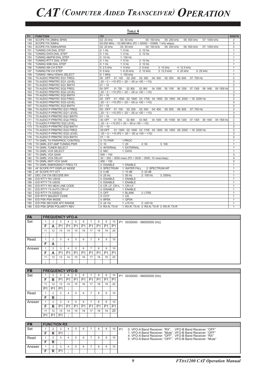|           |                             | TABLE 4                                                                                                         |                |
|-----------|-----------------------------|-----------------------------------------------------------------------------------------------------------------|----------------|
| <b>P1</b> | <b>FUNCTION</b>             | P <sub>2</sub>                                                                                                  | <b>DIGITS</b>  |
| 148       | SCOPE FIX 28MHz SPAN        | 02: 20 kHz<br>03: 50 kHz<br>04: 100 kHz<br>05: 200 kHz<br>06: 500 kHz<br>07: 1000 kHz                           | $\overline{2}$ |
| 149       | SCOPE FIX 50MHz             | 50.000 MHz ~ 53.999 MHz (P2 = 50000 ~ 53999, 1 kHz steps)                                                       | 5              |
| 150       | SCOPE FIX 50MHzSPAN         | 02: 20 kHz<br>03: 50 kHz<br>04: 100 kHz<br>05: 200 kHz<br>06: 500 kHz<br>07: 1000 kHz                           | $\overline{2}$ |
| 151       | TUNING CW DIAL STEP         | $0:1$ Hz<br>$1:5$ Hz<br>2:10 Hz                                                                                 | $\mathbf{1}$   |
| 152       | TUNING DATA DIAL STEP       | $0:1$ Hz<br>$1:5$ Hz<br>2:10 Hz                                                                                 | $\mathbf{1}$   |
| 153       | TUNING AM/FM DIAL STEP      | $0:10$ Hz<br>1: 100 Hz                                                                                          | $\mathbf{1}$   |
| 154       | TUNING RTTY DIAL STEP       | $1:5$ Hz<br>$0:1$ Hz<br>2: 10 Hz                                                                                | $\mathbf{1}$   |
| 155       | TUNING SSB DIAL STEP        | $0:1$ Hz<br>$1:5$ Hz<br>2:10 Hz                                                                                 | $\mathbf{1}$   |
| 156       | TUNING AM CH STEP           | $0:2.5$ kHz<br>1: 5 kHz<br>3: 10 kHz<br>4: 12.5 kHz<br>2: 9 kHz                                                 | $\mathbf{1}$   |
| 157       | TUNING FM CH STEP           | $0:5$ kHz<br>1: 6.25 kHz<br>2: 10 kHz<br>3: 12.5 kHz<br>4: 20 kHz<br>5:25 kHz                                   | $\overline{1}$ |
| 158       | TUNING 1MHz/100kHz SELECT   | $0:1$ MHz<br>1: 100 kHz                                                                                         | $\mathbf{1}$   |
| 159       | TX AUDIO PRMTRC EQ1 FREQ    | 00: OFF 01:100 02:200<br>03:300<br>04:400<br>05:500<br>06: 600<br>07: 700 Hz                                    | $\overline{2}$ |
| 160       | TX AUDIO PRMTRC EQ1 LEVEL   | $-20 \sim 0 \sim +10$ (P2 = $-20 \sim -00$ or $+00 \sim +10$ )                                                  | 3              |
| 161       | TX AUDIO PRMTRC EQ1 BWTH    | $01 - 10$                                                                                                       | $\overline{2}$ |
| 162       | TX AUDIO PRMTRC EQ2 FREQ    | 00: OFF<br>01:700<br>02:800<br>03:900<br>04:1000<br>05: 1100<br>06: 1200<br>07: 1300<br>08: 1400<br>09: 1500 Hz | $\overline{2}$ |
| 163       | TX AUDIO PRMTRC EQ2 LEVEL   | $-20 \sim 0 \sim +10$ (P2 = $-20 \sim -00$ or $+00 \sim +10$ )                                                  | 3              |
| 164       | TX AUDIO PRMTRC EQ2 BWTH    | $01 - 10$                                                                                                       | 2              |
| 165       | TX AUDIO PRMTRC EQ3 FREQ    | 00: OFF 01: 1500 02: 1600 03: 1700 04: 1800 05: 1900 06: 2000 ~ 18: 3200 Hz                                     | $\overline{2}$ |
| 166       | TX AUDIO PRMTRC EQ3 LEVEL   | $-20 \sim 0 \sim +10$ (P2 = $-20 \sim -00$ or $+00 \sim +10$ )                                                  | $\overline{3}$ |
| 167       | TX AUDIO PRMTRC EQ3 BWTH    | $01 - 10$                                                                                                       | $\overline{2}$ |
| 168       | TX AUDIO P-PRMTRC EQ1 FREQ  | 00: OFF  01: 100  02: 200  03: 300  04: 400<br>05:500<br>06: 600<br>07: 700 Hz                                  | $\overline{2}$ |
| 169       | TX AUDIO P-PRMTRC EQ1 LEVEL | $-20 \sim 0 \sim +10$ (P2 = $-20 \sim -00$ or $+00 \sim +10$ )                                                  | 3              |
| 170       | TX AUDIO P-PRMTRC EQ1 BWTH  | $01 - 10$                                                                                                       | $\overline{2}$ |
| 171       | TX AUDIO P-PRMTRC EQ2 FREQ  | 00: OFF<br>01:700<br>02:800 03:900<br>04: 1000 05: 11000 06: 1200<br>07: 1300<br>08: 1400<br>09: 1500 Hz        | $\overline{2}$ |
| 172       | TX AUDIO P-PRMTRC EQ2 LEVEL | $-20 \sim 0 \sim +10$ (P2 = $-20 \sim -00$ or $+00 \sim +10$ )                                                  | $\overline{3}$ |
| 173       | TX AUDIO P-PRMTRC EQ2 BWTH  | $01 - 10$                                                                                                       | $\overline{2}$ |
| 174       | TX AUDIO P-PRMTRC EQ3 FREQ  | 00:OFF<br>01: 1500 02: 1600 03: 1700 04: 1800 05: 1900 06: 2000 ~ 18: 3200 Hz                                   | $\overline{2}$ |
| 175       | TX AUDIO P-PRMTRC EQ3 LEVEL | $-20 \sim 0 \sim +10$ (P2 = $-20 \sim -00$ or $+00 \sim +10$ )                                                  | 3              |
| 176       | TX AUDIO P-PRMTRC EQ3 BWTH  | $01 - 10$                                                                                                       | $\overline{2}$ |
| 177       | TX GNRL TX PWR/PROC CONTROL | 0: TX PWR<br>1:PROC                                                                                             | $\mathbf{1}$   |
| 178       | TX GNRL EXT AMP TUNING PWR  | 0:10<br>1:20<br>2:50<br>3:100                                                                                   | $\mathbf{1}$   |
| 179       | TX GNRL TUNER SELECT        | 0: INTERNAL<br>1: EXTERNAL                                                                                      | $\mathbf{1}$   |
| 180       | TX GNRL VOX SELECT          | 0: MIC<br>1: DATA                                                                                               | $\mathbf{1}$   |
| 181       | TX GNRL VOX GAIN            | $000 - 100$                                                                                                     | 3              |
| 182       | TX GNRL VOX DELAY           | $30 \sim 300 \sim 3000$ msec (P2 = 0030 $\sim 3000$ , 10 msec/step)                                             | $\overline{4}$ |
| 183       | TX GNRL ANTI VOX GAIN       | $000 - 100$                                                                                                     | 3              |
| 184       | TX GNRL EMERGENCY FREQ TX   | 0: DISABLE<br>1: ENABLE                                                                                         | $\mathbf{1}$   |
| 185       | AF SCOPE FFT DISPLAY MODE   | 0: SPECTRUM<br>1: WATER FALL 2: SPECTRUM-WF                                                                     | $\mathbf{1}$   |
| 186       | AF SCOPE FFT ATT            | 0:0dB<br>1:10dB<br>2:20dB                                                                                       | $\mathbf{1}$   |
| 187       | DEC CW CW DECODE BW         | $0:25$ Hz<br>$1:50$ Hz<br>2: 100 Hz<br>3:250Hz                                                                  | $\mathbf{1}$   |
| 188       | E/D RTTY RX USOS            | 0: DISABLE<br>1: ENABLE                                                                                         | $\mathbf{1}$   |
| 189       | E/D RTTY TX USOS            | 0: DISABLE<br>1: ENABLE                                                                                         | 1              |
| 190       | E/D RTTY RX NEW LINE CODE   | 0: CR. LF. CR+L 1: CR+LF                                                                                        | $\mathbf{1}$   |
| 191       | E/D RTTY TX AUTO CR+LF      | 0: DISABLE<br>1: ENABLE                                                                                         | $\mathbf{1}$   |
| 192       | E/D RTTY TX DIDDLE          | $0:$ OFF<br>1: BLANK<br>2: LTRS                                                                                 | $\mathbf{1}$   |
| 193       | E/D RTTY BAUDOT CODE        | 0: CCIT<br>1:US                                                                                                 | $\mathbf{1}$   |
| 194       | E/D PSK PSK MODE            | 0: BPSK<br>1: QPSK                                                                                              | $\mathbf{1}$   |
| 195       | E/D PSK DECODE AFC RANGE    | $0:±8$ Hz<br>1:±15 Hz<br>2:±30 Hz                                                                               | $\mathbf{1}$   |
| 196       | E/D PSK QPSK POLARITY REV   | 0: RX-N, TX-N<br>1: RX-R, TX-N 2: RX-N, TX-R 3: RX-R, TX-R                                                      | $\mathbf{1}$   |

| <b>FA</b> |    | <b>FREQUENCY VFO-A</b> |                |                |                |                |                |                |                |                |                                           |
|-----------|----|------------------------|----------------|----------------|----------------|----------------|----------------|----------------|----------------|----------------|-------------------------------------------|
| Set       |    |                        | $\sim$<br>-3   |                |                |                |                | 8              | 9              | 10             | P <sub>1</sub><br>0030000 - 56000000 (Hz) |
|           | E  | A                      | P <sub>1</sub> | P <sub>1</sub> | P <sub>1</sub> | P <sub>1</sub> | P1             | P <sub>1</sub> | P <sub>1</sub> | P <sub>1</sub> |                                           |
|           | 11 | 12                     | 13             | 14             | 15             | 16             | 17             | 18             | 19             | 20             |                                           |
|           |    |                        |                |                |                |                |                |                |                |                |                                           |
| Read      |    |                        | 3              |                | 5              | 6              |                | 8              | 9              | 10             |                                           |
|           | F  | A                      |                |                |                |                |                |                |                |                |                                           |
| Answer    |    | 2                      | 3              |                | 5              | 6              |                | 8              | 9              | 10             |                                           |
|           | E  | A                      | P <sub>1</sub> | P <sub>1</sub> | P <sub>1</sub> | P <sub>1</sub> | P <sub>1</sub> | P <sub>1</sub> | P <sub>1</sub> | P <sub>1</sub> |                                           |
|           | 11 | 12                     | 13             | 14             | 15             | 16             | 17             | 18             | 19             | 20             |                                           |
|           |    |                        |                |                |                |                |                |                |                |                |                                           |

| <b>FB</b> |                | <b>FREQUENCY VFO-B</b> |                |                |                |                |                |                |                |                |                                           |
|-----------|----------------|------------------------|----------------|----------------|----------------|----------------|----------------|----------------|----------------|----------------|-------------------------------------------|
| Set       |                |                        | 3              |                | 5              | 6              |                | 8              | 9              | 10             | P <sub>1</sub><br>0030000 - 56000000 (Hz) |
|           | Е              | в                      | P <sub>1</sub> | P1             | P <sub>1</sub> | P <sub>1</sub> | P <sub>1</sub> | P <sub>1</sub> | P <sub>1</sub> | P <sub>1</sub> |                                           |
|           | 44<br>. .      | 12                     | 13             | 14             | 15             | 16             | 17             | 18             | 19             | 20             |                                           |
|           | P <sub>1</sub> | P <sub>1</sub>         | P <sub>1</sub> |                |                |                |                |                |                |                |                                           |
| Read      |                | $\sim$                 | 3              |                | 5              | 6              | $\rightarrow$  |                | 9              | 10             |                                           |
|           | Е              | в                      |                |                |                |                |                |                |                |                |                                           |
| Answer    |                | $\sim$                 | 3              |                | 5              | 6              |                |                | 9              | 10             |                                           |
|           | c              | в                      | P <sub>1</sub> | P <sub>1</sub> | P <sub>1</sub> | P <sub>1</sub> | P1             | P <sub>1</sub> | P <sub>1</sub> | P <sub>1</sub> |                                           |
|           | 11             | 12                     | 13             | 14             | 15             | 16             | 17             | 18             | 19             | 20             |                                           |
|           | <b>P1</b>      | P <sub>1</sub>         | P <sub>1</sub> |                |                |                |                |                |                |                |                                           |

| <b>FR</b> |   | <b>FUNCTION RX</b> |  |  |  |    |                                                                                                                        |  |
|-----------|---|--------------------|--|--|--|----|------------------------------------------------------------------------------------------------------------------------|--|
| Set       |   |                    |  |  |  | 10 | 0: VFO-A Band Receiver: "RX", VFO-B Band Receiver: "OFF"<br>P <sub>1</sub>                                             |  |
|           |   | D <sub>1</sub>     |  |  |  |    | 1: VFO-A Band Receiver: "Mute", VFO-B Band Receiver: "OFF"                                                             |  |
| Read      |   |                    |  |  |  | 10 | 4: VFO-A Band Receiver: "OFF". VFO-B Band Receiver: "RX"<br>5: VFO-A Band Receiver: "OFF". VFO-B Band Receiver: "Mute" |  |
|           | D |                    |  |  |  |    |                                                                                                                        |  |
| Answer    |   |                    |  |  |  | 10 |                                                                                                                        |  |
|           |   | D <sub>1</sub>     |  |  |  |    |                                                                                                                        |  |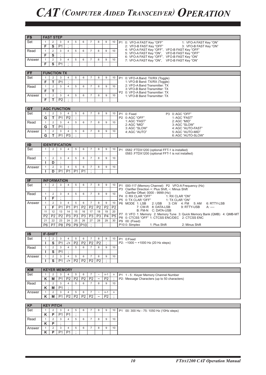FS **FAST STEP**

| 2: VFO-B FAST Key "OFF"<br>3: VFO-B FAST Key "ON"<br>4: VFO-A FAST Key "OFF", VFO-B FAST Key "OFF"<br>$\overline{2}$<br>$\overline{4}$<br>$\overline{7}$<br>Read<br>$\mathbf{1}$<br>3<br>5<br>6<br>8<br>9<br>10<br>5: VFO-A FAST Key "ON",<br>VFO-B FAST Key "OFF"<br>$\mathbf{s}$<br>F<br>$\cdot$<br>6: VFO-A FAST Key "OFF", VFO-B FAST Key "ON"<br>$\overline{2}$<br>$\overline{7}$<br>$\mathbf{1}$<br>3<br>4<br>5<br>8<br>9<br>10<br>Answer<br>6<br>7: VFO-A FAST Key "ON", VFO-B FAST Key "ON"<br>F<br>S<br>P <sub>1</sub><br>$\cdot$<br><b>FUNCTION TX</b><br><b>FT</b><br>Set<br>2<br>3<br>5<br>$\overline{7}$<br>$\overline{4}$<br>6<br>8<br>9<br>$\mathbf{1}$<br>10<br>P1 0: VFO-A Band: TX/RX (Toggle)<br>F<br>Т<br>P <sub>1</sub><br>$\cdot$<br>1: VFO-B Band: TX/RX (Toggle)<br>2: VFO-A Band Transmitter: TX<br>$\mathbf{1}$<br>$\overline{2}$<br>$\overline{4}$<br>$\overline{7}$<br>10<br>Read<br>3<br>5<br>6<br>8<br>9<br>3: VFO-B Band Transmitter: TX<br>F<br>т<br>$\cdot$<br>P2 0: VFO-A Band Transmitter: TX<br>2<br>3<br>$\overline{4}$<br>5<br>6<br>$\overline{7}$<br>8<br>9<br>10<br>Answer<br>$\mathbf{1}$<br>1: VFO-B Band Transmitter: TX<br>F<br>т<br>P <sub>2</sub><br>$\ddot{\cdot}$<br><b>AGC FUNCTION</b><br><b>GT</b><br>Set<br>2<br>3<br>5<br>$\mathbf{1}$<br>4<br>6<br>7<br>8<br>9<br>10<br>P <sub>1</sub><br>0: Fixed<br>P3 0: AGC "OFF"<br>G<br>P <sub>1</sub><br>P <sub>2</sub><br>$\cdot$<br>P2 0: AGC "OFF"<br>1: AGC "FAST"<br>т<br>1: AGC "FAST"<br>2: AGC "MID"<br>$\mathbf{1}$<br>$\overline{2}$<br>3<br>$\overline{4}$<br>5<br>$\overline{7}$<br>10<br>Read<br>6<br>8<br>9<br>2: AGC "MID"<br>3: AGC "SLOW"<br>т<br>P <sub>1</sub><br>$\cdot$<br>G<br>3: AGC "SLOW"<br>4: AGC "AUTO-FAST"<br>$\overline{2}$<br>3<br>5<br>$\overline{7}$<br>9<br>$\overline{4}$<br>6<br>8<br>10<br>Answer<br>$\mathbf{1}$<br>4: AGC "AUTO"<br>5: AGC "AUTO-MID"<br>т<br>P <sub>1</sub><br>P <sub>3</sub><br>G<br>6: AGC "AUTO-SLOW"<br>÷<br>ID<br><b>IDENTIFICATION</b><br>Set<br>$\mathbf{1}$<br>2<br>3<br>5<br>$\overline{7}$<br>8<br>9<br>4<br>6<br>10<br>P1 0582 :FTDX1200 (optional FFT-1 is installed)<br>0583 : FTDX1200 (optional FFT-1 is not installed)<br>Read<br>$\mathbf{1}$<br>2<br>3<br>$\overline{4}$<br>5<br>$\overline{7}$<br>8<br>9<br>10<br>6<br>$\ddot{\phantom{a}}$<br>I.<br>D<br>$\overline{2}$<br>$\mathbf{3}$<br>$\overline{4}$<br>$\overline{7}$<br>9<br>10<br>$\mathbf{1}$<br>5<br>6<br>8<br>Answer<br>P <sub>1</sub><br>P <sub>1</sub><br>P <sub>1</sub><br>P <sub>1</sub><br>D<br>$\cdot$<br>L<br>IF<br><b>INFORMATION</b><br>Set<br>$\overline{2}$<br>3<br>$\mathbf{1}$<br>$\overline{4}$<br>5<br>6<br>$\overline{7}$<br>8<br>9<br>10<br>P <sub>1</sub><br>000-117 (Memory Channel) P2 VFO-A Frequency (Hz)<br>P3 Clarifier Direction +: Plus Shift, -: Minus Shift<br>Clarifier Offset: 0000 - 9999 (Hz)<br>$\overline{2}$<br>3<br>$\overline{4}$<br>5<br>$\overline{7}$<br>8<br>$\boldsymbol{9}$<br>10<br>Read<br>$\mathbf{1}$<br>6<br>P4 0: RX CLAR "OFF"<br>1: RX CLAR "ON"<br>F<br>L<br>$\cdot$<br>P5 0: TX CLAR "OFF"<br>1: TX CLAR "ON"<br>$\overline{2}$<br>$\ensuremath{\mathsf{3}}$<br>$\overline{7}$<br>$\overline{4}$<br>5<br>8<br>9<br>10<br>Answer<br>$\mathbf{1}$<br>6<br>P6 MODE 1: LSB<br>2: <b>USE</b><br>6: RTTY-LSB<br>3: CW 4: FM<br>5: AM<br>F<br>P <sub>1</sub><br>P <sub>1</sub><br>P <sub>2</sub><br>P <sub>2</sub><br>P <sub>2</sub><br>P <sub>2</sub><br>P <sub>2</sub><br>P <sub>1</sub><br>7: CW-R 8: DATA-LSB<br>9: RTTY-USB<br>A: ----<br>п<br>B: FM-N C: DATA-USB<br>18<br>11<br>12<br>13<br>14<br>15<br>16<br>17<br>19<br>20<br>P7 0: VFO 1: Memory 2: Memory Tune 3: Quick Memory Bank (QMB) 4: QMB-MT<br>P3<br>$\overline{P4}$<br>P5<br>P <sub>2</sub><br>P <sub>2</sub><br>P <sub>3</sub><br>P <sub>3</sub><br>P <sub>3</sub><br>P <sub>3</sub><br>P2<br>P8 0: CTCSS "OFF" 1: CTCSS ENC/DEC 2: CTCSS ENC<br>21<br>22<br>23<br>24<br>25<br>26<br>27<br>28<br>29<br>30<br>P9 00: (Fixed)<br>P7<br>P <sub>8</sub><br>P <sub>9</sub><br>P <sub>9</sub><br>P <sub>10</sub><br>P10 0: Simplex<br>P6<br>$\cdot$<br>2: Minus Shift<br>1: Plus Shift<br><b>IF-SHIFT</b><br><b>IS</b><br>Set<br>$\mathbf{1}$<br>2<br>3<br>$\overline{4}$<br>$\overline{7}$<br>5<br>6<br>8<br>9<br>10<br>P1 0 Fixed<br>P2<br>P <sub>2</sub><br>T<br>S<br>P <sub>1</sub><br>P <sub>2</sub><br>P <sub>2</sub><br>÷<br>P2: -1000 ~ +1000 Hz (20 Hz steps)<br>$-$ /+<br>$\overline{2}$<br>5<br>Read<br>$\mathbf{1}$<br>3<br>$\overline{4}$<br>6<br>$\overline{7}$<br>8<br>9<br>10<br>S<br>P <sub>1</sub><br>п<br>Answer<br>$\overline{c}$<br>4<br>5<br>$\overline{7}$<br>8<br>9<br>10<br>$\mathbf{1}$<br>3<br>6<br>P <sub>2</sub><br>P <sub>2</sub><br>s<br>P <sub>1</sub><br>$-/+$<br>P <sub>2</sub><br>P <sub>2</sub><br>п<br><b>KM</b><br><b>KEYER MEMORY</b><br>Set<br>2<br>3<br>$\overline{4}$<br>5<br>6<br>$\overline{7}$<br>$\mathbf{1}$<br>$n-1$<br>$\tilde{}$<br>n<br>P1 1 - 5 : Keyer Memory Channel Number<br>P <sub>2</sub><br>Κ<br>P <sub>1</sub><br>P <sub>2</sub><br>P <sub>2</sub><br>P <sub>2</sub><br>P <sub>2</sub><br>P2: Message Characters (up to 50 characters)<br>M<br>$\widetilde{\phantom{m}}$<br>5<br>10<br>Read<br>$\mathbf{1}$<br>2<br>3<br>4<br>$\overline{7}$<br>8<br>9<br>6<br>P <sub>1</sub><br>Κ<br>M<br>$\ddot{ }$<br>$\boldsymbol{7}$<br>Answer<br>$\mathbf{1}$<br>$\overline{c}$<br>3<br>4<br>5<br>6<br>$\widetilde{\phantom{m}}$<br>$n-1$<br>$\mathsf{n}$<br>P <sub>2</sub><br>P <sub>2</sub><br>P <sub>2</sub><br>P <sub>2</sub><br>P <sub>2</sub><br>Κ<br>M<br><b>P1</b><br>$\tilde{}$<br><b>KP</b><br><b>KEY PITCH</b><br>Set<br>$\overline{2}$<br>3<br>4<br>5<br>6<br>$\overline{7}$<br>8<br>9<br>$\mathbf{1}$<br>10<br>P1 00: 300 Hz - 75: 1050 Hz (10Hz steps)<br>P<br>P <sub>1</sub><br>Κ<br>P1<br>٠<br>Read<br>$\mathbf{1}$<br>$\overline{c}$<br>4<br>5<br>6<br>$\overline{7}$<br>8<br>9<br>10<br>3<br>P<br>Κ<br>$\overline{2}$<br>3<br>$\overline{4}$<br>5<br>$\overline{7}$<br>10<br>Answer<br>6<br>8<br>9<br>$\mathbf{1}$<br>P<br>P <sub>1</sub><br>P <sub>1</sub><br>÷<br>Κ | Set | $\mathbf{1}$ | 2 | 3              | 4              | 5 | 6 | 7 | 8 | 9 | 10 | P1 0: VFO-A FAST Key "OFF"<br>1: VFO-A FAST Key "ON" |
|---------------------------------------------------------------------------------------------------------------------------------------------------------------------------------------------------------------------------------------------------------------------------------------------------------------------------------------------------------------------------------------------------------------------------------------------------------------------------------------------------------------------------------------------------------------------------------------------------------------------------------------------------------------------------------------------------------------------------------------------------------------------------------------------------------------------------------------------------------------------------------------------------------------------------------------------------------------------------------------------------------------------------------------------------------------------------------------------------------------------------------------------------------------------------------------------------------------------------------------------------------------------------------------------------------------------------------------------------------------------------------------------------------------------------------------------------------------------------------------------------------------------------------------------------------------------------------------------------------------------------------------------------------------------------------------------------------------------------------------------------------------------------------------------------------------------------------------------------------------------------------------------------------------------------------------------------------------------------------------------------------------------------------------------------------------------------------------------------------------------------------------------------------------------------------------------------------------------------------------------------------------------------------------------------------------------------------------------------------------------------------------------------------------------------------------------------------------------------------------------------------------------------------------------------------------------------------------------------------------------------------------------------------------------------------------------------------------------------------------------------------------------------------------------------------------------------------------------------------------------------------------------------------------------------------------------------------------------------------------------------------------------------------------------------------------------------------------------------------------------------------------------------------------------------------------------------------------------------------------------------------------------------------------------------------------------------------------------------------------------------------------------------------------------------------------------------------------------------------------------------------------------------------------------------------------------------------------------------------------------------------------------------------------------------------------------------------------------------------------------------------------------------------------------------------------------------------------------------------------------------------------------------------------------------------------------------------------------------------------------------------------------------------------------------------------------------------------------------------------------------------------------------------------------------------------------------------------------------------------------------------------------------------------------------------------------------------------------------------------------------------------------------------------------------------------------------------------------------------------------------------------------------------------------------------------------------------------------------------------------------------------------------------------------------------------------------------------------------------------------------------------------------------------------------------------------------------------------------------------------------------------------------------------------------------------------------------------------------------------------------------------------------------------------------------------------------------------------------------------------------------------------------------------------------------------------------------------------------------------------------------------------------------------------------------------------------------------------------------------------------------------------------------------------------------------------------------------------------------------------------------------------------------------------------------------------------------------------------------------------------------------------------------------------------------------------------------------------------------------------------------------------------------------------------------------------------------------------------------------------------------------------------------------------------------------------------------------------------------------------------------------------------------------------------------------------------------------------|-----|--------------|---|----------------|----------------|---|---|---|---|---|----|------------------------------------------------------|
|                                                                                                                                                                                                                                                                                                                                                                                                                                                                                                                                                                                                                                                                                                                                                                                                                                                                                                                                                                                                                                                                                                                                                                                                                                                                                                                                                                                                                                                                                                                                                                                                                                                                                                                                                                                                                                                                                                                                                                                                                                                                                                                                                                                                                                                                                                                                                                                                                                                                                                                                                                                                                                                                                                                                                                                                                                                                                                                                                                                                                                                                                                                                                                                                                                                                                                                                                                                                                                                                                                                                                                                                                                                                                                                                                                                                                                                                                                                                                                                                                                                                                                                                                                                                                                                                                                                                                                                                                                                                                                                                                                                                                                                                                                                                                                                                                                                                                                                                                                                                                                                                                                                                                                                                                                                                                                                                                                                                                                                                                                                                                                                                                                                                                                                                                                                                                                                                                                                                                                                                                                                                                             |     | F            | S | P <sub>1</sub> | $\ddot{\cdot}$ |   |   |   |   |   |    |                                                      |
|                                                                                                                                                                                                                                                                                                                                                                                                                                                                                                                                                                                                                                                                                                                                                                                                                                                                                                                                                                                                                                                                                                                                                                                                                                                                                                                                                                                                                                                                                                                                                                                                                                                                                                                                                                                                                                                                                                                                                                                                                                                                                                                                                                                                                                                                                                                                                                                                                                                                                                                                                                                                                                                                                                                                                                                                                                                                                                                                                                                                                                                                                                                                                                                                                                                                                                                                                                                                                                                                                                                                                                                                                                                                                                                                                                                                                                                                                                                                                                                                                                                                                                                                                                                                                                                                                                                                                                                                                                                                                                                                                                                                                                                                                                                                                                                                                                                                                                                                                                                                                                                                                                                                                                                                                                                                                                                                                                                                                                                                                                                                                                                                                                                                                                                                                                                                                                                                                                                                                                                                                                                                                             |     |              |   |                |                |   |   |   |   |   |    |                                                      |
|                                                                                                                                                                                                                                                                                                                                                                                                                                                                                                                                                                                                                                                                                                                                                                                                                                                                                                                                                                                                                                                                                                                                                                                                                                                                                                                                                                                                                                                                                                                                                                                                                                                                                                                                                                                                                                                                                                                                                                                                                                                                                                                                                                                                                                                                                                                                                                                                                                                                                                                                                                                                                                                                                                                                                                                                                                                                                                                                                                                                                                                                                                                                                                                                                                                                                                                                                                                                                                                                                                                                                                                                                                                                                                                                                                                                                                                                                                                                                                                                                                                                                                                                                                                                                                                                                                                                                                                                                                                                                                                                                                                                                                                                                                                                                                                                                                                                                                                                                                                                                                                                                                                                                                                                                                                                                                                                                                                                                                                                                                                                                                                                                                                                                                                                                                                                                                                                                                                                                                                                                                                                                             |     |              |   |                |                |   |   |   |   |   |    |                                                      |
|                                                                                                                                                                                                                                                                                                                                                                                                                                                                                                                                                                                                                                                                                                                                                                                                                                                                                                                                                                                                                                                                                                                                                                                                                                                                                                                                                                                                                                                                                                                                                                                                                                                                                                                                                                                                                                                                                                                                                                                                                                                                                                                                                                                                                                                                                                                                                                                                                                                                                                                                                                                                                                                                                                                                                                                                                                                                                                                                                                                                                                                                                                                                                                                                                                                                                                                                                                                                                                                                                                                                                                                                                                                                                                                                                                                                                                                                                                                                                                                                                                                                                                                                                                                                                                                                                                                                                                                                                                                                                                                                                                                                                                                                                                                                                                                                                                                                                                                                                                                                                                                                                                                                                                                                                                                                                                                                                                                                                                                                                                                                                                                                                                                                                                                                                                                                                                                                                                                                                                                                                                                                                             |     |              |   |                |                |   |   |   |   |   |    |                                                      |
|                                                                                                                                                                                                                                                                                                                                                                                                                                                                                                                                                                                                                                                                                                                                                                                                                                                                                                                                                                                                                                                                                                                                                                                                                                                                                                                                                                                                                                                                                                                                                                                                                                                                                                                                                                                                                                                                                                                                                                                                                                                                                                                                                                                                                                                                                                                                                                                                                                                                                                                                                                                                                                                                                                                                                                                                                                                                                                                                                                                                                                                                                                                                                                                                                                                                                                                                                                                                                                                                                                                                                                                                                                                                                                                                                                                                                                                                                                                                                                                                                                                                                                                                                                                                                                                                                                                                                                                                                                                                                                                                                                                                                                                                                                                                                                                                                                                                                                                                                                                                                                                                                                                                                                                                                                                                                                                                                                                                                                                                                                                                                                                                                                                                                                                                                                                                                                                                                                                                                                                                                                                                                             |     |              |   |                |                |   |   |   |   |   |    |                                                      |
|                                                                                                                                                                                                                                                                                                                                                                                                                                                                                                                                                                                                                                                                                                                                                                                                                                                                                                                                                                                                                                                                                                                                                                                                                                                                                                                                                                                                                                                                                                                                                                                                                                                                                                                                                                                                                                                                                                                                                                                                                                                                                                                                                                                                                                                                                                                                                                                                                                                                                                                                                                                                                                                                                                                                                                                                                                                                                                                                                                                                                                                                                                                                                                                                                                                                                                                                                                                                                                                                                                                                                                                                                                                                                                                                                                                                                                                                                                                                                                                                                                                                                                                                                                                                                                                                                                                                                                                                                                                                                                                                                                                                                                                                                                                                                                                                                                                                                                                                                                                                                                                                                                                                                                                                                                                                                                                                                                                                                                                                                                                                                                                                                                                                                                                                                                                                                                                                                                                                                                                                                                                                                             |     |              |   |                |                |   |   |   |   |   |    |                                                      |
|                                                                                                                                                                                                                                                                                                                                                                                                                                                                                                                                                                                                                                                                                                                                                                                                                                                                                                                                                                                                                                                                                                                                                                                                                                                                                                                                                                                                                                                                                                                                                                                                                                                                                                                                                                                                                                                                                                                                                                                                                                                                                                                                                                                                                                                                                                                                                                                                                                                                                                                                                                                                                                                                                                                                                                                                                                                                                                                                                                                                                                                                                                                                                                                                                                                                                                                                                                                                                                                                                                                                                                                                                                                                                                                                                                                                                                                                                                                                                                                                                                                                                                                                                                                                                                                                                                                                                                                                                                                                                                                                                                                                                                                                                                                                                                                                                                                                                                                                                                                                                                                                                                                                                                                                                                                                                                                                                                                                                                                                                                                                                                                                                                                                                                                                                                                                                                                                                                                                                                                                                                                                                             |     |              |   |                |                |   |   |   |   |   |    |                                                      |
|                                                                                                                                                                                                                                                                                                                                                                                                                                                                                                                                                                                                                                                                                                                                                                                                                                                                                                                                                                                                                                                                                                                                                                                                                                                                                                                                                                                                                                                                                                                                                                                                                                                                                                                                                                                                                                                                                                                                                                                                                                                                                                                                                                                                                                                                                                                                                                                                                                                                                                                                                                                                                                                                                                                                                                                                                                                                                                                                                                                                                                                                                                                                                                                                                                                                                                                                                                                                                                                                                                                                                                                                                                                                                                                                                                                                                                                                                                                                                                                                                                                                                                                                                                                                                                                                                                                                                                                                                                                                                                                                                                                                                                                                                                                                                                                                                                                                                                                                                                                                                                                                                                                                                                                                                                                                                                                                                                                                                                                                                                                                                                                                                                                                                                                                                                                                                                                                                                                                                                                                                                                                                             |     |              |   |                |                |   |   |   |   |   |    |                                                      |
|                                                                                                                                                                                                                                                                                                                                                                                                                                                                                                                                                                                                                                                                                                                                                                                                                                                                                                                                                                                                                                                                                                                                                                                                                                                                                                                                                                                                                                                                                                                                                                                                                                                                                                                                                                                                                                                                                                                                                                                                                                                                                                                                                                                                                                                                                                                                                                                                                                                                                                                                                                                                                                                                                                                                                                                                                                                                                                                                                                                                                                                                                                                                                                                                                                                                                                                                                                                                                                                                                                                                                                                                                                                                                                                                                                                                                                                                                                                                                                                                                                                                                                                                                                                                                                                                                                                                                                                                                                                                                                                                                                                                                                                                                                                                                                                                                                                                                                                                                                                                                                                                                                                                                                                                                                                                                                                                                                                                                                                                                                                                                                                                                                                                                                                                                                                                                                                                                                                                                                                                                                                                                             |     |              |   |                |                |   |   |   |   |   |    |                                                      |
|                                                                                                                                                                                                                                                                                                                                                                                                                                                                                                                                                                                                                                                                                                                                                                                                                                                                                                                                                                                                                                                                                                                                                                                                                                                                                                                                                                                                                                                                                                                                                                                                                                                                                                                                                                                                                                                                                                                                                                                                                                                                                                                                                                                                                                                                                                                                                                                                                                                                                                                                                                                                                                                                                                                                                                                                                                                                                                                                                                                                                                                                                                                                                                                                                                                                                                                                                                                                                                                                                                                                                                                                                                                                                                                                                                                                                                                                                                                                                                                                                                                                                                                                                                                                                                                                                                                                                                                                                                                                                                                                                                                                                                                                                                                                                                                                                                                                                                                                                                                                                                                                                                                                                                                                                                                                                                                                                                                                                                                                                                                                                                                                                                                                                                                                                                                                                                                                                                                                                                                                                                                                                             |     |              |   |                |                |   |   |   |   |   |    |                                                      |
|                                                                                                                                                                                                                                                                                                                                                                                                                                                                                                                                                                                                                                                                                                                                                                                                                                                                                                                                                                                                                                                                                                                                                                                                                                                                                                                                                                                                                                                                                                                                                                                                                                                                                                                                                                                                                                                                                                                                                                                                                                                                                                                                                                                                                                                                                                                                                                                                                                                                                                                                                                                                                                                                                                                                                                                                                                                                                                                                                                                                                                                                                                                                                                                                                                                                                                                                                                                                                                                                                                                                                                                                                                                                                                                                                                                                                                                                                                                                                                                                                                                                                                                                                                                                                                                                                                                                                                                                                                                                                                                                                                                                                                                                                                                                                                                                                                                                                                                                                                                                                                                                                                                                                                                                                                                                                                                                                                                                                                                                                                                                                                                                                                                                                                                                                                                                                                                                                                                                                                                                                                                                                             |     |              |   |                |                |   |   |   |   |   |    |                                                      |
|                                                                                                                                                                                                                                                                                                                                                                                                                                                                                                                                                                                                                                                                                                                                                                                                                                                                                                                                                                                                                                                                                                                                                                                                                                                                                                                                                                                                                                                                                                                                                                                                                                                                                                                                                                                                                                                                                                                                                                                                                                                                                                                                                                                                                                                                                                                                                                                                                                                                                                                                                                                                                                                                                                                                                                                                                                                                                                                                                                                                                                                                                                                                                                                                                                                                                                                                                                                                                                                                                                                                                                                                                                                                                                                                                                                                                                                                                                                                                                                                                                                                                                                                                                                                                                                                                                                                                                                                                                                                                                                                                                                                                                                                                                                                                                                                                                                                                                                                                                                                                                                                                                                                                                                                                                                                                                                                                                                                                                                                                                                                                                                                                                                                                                                                                                                                                                                                                                                                                                                                                                                                                             |     |              |   |                |                |   |   |   |   |   |    |                                                      |
|                                                                                                                                                                                                                                                                                                                                                                                                                                                                                                                                                                                                                                                                                                                                                                                                                                                                                                                                                                                                                                                                                                                                                                                                                                                                                                                                                                                                                                                                                                                                                                                                                                                                                                                                                                                                                                                                                                                                                                                                                                                                                                                                                                                                                                                                                                                                                                                                                                                                                                                                                                                                                                                                                                                                                                                                                                                                                                                                                                                                                                                                                                                                                                                                                                                                                                                                                                                                                                                                                                                                                                                                                                                                                                                                                                                                                                                                                                                                                                                                                                                                                                                                                                                                                                                                                                                                                                                                                                                                                                                                                                                                                                                                                                                                                                                                                                                                                                                                                                                                                                                                                                                                                                                                                                                                                                                                                                                                                                                                                                                                                                                                                                                                                                                                                                                                                                                                                                                                                                                                                                                                                             |     |              |   |                |                |   |   |   |   |   |    |                                                      |
|                                                                                                                                                                                                                                                                                                                                                                                                                                                                                                                                                                                                                                                                                                                                                                                                                                                                                                                                                                                                                                                                                                                                                                                                                                                                                                                                                                                                                                                                                                                                                                                                                                                                                                                                                                                                                                                                                                                                                                                                                                                                                                                                                                                                                                                                                                                                                                                                                                                                                                                                                                                                                                                                                                                                                                                                                                                                                                                                                                                                                                                                                                                                                                                                                                                                                                                                                                                                                                                                                                                                                                                                                                                                                                                                                                                                                                                                                                                                                                                                                                                                                                                                                                                                                                                                                                                                                                                                                                                                                                                                                                                                                                                                                                                                                                                                                                                                                                                                                                                                                                                                                                                                                                                                                                                                                                                                                                                                                                                                                                                                                                                                                                                                                                                                                                                                                                                                                                                                                                                                                                                                                             |     |              |   |                |                |   |   |   |   |   |    |                                                      |
|                                                                                                                                                                                                                                                                                                                                                                                                                                                                                                                                                                                                                                                                                                                                                                                                                                                                                                                                                                                                                                                                                                                                                                                                                                                                                                                                                                                                                                                                                                                                                                                                                                                                                                                                                                                                                                                                                                                                                                                                                                                                                                                                                                                                                                                                                                                                                                                                                                                                                                                                                                                                                                                                                                                                                                                                                                                                                                                                                                                                                                                                                                                                                                                                                                                                                                                                                                                                                                                                                                                                                                                                                                                                                                                                                                                                                                                                                                                                                                                                                                                                                                                                                                                                                                                                                                                                                                                                                                                                                                                                                                                                                                                                                                                                                                                                                                                                                                                                                                                                                                                                                                                                                                                                                                                                                                                                                                                                                                                                                                                                                                                                                                                                                                                                                                                                                                                                                                                                                                                                                                                                                             |     |              |   |                |                |   |   |   |   |   |    |                                                      |
|                                                                                                                                                                                                                                                                                                                                                                                                                                                                                                                                                                                                                                                                                                                                                                                                                                                                                                                                                                                                                                                                                                                                                                                                                                                                                                                                                                                                                                                                                                                                                                                                                                                                                                                                                                                                                                                                                                                                                                                                                                                                                                                                                                                                                                                                                                                                                                                                                                                                                                                                                                                                                                                                                                                                                                                                                                                                                                                                                                                                                                                                                                                                                                                                                                                                                                                                                                                                                                                                                                                                                                                                                                                                                                                                                                                                                                                                                                                                                                                                                                                                                                                                                                                                                                                                                                                                                                                                                                                                                                                                                                                                                                                                                                                                                                                                                                                                                                                                                                                                                                                                                                                                                                                                                                                                                                                                                                                                                                                                                                                                                                                                                                                                                                                                                                                                                                                                                                                                                                                                                                                                                             |     |              |   |                |                |   |   |   |   |   |    |                                                      |
|                                                                                                                                                                                                                                                                                                                                                                                                                                                                                                                                                                                                                                                                                                                                                                                                                                                                                                                                                                                                                                                                                                                                                                                                                                                                                                                                                                                                                                                                                                                                                                                                                                                                                                                                                                                                                                                                                                                                                                                                                                                                                                                                                                                                                                                                                                                                                                                                                                                                                                                                                                                                                                                                                                                                                                                                                                                                                                                                                                                                                                                                                                                                                                                                                                                                                                                                                                                                                                                                                                                                                                                                                                                                                                                                                                                                                                                                                                                                                                                                                                                                                                                                                                                                                                                                                                                                                                                                                                                                                                                                                                                                                                                                                                                                                                                                                                                                                                                                                                                                                                                                                                                                                                                                                                                                                                                                                                                                                                                                                                                                                                                                                                                                                                                                                                                                                                                                                                                                                                                                                                                                                             |     |              |   |                |                |   |   |   |   |   |    |                                                      |
|                                                                                                                                                                                                                                                                                                                                                                                                                                                                                                                                                                                                                                                                                                                                                                                                                                                                                                                                                                                                                                                                                                                                                                                                                                                                                                                                                                                                                                                                                                                                                                                                                                                                                                                                                                                                                                                                                                                                                                                                                                                                                                                                                                                                                                                                                                                                                                                                                                                                                                                                                                                                                                                                                                                                                                                                                                                                                                                                                                                                                                                                                                                                                                                                                                                                                                                                                                                                                                                                                                                                                                                                                                                                                                                                                                                                                                                                                                                                                                                                                                                                                                                                                                                                                                                                                                                                                                                                                                                                                                                                                                                                                                                                                                                                                                                                                                                                                                                                                                                                                                                                                                                                                                                                                                                                                                                                                                                                                                                                                                                                                                                                                                                                                                                                                                                                                                                                                                                                                                                                                                                                                             |     |              |   |                |                |   |   |   |   |   |    |                                                      |
|                                                                                                                                                                                                                                                                                                                                                                                                                                                                                                                                                                                                                                                                                                                                                                                                                                                                                                                                                                                                                                                                                                                                                                                                                                                                                                                                                                                                                                                                                                                                                                                                                                                                                                                                                                                                                                                                                                                                                                                                                                                                                                                                                                                                                                                                                                                                                                                                                                                                                                                                                                                                                                                                                                                                                                                                                                                                                                                                                                                                                                                                                                                                                                                                                                                                                                                                                                                                                                                                                                                                                                                                                                                                                                                                                                                                                                                                                                                                                                                                                                                                                                                                                                                                                                                                                                                                                                                                                                                                                                                                                                                                                                                                                                                                                                                                                                                                                                                                                                                                                                                                                                                                                                                                                                                                                                                                                                                                                                                                                                                                                                                                                                                                                                                                                                                                                                                                                                                                                                                                                                                                                             |     |              |   |                |                |   |   |   |   |   |    |                                                      |
|                                                                                                                                                                                                                                                                                                                                                                                                                                                                                                                                                                                                                                                                                                                                                                                                                                                                                                                                                                                                                                                                                                                                                                                                                                                                                                                                                                                                                                                                                                                                                                                                                                                                                                                                                                                                                                                                                                                                                                                                                                                                                                                                                                                                                                                                                                                                                                                                                                                                                                                                                                                                                                                                                                                                                                                                                                                                                                                                                                                                                                                                                                                                                                                                                                                                                                                                                                                                                                                                                                                                                                                                                                                                                                                                                                                                                                                                                                                                                                                                                                                                                                                                                                                                                                                                                                                                                                                                                                                                                                                                                                                                                                                                                                                                                                                                                                                                                                                                                                                                                                                                                                                                                                                                                                                                                                                                                                                                                                                                                                                                                                                                                                                                                                                                                                                                                                                                                                                                                                                                                                                                                             |     |              |   |                |                |   |   |   |   |   |    |                                                      |
|                                                                                                                                                                                                                                                                                                                                                                                                                                                                                                                                                                                                                                                                                                                                                                                                                                                                                                                                                                                                                                                                                                                                                                                                                                                                                                                                                                                                                                                                                                                                                                                                                                                                                                                                                                                                                                                                                                                                                                                                                                                                                                                                                                                                                                                                                                                                                                                                                                                                                                                                                                                                                                                                                                                                                                                                                                                                                                                                                                                                                                                                                                                                                                                                                                                                                                                                                                                                                                                                                                                                                                                                                                                                                                                                                                                                                                                                                                                                                                                                                                                                                                                                                                                                                                                                                                                                                                                                                                                                                                                                                                                                                                                                                                                                                                                                                                                                                                                                                                                                                                                                                                                                                                                                                                                                                                                                                                                                                                                                                                                                                                                                                                                                                                                                                                                                                                                                                                                                                                                                                                                                                             |     |              |   |                |                |   |   |   |   |   |    |                                                      |
|                                                                                                                                                                                                                                                                                                                                                                                                                                                                                                                                                                                                                                                                                                                                                                                                                                                                                                                                                                                                                                                                                                                                                                                                                                                                                                                                                                                                                                                                                                                                                                                                                                                                                                                                                                                                                                                                                                                                                                                                                                                                                                                                                                                                                                                                                                                                                                                                                                                                                                                                                                                                                                                                                                                                                                                                                                                                                                                                                                                                                                                                                                                                                                                                                                                                                                                                                                                                                                                                                                                                                                                                                                                                                                                                                                                                                                                                                                                                                                                                                                                                                                                                                                                                                                                                                                                                                                                                                                                                                                                                                                                                                                                                                                                                                                                                                                                                                                                                                                                                                                                                                                                                                                                                                                                                                                                                                                                                                                                                                                                                                                                                                                                                                                                                                                                                                                                                                                                                                                                                                                                                                             |     |              |   |                |                |   |   |   |   |   |    |                                                      |
|                                                                                                                                                                                                                                                                                                                                                                                                                                                                                                                                                                                                                                                                                                                                                                                                                                                                                                                                                                                                                                                                                                                                                                                                                                                                                                                                                                                                                                                                                                                                                                                                                                                                                                                                                                                                                                                                                                                                                                                                                                                                                                                                                                                                                                                                                                                                                                                                                                                                                                                                                                                                                                                                                                                                                                                                                                                                                                                                                                                                                                                                                                                                                                                                                                                                                                                                                                                                                                                                                                                                                                                                                                                                                                                                                                                                                                                                                                                                                                                                                                                                                                                                                                                                                                                                                                                                                                                                                                                                                                                                                                                                                                                                                                                                                                                                                                                                                                                                                                                                                                                                                                                                                                                                                                                                                                                                                                                                                                                                                                                                                                                                                                                                                                                                                                                                                                                                                                                                                                                                                                                                                             |     |              |   |                |                |   |   |   |   |   |    |                                                      |
|                                                                                                                                                                                                                                                                                                                                                                                                                                                                                                                                                                                                                                                                                                                                                                                                                                                                                                                                                                                                                                                                                                                                                                                                                                                                                                                                                                                                                                                                                                                                                                                                                                                                                                                                                                                                                                                                                                                                                                                                                                                                                                                                                                                                                                                                                                                                                                                                                                                                                                                                                                                                                                                                                                                                                                                                                                                                                                                                                                                                                                                                                                                                                                                                                                                                                                                                                                                                                                                                                                                                                                                                                                                                                                                                                                                                                                                                                                                                                                                                                                                                                                                                                                                                                                                                                                                                                                                                                                                                                                                                                                                                                                                                                                                                                                                                                                                                                                                                                                                                                                                                                                                                                                                                                                                                                                                                                                                                                                                                                                                                                                                                                                                                                                                                                                                                                                                                                                                                                                                                                                                                                             |     |              |   |                |                |   |   |   |   |   |    |                                                      |
|                                                                                                                                                                                                                                                                                                                                                                                                                                                                                                                                                                                                                                                                                                                                                                                                                                                                                                                                                                                                                                                                                                                                                                                                                                                                                                                                                                                                                                                                                                                                                                                                                                                                                                                                                                                                                                                                                                                                                                                                                                                                                                                                                                                                                                                                                                                                                                                                                                                                                                                                                                                                                                                                                                                                                                                                                                                                                                                                                                                                                                                                                                                                                                                                                                                                                                                                                                                                                                                                                                                                                                                                                                                                                                                                                                                                                                                                                                                                                                                                                                                                                                                                                                                                                                                                                                                                                                                                                                                                                                                                                                                                                                                                                                                                                                                                                                                                                                                                                                                                                                                                                                                                                                                                                                                                                                                                                                                                                                                                                                                                                                                                                                                                                                                                                                                                                                                                                                                                                                                                                                                                                             |     |              |   |                |                |   |   |   |   |   |    |                                                      |
|                                                                                                                                                                                                                                                                                                                                                                                                                                                                                                                                                                                                                                                                                                                                                                                                                                                                                                                                                                                                                                                                                                                                                                                                                                                                                                                                                                                                                                                                                                                                                                                                                                                                                                                                                                                                                                                                                                                                                                                                                                                                                                                                                                                                                                                                                                                                                                                                                                                                                                                                                                                                                                                                                                                                                                                                                                                                                                                                                                                                                                                                                                                                                                                                                                                                                                                                                                                                                                                                                                                                                                                                                                                                                                                                                                                                                                                                                                                                                                                                                                                                                                                                                                                                                                                                                                                                                                                                                                                                                                                                                                                                                                                                                                                                                                                                                                                                                                                                                                                                                                                                                                                                                                                                                                                                                                                                                                                                                                                                                                                                                                                                                                                                                                                                                                                                                                                                                                                                                                                                                                                                                             |     |              |   |                |                |   |   |   |   |   |    |                                                      |
|                                                                                                                                                                                                                                                                                                                                                                                                                                                                                                                                                                                                                                                                                                                                                                                                                                                                                                                                                                                                                                                                                                                                                                                                                                                                                                                                                                                                                                                                                                                                                                                                                                                                                                                                                                                                                                                                                                                                                                                                                                                                                                                                                                                                                                                                                                                                                                                                                                                                                                                                                                                                                                                                                                                                                                                                                                                                                                                                                                                                                                                                                                                                                                                                                                                                                                                                                                                                                                                                                                                                                                                                                                                                                                                                                                                                                                                                                                                                                                                                                                                                                                                                                                                                                                                                                                                                                                                                                                                                                                                                                                                                                                                                                                                                                                                                                                                                                                                                                                                                                                                                                                                                                                                                                                                                                                                                                                                                                                                                                                                                                                                                                                                                                                                                                                                                                                                                                                                                                                                                                                                                                             |     |              |   |                |                |   |   |   |   |   |    |                                                      |
|                                                                                                                                                                                                                                                                                                                                                                                                                                                                                                                                                                                                                                                                                                                                                                                                                                                                                                                                                                                                                                                                                                                                                                                                                                                                                                                                                                                                                                                                                                                                                                                                                                                                                                                                                                                                                                                                                                                                                                                                                                                                                                                                                                                                                                                                                                                                                                                                                                                                                                                                                                                                                                                                                                                                                                                                                                                                                                                                                                                                                                                                                                                                                                                                                                                                                                                                                                                                                                                                                                                                                                                                                                                                                                                                                                                                                                                                                                                                                                                                                                                                                                                                                                                                                                                                                                                                                                                                                                                                                                                                                                                                                                                                                                                                                                                                                                                                                                                                                                                                                                                                                                                                                                                                                                                                                                                                                                                                                                                                                                                                                                                                                                                                                                                                                                                                                                                                                                                                                                                                                                                                                             |     |              |   |                |                |   |   |   |   |   |    |                                                      |
|                                                                                                                                                                                                                                                                                                                                                                                                                                                                                                                                                                                                                                                                                                                                                                                                                                                                                                                                                                                                                                                                                                                                                                                                                                                                                                                                                                                                                                                                                                                                                                                                                                                                                                                                                                                                                                                                                                                                                                                                                                                                                                                                                                                                                                                                                                                                                                                                                                                                                                                                                                                                                                                                                                                                                                                                                                                                                                                                                                                                                                                                                                                                                                                                                                                                                                                                                                                                                                                                                                                                                                                                                                                                                                                                                                                                                                                                                                                                                                                                                                                                                                                                                                                                                                                                                                                                                                                                                                                                                                                                                                                                                                                                                                                                                                                                                                                                                                                                                                                                                                                                                                                                                                                                                                                                                                                                                                                                                                                                                                                                                                                                                                                                                                                                                                                                                                                                                                                                                                                                                                                                                             |     |              |   |                |                |   |   |   |   |   |    |                                                      |
|                                                                                                                                                                                                                                                                                                                                                                                                                                                                                                                                                                                                                                                                                                                                                                                                                                                                                                                                                                                                                                                                                                                                                                                                                                                                                                                                                                                                                                                                                                                                                                                                                                                                                                                                                                                                                                                                                                                                                                                                                                                                                                                                                                                                                                                                                                                                                                                                                                                                                                                                                                                                                                                                                                                                                                                                                                                                                                                                                                                                                                                                                                                                                                                                                                                                                                                                                                                                                                                                                                                                                                                                                                                                                                                                                                                                                                                                                                                                                                                                                                                                                                                                                                                                                                                                                                                                                                                                                                                                                                                                                                                                                                                                                                                                                                                                                                                                                                                                                                                                                                                                                                                                                                                                                                                                                                                                                                                                                                                                                                                                                                                                                                                                                                                                                                                                                                                                                                                                                                                                                                                                                             |     |              |   |                |                |   |   |   |   |   |    |                                                      |
|                                                                                                                                                                                                                                                                                                                                                                                                                                                                                                                                                                                                                                                                                                                                                                                                                                                                                                                                                                                                                                                                                                                                                                                                                                                                                                                                                                                                                                                                                                                                                                                                                                                                                                                                                                                                                                                                                                                                                                                                                                                                                                                                                                                                                                                                                                                                                                                                                                                                                                                                                                                                                                                                                                                                                                                                                                                                                                                                                                                                                                                                                                                                                                                                                                                                                                                                                                                                                                                                                                                                                                                                                                                                                                                                                                                                                                                                                                                                                                                                                                                                                                                                                                                                                                                                                                                                                                                                                                                                                                                                                                                                                                                                                                                                                                                                                                                                                                                                                                                                                                                                                                                                                                                                                                                                                                                                                                                                                                                                                                                                                                                                                                                                                                                                                                                                                                                                                                                                                                                                                                                                                             |     |              |   |                |                |   |   |   |   |   |    |                                                      |
|                                                                                                                                                                                                                                                                                                                                                                                                                                                                                                                                                                                                                                                                                                                                                                                                                                                                                                                                                                                                                                                                                                                                                                                                                                                                                                                                                                                                                                                                                                                                                                                                                                                                                                                                                                                                                                                                                                                                                                                                                                                                                                                                                                                                                                                                                                                                                                                                                                                                                                                                                                                                                                                                                                                                                                                                                                                                                                                                                                                                                                                                                                                                                                                                                                                                                                                                                                                                                                                                                                                                                                                                                                                                                                                                                                                                                                                                                                                                                                                                                                                                                                                                                                                                                                                                                                                                                                                                                                                                                                                                                                                                                                                                                                                                                                                                                                                                                                                                                                                                                                                                                                                                                                                                                                                                                                                                                                                                                                                                                                                                                                                                                                                                                                                                                                                                                                                                                                                                                                                                                                                                                             |     |              |   |                |                |   |   |   |   |   |    |                                                      |
|                                                                                                                                                                                                                                                                                                                                                                                                                                                                                                                                                                                                                                                                                                                                                                                                                                                                                                                                                                                                                                                                                                                                                                                                                                                                                                                                                                                                                                                                                                                                                                                                                                                                                                                                                                                                                                                                                                                                                                                                                                                                                                                                                                                                                                                                                                                                                                                                                                                                                                                                                                                                                                                                                                                                                                                                                                                                                                                                                                                                                                                                                                                                                                                                                                                                                                                                                                                                                                                                                                                                                                                                                                                                                                                                                                                                                                                                                                                                                                                                                                                                                                                                                                                                                                                                                                                                                                                                                                                                                                                                                                                                                                                                                                                                                                                                                                                                                                                                                                                                                                                                                                                                                                                                                                                                                                                                                                                                                                                                                                                                                                                                                                                                                                                                                                                                                                                                                                                                                                                                                                                                                             |     |              |   |                |                |   |   |   |   |   |    |                                                      |
|                                                                                                                                                                                                                                                                                                                                                                                                                                                                                                                                                                                                                                                                                                                                                                                                                                                                                                                                                                                                                                                                                                                                                                                                                                                                                                                                                                                                                                                                                                                                                                                                                                                                                                                                                                                                                                                                                                                                                                                                                                                                                                                                                                                                                                                                                                                                                                                                                                                                                                                                                                                                                                                                                                                                                                                                                                                                                                                                                                                                                                                                                                                                                                                                                                                                                                                                                                                                                                                                                                                                                                                                                                                                                                                                                                                                                                                                                                                                                                                                                                                                                                                                                                                                                                                                                                                                                                                                                                                                                                                                                                                                                                                                                                                                                                                                                                                                                                                                                                                                                                                                                                                                                                                                                                                                                                                                                                                                                                                                                                                                                                                                                                                                                                                                                                                                                                                                                                                                                                                                                                                                                             |     |              |   |                |                |   |   |   |   |   |    |                                                      |
|                                                                                                                                                                                                                                                                                                                                                                                                                                                                                                                                                                                                                                                                                                                                                                                                                                                                                                                                                                                                                                                                                                                                                                                                                                                                                                                                                                                                                                                                                                                                                                                                                                                                                                                                                                                                                                                                                                                                                                                                                                                                                                                                                                                                                                                                                                                                                                                                                                                                                                                                                                                                                                                                                                                                                                                                                                                                                                                                                                                                                                                                                                                                                                                                                                                                                                                                                                                                                                                                                                                                                                                                                                                                                                                                                                                                                                                                                                                                                                                                                                                                                                                                                                                                                                                                                                                                                                                                                                                                                                                                                                                                                                                                                                                                                                                                                                                                                                                                                                                                                                                                                                                                                                                                                                                                                                                                                                                                                                                                                                                                                                                                                                                                                                                                                                                                                                                                                                                                                                                                                                                                                             |     |              |   |                |                |   |   |   |   |   |    |                                                      |
|                                                                                                                                                                                                                                                                                                                                                                                                                                                                                                                                                                                                                                                                                                                                                                                                                                                                                                                                                                                                                                                                                                                                                                                                                                                                                                                                                                                                                                                                                                                                                                                                                                                                                                                                                                                                                                                                                                                                                                                                                                                                                                                                                                                                                                                                                                                                                                                                                                                                                                                                                                                                                                                                                                                                                                                                                                                                                                                                                                                                                                                                                                                                                                                                                                                                                                                                                                                                                                                                                                                                                                                                                                                                                                                                                                                                                                                                                                                                                                                                                                                                                                                                                                                                                                                                                                                                                                                                                                                                                                                                                                                                                                                                                                                                                                                                                                                                                                                                                                                                                                                                                                                                                                                                                                                                                                                                                                                                                                                                                                                                                                                                                                                                                                                                                                                                                                                                                                                                                                                                                                                                                             |     |              |   |                |                |   |   |   |   |   |    |                                                      |
|                                                                                                                                                                                                                                                                                                                                                                                                                                                                                                                                                                                                                                                                                                                                                                                                                                                                                                                                                                                                                                                                                                                                                                                                                                                                                                                                                                                                                                                                                                                                                                                                                                                                                                                                                                                                                                                                                                                                                                                                                                                                                                                                                                                                                                                                                                                                                                                                                                                                                                                                                                                                                                                                                                                                                                                                                                                                                                                                                                                                                                                                                                                                                                                                                                                                                                                                                                                                                                                                                                                                                                                                                                                                                                                                                                                                                                                                                                                                                                                                                                                                                                                                                                                                                                                                                                                                                                                                                                                                                                                                                                                                                                                                                                                                                                                                                                                                                                                                                                                                                                                                                                                                                                                                                                                                                                                                                                                                                                                                                                                                                                                                                                                                                                                                                                                                                                                                                                                                                                                                                                                                                             |     |              |   |                |                |   |   |   |   |   |    |                                                      |
|                                                                                                                                                                                                                                                                                                                                                                                                                                                                                                                                                                                                                                                                                                                                                                                                                                                                                                                                                                                                                                                                                                                                                                                                                                                                                                                                                                                                                                                                                                                                                                                                                                                                                                                                                                                                                                                                                                                                                                                                                                                                                                                                                                                                                                                                                                                                                                                                                                                                                                                                                                                                                                                                                                                                                                                                                                                                                                                                                                                                                                                                                                                                                                                                                                                                                                                                                                                                                                                                                                                                                                                                                                                                                                                                                                                                                                                                                                                                                                                                                                                                                                                                                                                                                                                                                                                                                                                                                                                                                                                                                                                                                                                                                                                                                                                                                                                                                                                                                                                                                                                                                                                                                                                                                                                                                                                                                                                                                                                                                                                                                                                                                                                                                                                                                                                                                                                                                                                                                                                                                                                                                             |     |              |   |                |                |   |   |   |   |   |    |                                                      |
|                                                                                                                                                                                                                                                                                                                                                                                                                                                                                                                                                                                                                                                                                                                                                                                                                                                                                                                                                                                                                                                                                                                                                                                                                                                                                                                                                                                                                                                                                                                                                                                                                                                                                                                                                                                                                                                                                                                                                                                                                                                                                                                                                                                                                                                                                                                                                                                                                                                                                                                                                                                                                                                                                                                                                                                                                                                                                                                                                                                                                                                                                                                                                                                                                                                                                                                                                                                                                                                                                                                                                                                                                                                                                                                                                                                                                                                                                                                                                                                                                                                                                                                                                                                                                                                                                                                                                                                                                                                                                                                                                                                                                                                                                                                                                                                                                                                                                                                                                                                                                                                                                                                                                                                                                                                                                                                                                                                                                                                                                                                                                                                                                                                                                                                                                                                                                                                                                                                                                                                                                                                                                             |     |              |   |                |                |   |   |   |   |   |    |                                                      |
|                                                                                                                                                                                                                                                                                                                                                                                                                                                                                                                                                                                                                                                                                                                                                                                                                                                                                                                                                                                                                                                                                                                                                                                                                                                                                                                                                                                                                                                                                                                                                                                                                                                                                                                                                                                                                                                                                                                                                                                                                                                                                                                                                                                                                                                                                                                                                                                                                                                                                                                                                                                                                                                                                                                                                                                                                                                                                                                                                                                                                                                                                                                                                                                                                                                                                                                                                                                                                                                                                                                                                                                                                                                                                                                                                                                                                                                                                                                                                                                                                                                                                                                                                                                                                                                                                                                                                                                                                                                                                                                                                                                                                                                                                                                                                                                                                                                                                                                                                                                                                                                                                                                                                                                                                                                                                                                                                                                                                                                                                                                                                                                                                                                                                                                                                                                                                                                                                                                                                                                                                                                                                             |     |              |   |                |                |   |   |   |   |   |    |                                                      |
|                                                                                                                                                                                                                                                                                                                                                                                                                                                                                                                                                                                                                                                                                                                                                                                                                                                                                                                                                                                                                                                                                                                                                                                                                                                                                                                                                                                                                                                                                                                                                                                                                                                                                                                                                                                                                                                                                                                                                                                                                                                                                                                                                                                                                                                                                                                                                                                                                                                                                                                                                                                                                                                                                                                                                                                                                                                                                                                                                                                                                                                                                                                                                                                                                                                                                                                                                                                                                                                                                                                                                                                                                                                                                                                                                                                                                                                                                                                                                                                                                                                                                                                                                                                                                                                                                                                                                                                                                                                                                                                                                                                                                                                                                                                                                                                                                                                                                                                                                                                                                                                                                                                                                                                                                                                                                                                                                                                                                                                                                                                                                                                                                                                                                                                                                                                                                                                                                                                                                                                                                                                                                             |     |              |   |                |                |   |   |   |   |   |    |                                                      |
|                                                                                                                                                                                                                                                                                                                                                                                                                                                                                                                                                                                                                                                                                                                                                                                                                                                                                                                                                                                                                                                                                                                                                                                                                                                                                                                                                                                                                                                                                                                                                                                                                                                                                                                                                                                                                                                                                                                                                                                                                                                                                                                                                                                                                                                                                                                                                                                                                                                                                                                                                                                                                                                                                                                                                                                                                                                                                                                                                                                                                                                                                                                                                                                                                                                                                                                                                                                                                                                                                                                                                                                                                                                                                                                                                                                                                                                                                                                                                                                                                                                                                                                                                                                                                                                                                                                                                                                                                                                                                                                                                                                                                                                                                                                                                                                                                                                                                                                                                                                                                                                                                                                                                                                                                                                                                                                                                                                                                                                                                                                                                                                                                                                                                                                                                                                                                                                                                                                                                                                                                                                                                             |     |              |   |                |                |   |   |   |   |   |    |                                                      |
|                                                                                                                                                                                                                                                                                                                                                                                                                                                                                                                                                                                                                                                                                                                                                                                                                                                                                                                                                                                                                                                                                                                                                                                                                                                                                                                                                                                                                                                                                                                                                                                                                                                                                                                                                                                                                                                                                                                                                                                                                                                                                                                                                                                                                                                                                                                                                                                                                                                                                                                                                                                                                                                                                                                                                                                                                                                                                                                                                                                                                                                                                                                                                                                                                                                                                                                                                                                                                                                                                                                                                                                                                                                                                                                                                                                                                                                                                                                                                                                                                                                                                                                                                                                                                                                                                                                                                                                                                                                                                                                                                                                                                                                                                                                                                                                                                                                                                                                                                                                                                                                                                                                                                                                                                                                                                                                                                                                                                                                                                                                                                                                                                                                                                                                                                                                                                                                                                                                                                                                                                                                                                             |     |              |   |                |                |   |   |   |   |   |    |                                                      |
|                                                                                                                                                                                                                                                                                                                                                                                                                                                                                                                                                                                                                                                                                                                                                                                                                                                                                                                                                                                                                                                                                                                                                                                                                                                                                                                                                                                                                                                                                                                                                                                                                                                                                                                                                                                                                                                                                                                                                                                                                                                                                                                                                                                                                                                                                                                                                                                                                                                                                                                                                                                                                                                                                                                                                                                                                                                                                                                                                                                                                                                                                                                                                                                                                                                                                                                                                                                                                                                                                                                                                                                                                                                                                                                                                                                                                                                                                                                                                                                                                                                                                                                                                                                                                                                                                                                                                                                                                                                                                                                                                                                                                                                                                                                                                                                                                                                                                                                                                                                                                                                                                                                                                                                                                                                                                                                                                                                                                                                                                                                                                                                                                                                                                                                                                                                                                                                                                                                                                                                                                                                                                             |     |              |   |                |                |   |   |   |   |   |    |                                                      |
|                                                                                                                                                                                                                                                                                                                                                                                                                                                                                                                                                                                                                                                                                                                                                                                                                                                                                                                                                                                                                                                                                                                                                                                                                                                                                                                                                                                                                                                                                                                                                                                                                                                                                                                                                                                                                                                                                                                                                                                                                                                                                                                                                                                                                                                                                                                                                                                                                                                                                                                                                                                                                                                                                                                                                                                                                                                                                                                                                                                                                                                                                                                                                                                                                                                                                                                                                                                                                                                                                                                                                                                                                                                                                                                                                                                                                                                                                                                                                                                                                                                                                                                                                                                                                                                                                                                                                                                                                                                                                                                                                                                                                                                                                                                                                                                                                                                                                                                                                                                                                                                                                                                                                                                                                                                                                                                                                                                                                                                                                                                                                                                                                                                                                                                                                                                                                                                                                                                                                                                                                                                                                             |     |              |   |                |                |   |   |   |   |   |    |                                                      |
|                                                                                                                                                                                                                                                                                                                                                                                                                                                                                                                                                                                                                                                                                                                                                                                                                                                                                                                                                                                                                                                                                                                                                                                                                                                                                                                                                                                                                                                                                                                                                                                                                                                                                                                                                                                                                                                                                                                                                                                                                                                                                                                                                                                                                                                                                                                                                                                                                                                                                                                                                                                                                                                                                                                                                                                                                                                                                                                                                                                                                                                                                                                                                                                                                                                                                                                                                                                                                                                                                                                                                                                                                                                                                                                                                                                                                                                                                                                                                                                                                                                                                                                                                                                                                                                                                                                                                                                                                                                                                                                                                                                                                                                                                                                                                                                                                                                                                                                                                                                                                                                                                                                                                                                                                                                                                                                                                                                                                                                                                                                                                                                                                                                                                                                                                                                                                                                                                                                                                                                                                                                                                             |     |              |   |                |                |   |   |   |   |   |    |                                                      |
|                                                                                                                                                                                                                                                                                                                                                                                                                                                                                                                                                                                                                                                                                                                                                                                                                                                                                                                                                                                                                                                                                                                                                                                                                                                                                                                                                                                                                                                                                                                                                                                                                                                                                                                                                                                                                                                                                                                                                                                                                                                                                                                                                                                                                                                                                                                                                                                                                                                                                                                                                                                                                                                                                                                                                                                                                                                                                                                                                                                                                                                                                                                                                                                                                                                                                                                                                                                                                                                                                                                                                                                                                                                                                                                                                                                                                                                                                                                                                                                                                                                                                                                                                                                                                                                                                                                                                                                                                                                                                                                                                                                                                                                                                                                                                                                                                                                                                                                                                                                                                                                                                                                                                                                                                                                                                                                                                                                                                                                                                                                                                                                                                                                                                                                                                                                                                                                                                                                                                                                                                                                                                             |     |              |   |                |                |   |   |   |   |   |    |                                                      |
|                                                                                                                                                                                                                                                                                                                                                                                                                                                                                                                                                                                                                                                                                                                                                                                                                                                                                                                                                                                                                                                                                                                                                                                                                                                                                                                                                                                                                                                                                                                                                                                                                                                                                                                                                                                                                                                                                                                                                                                                                                                                                                                                                                                                                                                                                                                                                                                                                                                                                                                                                                                                                                                                                                                                                                                                                                                                                                                                                                                                                                                                                                                                                                                                                                                                                                                                                                                                                                                                                                                                                                                                                                                                                                                                                                                                                                                                                                                                                                                                                                                                                                                                                                                                                                                                                                                                                                                                                                                                                                                                                                                                                                                                                                                                                                                                                                                                                                                                                                                                                                                                                                                                                                                                                                                                                                                                                                                                                                                                                                                                                                                                                                                                                                                                                                                                                                                                                                                                                                                                                                                                                             |     |              |   |                |                |   |   |   |   |   |    |                                                      |
|                                                                                                                                                                                                                                                                                                                                                                                                                                                                                                                                                                                                                                                                                                                                                                                                                                                                                                                                                                                                                                                                                                                                                                                                                                                                                                                                                                                                                                                                                                                                                                                                                                                                                                                                                                                                                                                                                                                                                                                                                                                                                                                                                                                                                                                                                                                                                                                                                                                                                                                                                                                                                                                                                                                                                                                                                                                                                                                                                                                                                                                                                                                                                                                                                                                                                                                                                                                                                                                                                                                                                                                                                                                                                                                                                                                                                                                                                                                                                                                                                                                                                                                                                                                                                                                                                                                                                                                                                                                                                                                                                                                                                                                                                                                                                                                                                                                                                                                                                                                                                                                                                                                                                                                                                                                                                                                                                                                                                                                                                                                                                                                                                                                                                                                                                                                                                                                                                                                                                                                                                                                                                             |     |              |   |                |                |   |   |   |   |   |    |                                                      |
|                                                                                                                                                                                                                                                                                                                                                                                                                                                                                                                                                                                                                                                                                                                                                                                                                                                                                                                                                                                                                                                                                                                                                                                                                                                                                                                                                                                                                                                                                                                                                                                                                                                                                                                                                                                                                                                                                                                                                                                                                                                                                                                                                                                                                                                                                                                                                                                                                                                                                                                                                                                                                                                                                                                                                                                                                                                                                                                                                                                                                                                                                                                                                                                                                                                                                                                                                                                                                                                                                                                                                                                                                                                                                                                                                                                                                                                                                                                                                                                                                                                                                                                                                                                                                                                                                                                                                                                                                                                                                                                                                                                                                                                                                                                                                                                                                                                                                                                                                                                                                                                                                                                                                                                                                                                                                                                                                                                                                                                                                                                                                                                                                                                                                                                                                                                                                                                                                                                                                                                                                                                                                             |     |              |   |                |                |   |   |   |   |   |    |                                                      |
|                                                                                                                                                                                                                                                                                                                                                                                                                                                                                                                                                                                                                                                                                                                                                                                                                                                                                                                                                                                                                                                                                                                                                                                                                                                                                                                                                                                                                                                                                                                                                                                                                                                                                                                                                                                                                                                                                                                                                                                                                                                                                                                                                                                                                                                                                                                                                                                                                                                                                                                                                                                                                                                                                                                                                                                                                                                                                                                                                                                                                                                                                                                                                                                                                                                                                                                                                                                                                                                                                                                                                                                                                                                                                                                                                                                                                                                                                                                                                                                                                                                                                                                                                                                                                                                                                                                                                                                                                                                                                                                                                                                                                                                                                                                                                                                                                                                                                                                                                                                                                                                                                                                                                                                                                                                                                                                                                                                                                                                                                                                                                                                                                                                                                                                                                                                                                                                                                                                                                                                                                                                                                             |     |              |   |                |                |   |   |   |   |   |    |                                                      |
|                                                                                                                                                                                                                                                                                                                                                                                                                                                                                                                                                                                                                                                                                                                                                                                                                                                                                                                                                                                                                                                                                                                                                                                                                                                                                                                                                                                                                                                                                                                                                                                                                                                                                                                                                                                                                                                                                                                                                                                                                                                                                                                                                                                                                                                                                                                                                                                                                                                                                                                                                                                                                                                                                                                                                                                                                                                                                                                                                                                                                                                                                                                                                                                                                                                                                                                                                                                                                                                                                                                                                                                                                                                                                                                                                                                                                                                                                                                                                                                                                                                                                                                                                                                                                                                                                                                                                                                                                                                                                                                                                                                                                                                                                                                                                                                                                                                                                                                                                                                                                                                                                                                                                                                                                                                                                                                                                                                                                                                                                                                                                                                                                                                                                                                                                                                                                                                                                                                                                                                                                                                                                             |     |              |   |                |                |   |   |   |   |   |    |                                                      |
|                                                                                                                                                                                                                                                                                                                                                                                                                                                                                                                                                                                                                                                                                                                                                                                                                                                                                                                                                                                                                                                                                                                                                                                                                                                                                                                                                                                                                                                                                                                                                                                                                                                                                                                                                                                                                                                                                                                                                                                                                                                                                                                                                                                                                                                                                                                                                                                                                                                                                                                                                                                                                                                                                                                                                                                                                                                                                                                                                                                                                                                                                                                                                                                                                                                                                                                                                                                                                                                                                                                                                                                                                                                                                                                                                                                                                                                                                                                                                                                                                                                                                                                                                                                                                                                                                                                                                                                                                                                                                                                                                                                                                                                                                                                                                                                                                                                                                                                                                                                                                                                                                                                                                                                                                                                                                                                                                                                                                                                                                                                                                                                                                                                                                                                                                                                                                                                                                                                                                                                                                                                                                             |     |              |   |                |                |   |   |   |   |   |    |                                                      |
|                                                                                                                                                                                                                                                                                                                                                                                                                                                                                                                                                                                                                                                                                                                                                                                                                                                                                                                                                                                                                                                                                                                                                                                                                                                                                                                                                                                                                                                                                                                                                                                                                                                                                                                                                                                                                                                                                                                                                                                                                                                                                                                                                                                                                                                                                                                                                                                                                                                                                                                                                                                                                                                                                                                                                                                                                                                                                                                                                                                                                                                                                                                                                                                                                                                                                                                                                                                                                                                                                                                                                                                                                                                                                                                                                                                                                                                                                                                                                                                                                                                                                                                                                                                                                                                                                                                                                                                                                                                                                                                                                                                                                                                                                                                                                                                                                                                                                                                                                                                                                                                                                                                                                                                                                                                                                                                                                                                                                                                                                                                                                                                                                                                                                                                                                                                                                                                                                                                                                                                                                                                                                             |     |              |   |                |                |   |   |   |   |   |    |                                                      |
|                                                                                                                                                                                                                                                                                                                                                                                                                                                                                                                                                                                                                                                                                                                                                                                                                                                                                                                                                                                                                                                                                                                                                                                                                                                                                                                                                                                                                                                                                                                                                                                                                                                                                                                                                                                                                                                                                                                                                                                                                                                                                                                                                                                                                                                                                                                                                                                                                                                                                                                                                                                                                                                                                                                                                                                                                                                                                                                                                                                                                                                                                                                                                                                                                                                                                                                                                                                                                                                                                                                                                                                                                                                                                                                                                                                                                                                                                                                                                                                                                                                                                                                                                                                                                                                                                                                                                                                                                                                                                                                                                                                                                                                                                                                                                                                                                                                                                                                                                                                                                                                                                                                                                                                                                                                                                                                                                                                                                                                                                                                                                                                                                                                                                                                                                                                                                                                                                                                                                                                                                                                                                             |     |              |   |                |                |   |   |   |   |   |    |                                                      |
|                                                                                                                                                                                                                                                                                                                                                                                                                                                                                                                                                                                                                                                                                                                                                                                                                                                                                                                                                                                                                                                                                                                                                                                                                                                                                                                                                                                                                                                                                                                                                                                                                                                                                                                                                                                                                                                                                                                                                                                                                                                                                                                                                                                                                                                                                                                                                                                                                                                                                                                                                                                                                                                                                                                                                                                                                                                                                                                                                                                                                                                                                                                                                                                                                                                                                                                                                                                                                                                                                                                                                                                                                                                                                                                                                                                                                                                                                                                                                                                                                                                                                                                                                                                                                                                                                                                                                                                                                                                                                                                                                                                                                                                                                                                                                                                                                                                                                                                                                                                                                                                                                                                                                                                                                                                                                                                                                                                                                                                                                                                                                                                                                                                                                                                                                                                                                                                                                                                                                                                                                                                                                             |     |              |   |                |                |   |   |   |   |   |    |                                                      |
|                                                                                                                                                                                                                                                                                                                                                                                                                                                                                                                                                                                                                                                                                                                                                                                                                                                                                                                                                                                                                                                                                                                                                                                                                                                                                                                                                                                                                                                                                                                                                                                                                                                                                                                                                                                                                                                                                                                                                                                                                                                                                                                                                                                                                                                                                                                                                                                                                                                                                                                                                                                                                                                                                                                                                                                                                                                                                                                                                                                                                                                                                                                                                                                                                                                                                                                                                                                                                                                                                                                                                                                                                                                                                                                                                                                                                                                                                                                                                                                                                                                                                                                                                                                                                                                                                                                                                                                                                                                                                                                                                                                                                                                                                                                                                                                                                                                                                                                                                                                                                                                                                                                                                                                                                                                                                                                                                                                                                                                                                                                                                                                                                                                                                                                                                                                                                                                                                                                                                                                                                                                                                             |     |              |   |                |                |   |   |   |   |   |    |                                                      |
|                                                                                                                                                                                                                                                                                                                                                                                                                                                                                                                                                                                                                                                                                                                                                                                                                                                                                                                                                                                                                                                                                                                                                                                                                                                                                                                                                                                                                                                                                                                                                                                                                                                                                                                                                                                                                                                                                                                                                                                                                                                                                                                                                                                                                                                                                                                                                                                                                                                                                                                                                                                                                                                                                                                                                                                                                                                                                                                                                                                                                                                                                                                                                                                                                                                                                                                                                                                                                                                                                                                                                                                                                                                                                                                                                                                                                                                                                                                                                                                                                                                                                                                                                                                                                                                                                                                                                                                                                                                                                                                                                                                                                                                                                                                                                                                                                                                                                                                                                                                                                                                                                                                                                                                                                                                                                                                                                                                                                                                                                                                                                                                                                                                                                                                                                                                                                                                                                                                                                                                                                                                                                             |     |              |   |                |                |   |   |   |   |   |    |                                                      |
|                                                                                                                                                                                                                                                                                                                                                                                                                                                                                                                                                                                                                                                                                                                                                                                                                                                                                                                                                                                                                                                                                                                                                                                                                                                                                                                                                                                                                                                                                                                                                                                                                                                                                                                                                                                                                                                                                                                                                                                                                                                                                                                                                                                                                                                                                                                                                                                                                                                                                                                                                                                                                                                                                                                                                                                                                                                                                                                                                                                                                                                                                                                                                                                                                                                                                                                                                                                                                                                                                                                                                                                                                                                                                                                                                                                                                                                                                                                                                                                                                                                                                                                                                                                                                                                                                                                                                                                                                                                                                                                                                                                                                                                                                                                                                                                                                                                                                                                                                                                                                                                                                                                                                                                                                                                                                                                                                                                                                                                                                                                                                                                                                                                                                                                                                                                                                                                                                                                                                                                                                                                                                             |     |              |   |                |                |   |   |   |   |   |    |                                                      |
|                                                                                                                                                                                                                                                                                                                                                                                                                                                                                                                                                                                                                                                                                                                                                                                                                                                                                                                                                                                                                                                                                                                                                                                                                                                                                                                                                                                                                                                                                                                                                                                                                                                                                                                                                                                                                                                                                                                                                                                                                                                                                                                                                                                                                                                                                                                                                                                                                                                                                                                                                                                                                                                                                                                                                                                                                                                                                                                                                                                                                                                                                                                                                                                                                                                                                                                                                                                                                                                                                                                                                                                                                                                                                                                                                                                                                                                                                                                                                                                                                                                                                                                                                                                                                                                                                                                                                                                                                                                                                                                                                                                                                                                                                                                                                                                                                                                                                                                                                                                                                                                                                                                                                                                                                                                                                                                                                                                                                                                                                                                                                                                                                                                                                                                                                                                                                                                                                                                                                                                                                                                                                             |     |              |   |                |                |   |   |   |   |   |    |                                                      |
|                                                                                                                                                                                                                                                                                                                                                                                                                                                                                                                                                                                                                                                                                                                                                                                                                                                                                                                                                                                                                                                                                                                                                                                                                                                                                                                                                                                                                                                                                                                                                                                                                                                                                                                                                                                                                                                                                                                                                                                                                                                                                                                                                                                                                                                                                                                                                                                                                                                                                                                                                                                                                                                                                                                                                                                                                                                                                                                                                                                                                                                                                                                                                                                                                                                                                                                                                                                                                                                                                                                                                                                                                                                                                                                                                                                                                                                                                                                                                                                                                                                                                                                                                                                                                                                                                                                                                                                                                                                                                                                                                                                                                                                                                                                                                                                                                                                                                                                                                                                                                                                                                                                                                                                                                                                                                                                                                                                                                                                                                                                                                                                                                                                                                                                                                                                                                                                                                                                                                                                                                                                                                             |     |              |   |                |                |   |   |   |   |   |    |                                                      |
|                                                                                                                                                                                                                                                                                                                                                                                                                                                                                                                                                                                                                                                                                                                                                                                                                                                                                                                                                                                                                                                                                                                                                                                                                                                                                                                                                                                                                                                                                                                                                                                                                                                                                                                                                                                                                                                                                                                                                                                                                                                                                                                                                                                                                                                                                                                                                                                                                                                                                                                                                                                                                                                                                                                                                                                                                                                                                                                                                                                                                                                                                                                                                                                                                                                                                                                                                                                                                                                                                                                                                                                                                                                                                                                                                                                                                                                                                                                                                                                                                                                                                                                                                                                                                                                                                                                                                                                                                                                                                                                                                                                                                                                                                                                                                                                                                                                                                                                                                                                                                                                                                                                                                                                                                                                                                                                                                                                                                                                                                                                                                                                                                                                                                                                                                                                                                                                                                                                                                                                                                                                                                             |     |              |   |                |                |   |   |   |   |   |    |                                                      |
|                                                                                                                                                                                                                                                                                                                                                                                                                                                                                                                                                                                                                                                                                                                                                                                                                                                                                                                                                                                                                                                                                                                                                                                                                                                                                                                                                                                                                                                                                                                                                                                                                                                                                                                                                                                                                                                                                                                                                                                                                                                                                                                                                                                                                                                                                                                                                                                                                                                                                                                                                                                                                                                                                                                                                                                                                                                                                                                                                                                                                                                                                                                                                                                                                                                                                                                                                                                                                                                                                                                                                                                                                                                                                                                                                                                                                                                                                                                                                                                                                                                                                                                                                                                                                                                                                                                                                                                                                                                                                                                                                                                                                                                                                                                                                                                                                                                                                                                                                                                                                                                                                                                                                                                                                                                                                                                                                                                                                                                                                                                                                                                                                                                                                                                                                                                                                                                                                                                                                                                                                                                                                             |     |              |   |                |                |   |   |   |   |   |    |                                                      |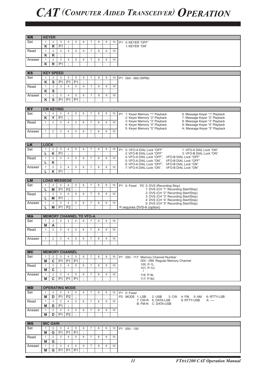| <b>KR</b>        | <b>KEYER</b>      |                                           |                          |                                  |                               |                     |                                                  |   |                  |    |                                                                                                                                |  |
|------------------|-------------------|-------------------------------------------|--------------------------|----------------------------------|-------------------------------|---------------------|--------------------------------------------------|---|------------------|----|--------------------------------------------------------------------------------------------------------------------------------|--|
| Set              | $\mathbf{1}$      | $\overline{2}$                            | 3                        | 4                                | 5                             | 6                   | $\overline{7}$                                   | 8 | 9                | 10 | <b>P1</b><br>0: KEYER "OFF"                                                                                                    |  |
|                  | Κ                 | $\mathsf R$                               | P <sub>1</sub>           | ٠                                |                               |                     |                                                  |   |                  |    | 1: KEYER "ON"                                                                                                                  |  |
| Read             | $\mathbf{1}$      | $\overline{2}$                            | $\mathsf 3$              | $\overline{4}$                   | 5                             | 6                   | $\overline{7}$                                   | 8 | $\overline{9}$   | 10 |                                                                                                                                |  |
|                  | K                 | R                                         | $\ddot{\phantom{a}}$     |                                  |                               |                     |                                                  |   |                  |    |                                                                                                                                |  |
| Answer           | $\mathbf{1}$      | $\overline{2}$                            | 3                        | 4                                | 5                             | 6                   | $\overline{7}$                                   | 8 | 9                | 10 |                                                                                                                                |  |
|                  | Κ                 | $\overline{R}$                            | P <sub>1</sub>           | $\cdot$                          |                               |                     |                                                  |   |                  |    |                                                                                                                                |  |
|                  |                   |                                           |                          |                                  |                               |                     |                                                  |   |                  |    |                                                                                                                                |  |
| <b>KS</b>        | <b>KEY SPEED</b>  |                                           |                          |                                  |                               |                     |                                                  |   |                  |    |                                                                                                                                |  |
| Set              | $\mathbf{1}$<br>Κ | $\overline{2}$<br>$\overline{\mathsf{s}}$ | 3<br>P <sub>1</sub>      | 4<br>P1                          | $\,$ 5 $\,$<br>P <sub>1</sub> | 6                   | $\overline{7}$                                   | 8 | 9                | 10 | P1 004 - 060 (WPM)                                                                                                             |  |
| Read             | $\mathbf{1}$      | $\overline{2}$                            | $\mathsf 3$              | $\overline{4}$                   | 5                             | $\ddot{\cdot}$<br>6 | $\overline{7}$                                   | 8 | 9                | 10 |                                                                                                                                |  |
|                  | Κ                 | $\overline{s}$                            | $\vdots$                 |                                  |                               |                     |                                                  |   |                  |    |                                                                                                                                |  |
| Answer           | $\mathbf{1}$      | $\overline{2}$                            | 3                        | $\overline{4}$                   | 5                             | 6                   | $\overline{7}$                                   | 8 | 9                | 10 |                                                                                                                                |  |
|                  | ĸ                 | $\overline{\mathbf{s}}$                   | P1                       | P1                               | P1                            | $\cdot$             |                                                  |   |                  |    |                                                                                                                                |  |
|                  |                   |                                           |                          |                                  |                               |                     |                                                  |   |                  |    |                                                                                                                                |  |
| KY               |                   | <b>CW KEYING</b>                          |                          |                                  |                               |                     |                                                  |   |                  |    |                                                                                                                                |  |
| Set              | $\mathbf{1}$      | $\overline{2}$                            | 3                        | 4                                | 5                             | 6                   | $\overline{7}$                                   | 8 | 9                | 10 | <b>P1</b><br>1: Keyer Memory "1" Playback<br>6: Message Keyer "1" Playback                                                     |  |
|                  | K                 | $\overline{Y}$                            | P <sub>1</sub>           | $\cdot$                          |                               |                     |                                                  |   |                  |    | 2: Keyer Memory "2" Playback<br>7: Message Keyer "2" Playback                                                                  |  |
| Read             | $\mathbf{1}$      | $\overline{2}$                            | 3                        | $\overline{4}$                   | 5                             | 6                   | $\overline{7}$                                   | 8 | $\boldsymbol{9}$ | 10 | 3: Keyer Memory "3" Playback<br>8: Message Keyer "3" Playback<br>4: Keyer Memory "4" Playback<br>9: Message Keyer "4" Playback |  |
|                  |                   |                                           |                          |                                  |                               |                     |                                                  |   |                  |    | 5: Keyer Memory "5" Playback<br>A: Message Keyer "5" Playback                                                                  |  |
| Answer           | $\mathbf{1}$      | $\overline{2}$                            | 3                        | $\overline{4}$                   | 5                             | 6                   | $\overline{7}$                                   | 8 | 9                | 10 |                                                                                                                                |  |
|                  |                   |                                           |                          |                                  |                               |                     |                                                  |   |                  |    |                                                                                                                                |  |
| <b>LK</b>        | <b>LOCK</b>       |                                           |                          |                                  |                               |                     |                                                  |   |                  |    |                                                                                                                                |  |
| Set              | $\mathbf{1}$      | $\overline{2}$                            | 3                        | 4                                | 5                             | 6                   | $\overline{7}$                                   | 8 | 9                | 10 | P1 0: VFO-A DIAL Lock "OFF"<br>1: VFO-A DIAL Lock "ON"                                                                         |  |
|                  | L                 | Κ                                         | P <sub>1</sub>           | ÷                                |                               |                     |                                                  |   |                  |    | 2: VFO-B DIAL Lock "OFF"<br>3: VFO-B DIAL Lock "ON"                                                                            |  |
| Read             | $\mathbf{1}$      | $\overline{2}$                            | 3                        | $\overline{4}$                   | 5                             | 6                   | $\overline{7}$                                   | 8 | $\boldsymbol{9}$ | 10 | 4: VFO-A DIAL Lock "OFF", VFO-B DIAL Lock "OFF"                                                                                |  |
|                  | L                 | K                                         | $\cdot$                  |                                  |                               |                     |                                                  |   |                  |    | 5: VFO-A DIAL Lock "ON",<br>VFO-B DIAL Lock "OFF"<br>6: VFO-A DIAL Lock "OFF",<br>VFO-B DIAL Lock "ON"                         |  |
| Answer           | $\mathbf{1}$      | $\overline{2}$                            | 3                        | 4                                | 5                             | 6                   | $\overline{7}$                                   | 8 | $\overline{9}$   | 10 | VFO-B DIAL Lock "ON"<br>7: VFO-A DIAL Lock "ON",                                                                               |  |
|                  | L                 | $\overline{\mathsf{K}}$                   | P <sub>1</sub>           | ٠                                |                               |                     |                                                  |   |                  |    |                                                                                                                                |  |
|                  |                   |                                           |                          |                                  |                               |                     |                                                  |   |                  |    |                                                                                                                                |  |
| <b>LM</b><br>Set | $\mathbf{1}$      | $\overline{2}$                            | <b>LOAD MESSEGE</b><br>3 | $\overline{4}$                   | 5                             | 6                   | $\overline{7}$                                   | 8 | $\boldsymbol{9}$ | 10 |                                                                                                                                |  |
|                  | L                 | M                                         | P <sub>1</sub>           | P <sub>2</sub>                   | $\ddot{\cdot}$                |                     |                                                  |   |                  |    | P1 0: Fixed P2 0: DVS (Recording Stop)<br>1: DVS (CH "1" Recording Start/Stop)                                                 |  |
| Read             | $\mathbf{1}$      | $\overline{2}$                            | 3                        | $\overline{4}$                   | 5                             | 6                   | $\overline{7}$                                   | 8 | 9                | 10 | 2: DVS (CH "2" Recording Start/Stop)                                                                                           |  |
|                  | L                 | M                                         | P <sub>1</sub>           | $\epsilon$                       |                               |                     |                                                  |   |                  |    | 3: DVS (CH "3" Recording Start/Stop)                                                                                           |  |
| Answer           | $\mathbf{1}$      | $\overline{2}$                            | 3                        | $\overline{4}$                   | 5                             | 6                   | $\overline{7}$                                   | 8 | $\boldsymbol{9}$ | 10 | 4: DVS (CH "4" Recording Start/Stop)<br>5: DVS (CH "5" Recording Start/Stop)                                                   |  |
|                  | L                 | М                                         | P <sub>1</sub>           | P <sub>2</sub>                   | $\cdot$                       |                     |                                                  |   |                  |    | *: requires DVS-6 (option)                                                                                                     |  |
|                  |                   |                                           |                          |                                  |                               |                     |                                                  |   |                  |    |                                                                                                                                |  |
| <b>MA</b><br>Set | $\mathbf{1}$      | $\overline{2}$                            | 3                        | $\overline{4}$                   | 5                             | 6                   | <b>MEMORY CHANNEL TO VFO-A</b><br>$\overline{7}$ | 8 | $\mathsf g$      | 10 |                                                                                                                                |  |
|                  | М                 | Α                                         |                          |                                  |                               |                     |                                                  |   |                  |    |                                                                                                                                |  |
| Read             | $\mathbf{1}$      |                                           |                          |                                  |                               | 6                   | $\overline{7}$                                   | 8 | 9                | 10 |                                                                                                                                |  |
|                  |                   |                                           |                          |                                  |                               |                     |                                                  |   |                  |    |                                                                                                                                |  |
|                  |                   | $\overline{2}$                            | $\mathfrak{Z}$           | $\overline{4}$                   | 5                             |                     |                                                  |   |                  |    |                                                                                                                                |  |
| Answer           | $\mathbf{1}$      | 2                                         | 3                        | $\overline{4}$                   | 5                             | 6                   | $\overline{7}$                                   | 8 | 9                | 10 |                                                                                                                                |  |
|                  |                   |                                           |                          |                                  |                               |                     |                                                  |   |                  |    |                                                                                                                                |  |
|                  |                   |                                           |                          |                                  |                               |                     |                                                  |   |                  |    |                                                                                                                                |  |
| <b>MC</b>        |                   |                                           | <b>MEMORY CHANNEL</b>    |                                  |                               |                     |                                                  |   |                  |    |                                                                                                                                |  |
| Set              | $\mathbf{1}$      | 2                                         | 3                        | $\overline{4}$                   | 5                             | 6                   | $\overline{7}$                                   | 8 | 9                | 10 | P1 000 - 117: Memory Channel Number                                                                                            |  |
|                  | M                 | C                                         | P <sub>1</sub>           | P <sub>1</sub>                   | P <sub>1</sub>                | $\ddot{\cdot}$      |                                                  |   |                  |    | 000 - 099: Regular Memory Channel<br>100: P-1L                                                                                 |  |
| Read             | $\mathbf{1}$      | 2                                         | 3                        | $\overline{4}$                   | 5                             | 6                   | $\overline{7}$                                   | 8 | 9                | 10 | 101: P-1U                                                                                                                      |  |
| Answer           | M<br>$\mathbf{1}$ | C<br>$\overline{2}$                       | $\ddot{\cdot}$<br>3      | $\overline{4}$                   | 5                             | 6                   | $\overline{7}$                                   | 8 | 9                | 10 | $\mathcal{L}$                                                                                                                  |  |
|                  | М                 | C.                                        | P1                       | <b>P1</b>                        | <b>P1</b>                     | $\cdot$             |                                                  |   |                  |    | 116: P-9L<br>117: P-9U                                                                                                         |  |
|                  |                   |                                           |                          |                                  |                               |                     |                                                  |   |                  |    |                                                                                                                                |  |
| <b>MD</b>        |                   |                                           | <b>OPERATING MODE</b>    |                                  |                               |                     |                                                  |   |                  |    |                                                                                                                                |  |
| Set              | $\mathbf{1}$      | 2                                         | 3                        | 4                                | 5                             | 6                   | $\overline{7}$                                   | 8 | 9                | 10 | P1 0: Fixed                                                                                                                    |  |
|                  | M                 | D                                         | P <sub>1</sub>           | P <sub>2</sub>                   | $\cdot$                       |                     |                                                  |   |                  |    | P2 MODE 1: LSB<br>$2: USB$<br>3: CW 4: FM<br>6: RTTY-LSB<br>5: AM                                                              |  |
| Read             | $\mathbf{1}$      | $\overline{2}$                            | 3                        | $\overline{4}$                   | 5                             | 6                   | $\overline{7}$                                   | 8 | 9                | 10 | 9: RTTY-USB<br>7: CW-R 8: DATA-LSB<br>A: ----<br>B: FM-N C: DATA-USB                                                           |  |
|                  | M                 | D                                         | P <sub>1</sub>           | ÷                                |                               |                     |                                                  |   |                  |    |                                                                                                                                |  |
| Answer           | $\mathbf{1}$<br>M | $\overline{2}$<br>D                       | 3                        | $\overline{4}$<br>P <sub>2</sub> | 5<br>÷                        | 6                   | $\overline{7}$                                   | 8 | 9                | 10 |                                                                                                                                |  |
|                  |                   |                                           | <b>P1</b>                |                                  |                               |                     |                                                  |   |                  |    |                                                                                                                                |  |
| <b>MG</b>        |                   | <b>MIC GAIN</b>                           |                          |                                  |                               |                     |                                                  |   |                  |    |                                                                                                                                |  |
| Set              | $\mathbf{1}$      | 2                                         | 3                        | $\overline{4}$                   | 5                             | 6                   | $\overline{7}$                                   | 8 | 9                | 10 | P1 000 - 100                                                                                                                   |  |
|                  | M                 | G                                         | P <sub>1</sub>           | P <sub>1</sub>                   | P <sub>1</sub>                | ÷                   |                                                  |   |                  |    |                                                                                                                                |  |
| Read             | $\mathbf{1}$      | $\overline{2}$                            | 3                        | $\overline{4}$                   | 5                             | 6                   | $\overline{7}$                                   | 8 | 9                | 10 |                                                                                                                                |  |
|                  | М                 | G                                         | $\cdot$                  |                                  |                               |                     |                                                  |   |                  |    |                                                                                                                                |  |
| Answer           | $\mathbf{1}$<br>М | 2<br>G                                    | 3<br>P1                  | $\overline{4}$<br><b>P1</b>      | 5<br>P1                       | 6<br>$\ddot{\cdot}$ | $\overline{7}$                                   | 8 | 9                | 10 |                                                                                                                                |  |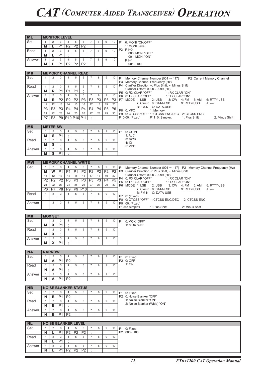| <b>ML</b> |                         |                         |                          | <b>MONITOR LEVEL</b>        |                |                 |                      |                 |                 |                 |           |                                                                                                                  |
|-----------|-------------------------|-------------------------|--------------------------|-----------------------------|----------------|-----------------|----------------------|-----------------|-----------------|-----------------|-----------|------------------------------------------------------------------------------------------------------------------|
| Set       | $\mathbf{1}$            | 2                       | 3                        | $\overline{4}$              | 5              | 6               | $\overline{7}$       | 8               | 9               | 10              |           | P1 0: MONI "ON/OFF"                                                                                              |
|           | M                       | L                       | P1                       | P <sub>2</sub>              | P <sub>2</sub> | P <sub>2</sub>  | $\ddot{ }$           |                 |                 |                 |           | 1: MONI Level                                                                                                    |
| Read      | $\mathbf{1}$            | 2                       | 3                        | $\overline{4}$              | 5              | 6               | $\overline{7}$       | 8               | 9               | 10              |           | P2 P1=0                                                                                                          |
|           | M                       | L                       | P <sub>1</sub>           | ×,                          |                |                 |                      |                 |                 |                 |           | 000: MONI "OFF"<br>001: MONI "ON"                                                                                |
| Answer    | $\mathbf{1}$            | 2                       | 3                        | $\overline{4}$              | 5              | 6               | $\overline{7}$       | 8               | 9               | 10              |           | $P1=1$                                                                                                           |
|           | M                       | L                       | P <sub>1</sub>           | P <sub>2</sub>              | P <sub>2</sub> | P <sub>2</sub>  | $\cdot$              |                 |                 |                 |           | $001 - 100$                                                                                                      |
|           |                         |                         |                          |                             |                |                 |                      |                 |                 |                 |           |                                                                                                                  |
| <b>MR</b> |                         |                         |                          | <b>MEMORY CHANNEL READ</b>  |                |                 |                      |                 |                 |                 |           |                                                                                                                  |
| Set       | $\mathbf{1}$            | $\overline{2}$          | 3                        | $\overline{4}$              | 5              | 6               | $\overline{7}$       | 8               | 9               | 10              | <b>P1</b> | Memory Channel Number (001 $\sim$ 117)<br>P2 Current Memory Channel                                              |
|           |                         |                         |                          |                             |                |                 |                      |                 |                 |                 |           | P3 Memory Channel Frequency (Hz)                                                                                 |
| Read      | $\mathbf{1}$            | $\overline{2}$          | 3                        | 4                           | 5              | 6               | $\overline{7}$       | 8               | $\overline{9}$  | 10              |           | P4 Clarifier Direction +: Plus Shift, -: Minus Shift                                                             |
|           | М                       | R                       | P <sub>1</sub>           | P <sub>1</sub>              | P <sub>1</sub> | $\vdots$        |                      |                 |                 |                 |           | Clarifier Offset: 0000 - 9999 (Hz)                                                                               |
| Answer    | $\mathbf{1}$            | $\overline{2}$          | 3                        | $\overline{4}$              | $\overline{5}$ | 6               | $\overline{7}$       | 8               | 9               | 10              |           | P5 0: RX CLAR "OFF"<br>1: RX CLAR "ON"<br>P6 0: TX CLAR "OFF"<br>1: TX CLAR "ON"                                 |
|           | M                       | $\mathsf R$             | P <sub>2</sub>           | P <sub>2</sub>              | P <sub>2</sub> | P <sub>3</sub>  | P <sub>3</sub>       | P <sub>3</sub>  | P <sub>3</sub>  | P <sub>3</sub>  |           | P7 MODE 1: LSB<br>2: USB 3: CW 4: FM<br>5: AM<br>6: RTTY-LSB                                                     |
|           | 11                      | 12                      | 13                       | 14                          | 15             | 16              | 17                   | 18              | 19              | 20              |           | 7: CW-R 8: DATA-LSB<br>9: RTTY-USB<br>$A:$ ----                                                                  |
|           | P <sub>3</sub>          | P <sub>3</sub>          | P <sub>3</sub>           | P4                          | P4             | P <sub>4</sub>  | P <sub>4</sub>       | P <sub>4</sub>  | P <sub>5</sub>  | P <sub>6</sub>  |           | B: FM-N C: DATA-USB                                                                                              |
|           | 21                      | 22                      | 23                       | 24                          | 25             | 26              | 27                   | 28              | 29              | 30              |           | P8 0: VFO<br>1: Memory<br>P9 0: CTCSS "OFF" 1: CTCSS ENC/DEC 2: CTCSS ENC                                        |
|           | P7                      | P <sub>8</sub>          | P9                       | P10 P10 P11                 |                |                 | $\cdot$              |                 |                 |                 |           | P11 0: Simplex<br>P10 00: (Fixed)<br>1: Plus Shift<br>2: Minus Shift                                             |
|           |                         |                         |                          |                             |                |                 |                      |                 |                 |                 |           |                                                                                                                  |
| <b>MS</b> |                         | <b>METER SW</b>         |                          |                             |                |                 |                      |                 |                 |                 |           |                                                                                                                  |
| Set       | $\mathbf{1}$            | $\overline{2}$          | 3                        | $\overline{4}$              | 5              | 6               | $\overline{7}$       | 8               | 9               | 10              |           | P1 0: COMP                                                                                                       |
|           | М                       | $\mathbf{s}$            | P <sub>1</sub>           | $\bullet$                   |                |                 |                      |                 |                 |                 |           | 1:ALC                                                                                                            |
| Read      | $\mathbf{1}$            | 2                       | 3                        | $\overline{4}$              | 5              | 6               | $\overline{7}$       | 8               | $\overline{9}$  | 10              |           | 3: SWR                                                                                                           |
|           | M                       | $\overline{\mathbf{s}}$ | $\cdot$                  |                             |                |                 |                      |                 |                 |                 |           | 4:1D                                                                                                             |
| Answer    | $\mathbf{1}$            | $\overline{2}$          | 3                        | $\overline{4}$              | 5              | 6               | $\overline{7}$       | 8               | $\overline{9}$  | 10              |           | 5: VDD                                                                                                           |
|           | М                       | $\overline{s}$          | P <sub>1</sub>           | ÷                           |                |                 |                      |                 |                 |                 |           |                                                                                                                  |
|           |                         |                         |                          |                             |                |                 |                      |                 |                 |                 |           |                                                                                                                  |
| <b>MW</b> |                         |                         |                          | <b>MEMORY CHANNEL WRITE</b> |                |                 |                      |                 |                 |                 |           |                                                                                                                  |
| Set       | $\mathbf{1}$            | 2                       | 3                        | $\overline{4}$              | 5              | 6               | $\overline{7}$       | 8               | 9               | 10              | <b>P1</b> | Memory Channel Number (001 $\sim$ 117) P2 Memory Channel Frequency (Hz)                                          |
|           | M                       | W                       | P <sub>1</sub>           | P <sub>1</sub>              | P <sub>1</sub> | P <sub>2</sub>  | P <sub>2</sub>       | $\overline{P2}$ | $\overline{P2}$ | P <sub>2</sub>  |           | P3 Clarifier Direction +: Plus Shift, -: Minus Shift                                                             |
|           | 11                      | 12                      | 13                       | 14                          | 15             | 16              | 17                   | 18              | 19              | 20              |           | Clarifier Offset: 0000 - 9999 (Hz)                                                                               |
|           | $\overline{P2}$         | P <sub>2</sub>          | P <sub>2</sub>           | P <sub>3</sub>              | P <sub>3</sub> | P <sub>3</sub>  | P3                   | P3              | P <sub>4</sub>  | $\overline{P5}$ |           | P4 0: RX CLAR "OFF"<br>1: RX CLAR "ON"                                                                           |
|           | 21                      | 22                      | 23                       | 24                          | 25             | 26              | 27                   | 28              | 29              | 30              |           | P5 0: TX CLAR "OFF"<br>1: TX CLAR "ON"<br>P6 MODE 1: LSB<br>2: <b>USE</b><br>3: CW 4: FM<br>5: AM<br>6: RTTY-LSB |
|           | P <sub>6</sub>          | P7                      | P <sub>8</sub>           | P <sub>9</sub>              | P <sub>9</sub> | P <sub>10</sub> | $\ddot{\phantom{a}}$ |                 |                 |                 |           | 7: CW-R 8: DATA-LSB<br>9: RTTY-USB<br>$A:$ ----                                                                  |
| Read      | $\mathbf{1}$            | $\overline{2}$          | 3                        | $\overline{4}$              | 5              | 6               | $\overline{7}$       | 8               | 9               | 10              |           | B: FM-N C: DATA-USB                                                                                              |
|           |                         |                         |                          |                             |                |                 |                      |                 |                 |                 |           | P7 0: (Fixed)                                                                                                    |
|           |                         |                         |                          |                             |                |                 |                      |                 |                 |                 |           |                                                                                                                  |
|           |                         |                         |                          |                             |                |                 |                      |                 |                 |                 |           | P8 0: CTCSS "OFF" 1: CTCSS ENC/DEC 2: CTCSS ENC                                                                  |
| Answer    | $\mathbf{1}$            | 2                       | 3                        | $\overline{4}$              | 5              | 6               | $\overline{7}$       | 8               | $\overline{9}$  | 10              |           | P9 00: (Fixed)<br>P10 0: Simplex<br>1: Plus Shift<br>2: Minus Shift                                              |
|           |                         |                         |                          |                             |                |                 |                      |                 |                 |                 |           |                                                                                                                  |
| <b>MX</b> |                         | <b>MOX SET</b>          |                          |                             |                |                 |                      |                 |                 |                 |           |                                                                                                                  |
| Set       | $\mathbf{1}$            | 2                       | 3                        | $\overline{4}$              | 5              | 6               | $\overline{7}$       | 8               | 9               | 10              |           | P1 0: MOX "OFF"                                                                                                  |
|           | М                       | X                       | P <sub>1</sub>           | $\bullet$                   |                |                 |                      |                 |                 |                 |           | 1: MOX "ON"                                                                                                      |
| Read      | $\mathbf{1}$            | 2                       | 3                        | $\overline{4}$              | 5              | 6               | $\overline{7}$       | 8               | 9               | 10              |           |                                                                                                                  |
|           | $\overline{\mathsf{M}}$ | $\overline{\mathbf{x}}$ | $\overline{\mathcal{L}}$ |                             |                |                 |                      |                 |                 |                 |           |                                                                                                                  |
| Answer    | $\mathbf{1}$            | 2                       | 3                        | 4                           | 5              | 6               | $\overline{7}$       | 8               | 9               | 10              |           |                                                                                                                  |
|           | М                       | X                       | P <sub>1</sub>           |                             |                |                 |                      |                 |                 |                 |           |                                                                                                                  |
|           |                         |                         |                          |                             |                |                 |                      |                 |                 |                 |           |                                                                                                                  |
| <b>NA</b> |                         | <b>NARROW</b>           |                          |                             |                |                 |                      |                 |                 |                 |           |                                                                                                                  |
| Set       | $\mathbf{1}$            | 2                       | 3                        | 4                           | 5              | 6               | $\overline{7}$       | 8               | 9               | 10              |           | P1 0: Fixed                                                                                                      |
|           | M                       | A                       | P <sub>1</sub>           | P <sub>2</sub>              | $\cdot$        |                 |                      |                 |                 |                 |           | P2 0: OFF                                                                                                        |
| Read      | $\mathbf{1}$            | $\overline{2}$          | 3                        | 4                           | 5              | 6               | $\overline{7}$       | 8               | 9               | 10              |           | 1: ON                                                                                                            |
|           | N                       | A                       | P <sub>1</sub>           | $\cdot$                     |                |                 |                      |                 |                 |                 |           |                                                                                                                  |
| Answer    | $\mathbf{1}$            | $\overline{2}$          | 3                        | $\overline{4}$              | 5              | 6               | $\overline{7}$       | 8               | 9               | 10              |           |                                                                                                                  |
|           | N                       | A                       | P <sub>1</sub>           | P <sub>2</sub>              | $\cdot$        |                 |                      |                 |                 |                 |           |                                                                                                                  |
|           |                         |                         |                          |                             |                |                 |                      |                 |                 |                 |           |                                                                                                                  |
| <b>NB</b> |                         |                         |                          | <b>NOISE BLANKER STATUS</b> |                |                 |                      |                 |                 |                 |           |                                                                                                                  |
| Set       | $\mathbf{1}$            | 2                       | 3                        | $\overline{4}$              | 5              | 6               | $\overline{7}$       | 8               | 9               | 10              |           | P1 0: Fixed                                                                                                      |
|           | N                       | в                       | P <sub>1</sub>           | P <sub>2</sub>              | $\cdot$        |                 |                      |                 |                 |                 |           | P2 0: Noise Blanker "OFF"                                                                                        |
| Read      | $\mathbf{1}$            | 2                       | 3                        | $\overline{4}$              | 5              | 6               | $\overline{7}$       | 8               | 9               | 10              |           | 1: Noise Blanker "ON"                                                                                            |
|           | N                       | в                       | P <sub>1</sub>           |                             |                |                 |                      |                 |                 |                 |           | 2: Noise Blanker (Wide) "ON"                                                                                     |
| Answer    | $\mathbf{1}$            | $\overline{2}$          | 3                        | $\overline{4}$              | 5              | 6               | $\overline{7}$       | 8               | 9               | 10              |           |                                                                                                                  |
|           | N                       | в                       | P <sub>1</sub>           | P <sub>2</sub>              |                |                 |                      |                 |                 |                 |           |                                                                                                                  |
|           |                         |                         |                          |                             |                |                 |                      |                 |                 |                 |           |                                                                                                                  |
| <b>NL</b> |                         |                         |                          | <b>NOISE BLANKER LEVEL</b>  |                |                 |                      |                 |                 |                 |           |                                                                                                                  |
| Set       | $\mathbf{1}$            | 2                       | 3                        | $\overline{4}$              | 5              | 6               | $\overline{7}$       | 8               | 9               | 10              |           | P1 0: Fixed                                                                                                      |
|           | N                       | L                       | P <sub>1</sub>           | P <sub>2</sub>              | P <sub>2</sub> | P <sub>2</sub>  | $\ddot{\cdot}$       |                 |                 |                 |           | P2 000 - 100                                                                                                     |
| Read      | $\mathbf{1}$            | $\overline{2}$          | 3                        | 4                           | 5              | 6               | $\overline{7}$       | 8               | 9               | 10              |           |                                                                                                                  |
|           | N                       | L                       | P <sub>1</sub>           | $\sim$                      |                |                 |                      |                 |                 |                 |           |                                                                                                                  |
| Answer    | $\mathbf{1}$            | 2                       | 3                        | $\overline{4}$              | 5              | 6               | $\overline{7}$       | 8               | 9               | 10              |           |                                                                                                                  |
|           | N                       | L                       | P <sub>1</sub>           | P <sub>2</sub>              | P <sub>2</sub> | P <sub>2</sub>  |                      |                 |                 |                 |           |                                                                                                                  |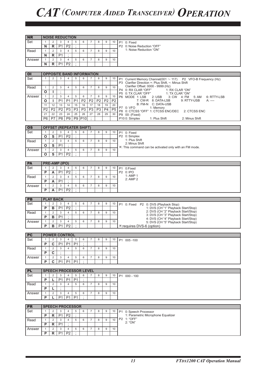| <b>NR</b>              |                 |                         |                      | <b>NOISE REDUCTION</b>           |                |                      |                      |                |                  |                |                                                                            |  |
|------------------------|-----------------|-------------------------|----------------------|----------------------------------|----------------|----------------------|----------------------|----------------|------------------|----------------|----------------------------------------------------------------------------|--|
| Set                    | $\mathbf{1}$    | 2                       | 3                    | $\overline{4}$                   | 5              | 6                    | $\overline{7}$       | 8              | 9                | 10             | P1 0: Fixed                                                                |  |
|                        |                 |                         |                      |                                  |                |                      |                      |                |                  |                | P2 0: Noise Reduction "OFF"                                                |  |
|                        | N               | $\mathsf{R}$            | P <sub>1</sub>       | P <sub>2</sub>                   | $\ddot{\cdot}$ |                      |                      |                |                  |                | 1: Noise Reduction "ON"                                                    |  |
| Read                   | $\mathbf{1}$    | $\overline{2}$          | 3                    | $\overline{4}$                   | 5              | 6                    | $\overline{7}$       | 8              | 9                | 10             |                                                                            |  |
|                        | N               | $\mathsf{R}$            | P <sub>1</sub>       | $\ddot{\cdot}$                   |                |                      |                      |                |                  |                |                                                                            |  |
| Answer                 | $\mathbf{1}$    | $\overline{2}$          | 3                    | $\overline{4}$                   | 5              | 6                    | $\overline{7}$       | 8              | 9                | 10             |                                                                            |  |
|                        | N               | R                       | P <sub>1</sub>       | P <sub>2</sub>                   | $\cdot$        |                      |                      |                |                  |                |                                                                            |  |
|                        |                 |                         |                      |                                  |                |                      |                      |                |                  |                |                                                                            |  |
|                        |                 |                         |                      |                                  |                |                      |                      |                |                  |                |                                                                            |  |
| $\overline{O}$         |                 |                         |                      | <b>OPPOSITE BAND INFORMATION</b> |                |                      |                      |                |                  |                |                                                                            |  |
| Set                    | $\mathbf{1}$    | $\overline{2}$          | 3                    | $\overline{4}$                   | 5              | 6                    | $\overline{7}$       | 8              | 9                | 10             | P1 Current Memory Channel(001 $\sim$ 117) P2 VFO-B Frequency (Hz)          |  |
|                        |                 |                         |                      |                                  |                |                      |                      |                |                  |                | P3 Clarifier Direction +: Plus Shift, -: Minus Shift                       |  |
| Read                   | $\mathbf{1}$    | $\overline{2}$          | 3                    | $\overline{4}$                   | 5              | 6                    | $\overline{7}$       | 8              | 9                | 10             | Clarifier Offset: 0000 - 9999 (Hz)                                         |  |
|                        | O               | L                       | ÷                    |                                  |                |                      |                      |                |                  |                | P4 0: RX CLAR "OFF"<br>1: RX CLAR "ON"                                     |  |
|                        |                 |                         |                      |                                  |                |                      |                      |                |                  |                | P5 0: TX CLAR "OFF"<br>1: TX CLAR "ON"                                     |  |
| Answer                 | $\mathbf{1}$    | $\overline{2}$          | 3                    | $\overline{4}$                   | 5              | 6                    | $\overline{7}$       | 8              | 9                | 10             | P6 MODE 1: LSB<br>2: USB<br>3: CW 4: FM<br>5: AM<br>6: RTTY-LSB            |  |
|                        | О               | L                       | P <sub>1</sub>       | P <sub>1</sub>                   | P1             | P <sub>2</sub>       | $\overline{P2}$      | P <sub>2</sub> | P <sub>2</sub>   | P <sub>2</sub> | 7: CW-R 8: DATA-LSB<br>9: RTTY-USB<br>A: ----                              |  |
|                        | 11              | 12                      | 13                   | 14                               | 15             | 16                   | 17                   | 18             | 19               | 20             | B: FM-N C: DATA-USB                                                        |  |
|                        | P <sub>2</sub>  | P <sub>2</sub>          | P2                   | P <sub>3</sub>                   | P <sub>3</sub> | P <sub>3</sub>       | P <sub>3</sub>       | P <sub>3</sub> | P <sub>4</sub>   | P5             | P7 0: VFO<br>1: Memory<br>P8 0: CTCSS "OFF" 1: CTCSS ENC/DEC 2: CTCSS ENC  |  |
|                        | 21              | 22                      | 23                   | 24                               | 25             | 26                   | 27                   | 28             | 29               | 30             | P9 00: (Fixed)                                                             |  |
|                        | $\overline{P6}$ | P7                      | P8                   | P9                               | P9             | P10                  | $\ddot{\phantom{a}}$ |                |                  |                | P10 0: Simplex<br>1: Plus Shift<br>2: Minus Shift                          |  |
|                        |                 |                         |                      |                                  |                |                      |                      |                |                  |                |                                                                            |  |
|                        |                 |                         |                      |                                  |                |                      |                      |                |                  |                |                                                                            |  |
| $\overline{\text{os}}$ |                 |                         |                      | <b>OFFSET (REPEATER SHIFT)</b>   |                |                      |                      |                |                  |                |                                                                            |  |
| Set                    | $\mathbf{1}$    | 2                       | 3                    | 4                                | 5              | 6                    | $\overline{7}$       | 8              | 9                | 10             | P1 0: Fixed                                                                |  |
|                        | O               | S                       | P <sub>1</sub>       | P <sub>2</sub>                   | $\cdot$        |                      |                      |                |                  |                | P2 0: Simplex                                                              |  |
| Read                   | $\mathbf{1}$    | $\overline{2}$          | $\mathbf{3}$         | $\overline{4}$                   | 5              | 6                    | $\overline{7}$       | 8              | 9                | 10             | 1: Plus Shift                                                              |  |
|                        | O               | $\overline{\mathbf{s}}$ | P <sub>1</sub>       | $\cdot$                          |                |                      |                      |                |                  |                | 2: Minus Shift                                                             |  |
|                        |                 |                         |                      |                                  |                |                      |                      |                |                  |                | X: This command can be activated only with an FM mode.                     |  |
| Answer                 | $\mathbf{1}$    | $\overline{2}$          | 3                    | $\overline{4}$                   | 5              | 6                    | $\overline{7}$       | 8              | $\overline{9}$   | 10             |                                                                            |  |
|                        | O               | $\overline{\mathsf{s}}$ | P <sub>1</sub>       | $\overline{P2}$                  | ÷              |                      |                      |                |                  |                |                                                                            |  |
|                        |                 |                         |                      |                                  |                |                      |                      |                |                  |                |                                                                            |  |
| <b>PA</b>              |                 | PRE-AMP (IPO)           |                      |                                  |                |                      |                      |                |                  |                |                                                                            |  |
| Set                    | $\mathbf{1}$    | $\overline{2}$          | 3                    | $\overline{4}$                   | 5              | 6                    | $\overline{7}$       | 8              | 9                | 10             | P1 0:Fixed                                                                 |  |
|                        | $\overline{P}$  | A                       | P <sub>1</sub>       | P <sub>2</sub>                   | $\cdot$        |                      |                      |                |                  |                | P2 0: IPO                                                                  |  |
|                        |                 |                         |                      |                                  |                |                      |                      |                |                  |                | 1: AMP 1                                                                   |  |
| Read                   | $\mathbf{1}$    | $\overline{2}$          | 3                    | $\overline{4}$                   | 5              | 6                    | $\overline{7}$       | 8              | 9                | 10             | 2: AMP 2                                                                   |  |
|                        | P               | A                       | P <sub>1</sub>       | $\ddot{.}$                       |                |                      |                      |                |                  |                |                                                                            |  |
| Answer                 | $\mathbf{1}$    | $\overline{2}$          | 3                    | $\overline{4}$                   | 5              | 6                    | $\overline{7}$       | 8              | $\overline{9}$   | 10             |                                                                            |  |
|                        | P               | Α                       | P <sub>1</sub>       | P <sub>2</sub>                   | ÷              |                      |                      |                |                  |                |                                                                            |  |
|                        |                 |                         |                      |                                  |                |                      |                      |                |                  |                |                                                                            |  |
| PB                     |                 | <b>PLAY BACK</b>        |                      |                                  |                |                      |                      |                |                  |                |                                                                            |  |
|                        |                 |                         |                      |                                  |                |                      |                      |                |                  |                |                                                                            |  |
| Set                    | $\mathbf{1}$    | $\overline{2}$          | 3                    | 4                                | 5              | 6                    | $\overline{7}$       | 8              | 9                | 10             | P1 0: Fixed P2 0: DVS (Playback Stop)                                      |  |
|                        | $\overline{P}$  | в                       | P <sub>1</sub>       | P <sub>2</sub>                   | ÷              |                      |                      |                |                  |                | 1: DVS (CH "1" Playback Start/Stop)<br>2: DVS (CH "2" Playback Start/Stop) |  |
| Read                   | $\mathbf{1}$    | $\overline{2}$          | 3                    | 4                                | 5              | 6                    | $\overline{7}$       | 8              | 9                | 10             | 3: DVS (CH "3" Playback Start/Stop)                                        |  |
|                        | P               | в                       | P <sub>1</sub>       | $\cdot$                          |                |                      |                      |                |                  |                | 4: DVS (CH "4" Playback Start/Stop)                                        |  |
| Answer                 | $\mathbf{1}$    | $\overline{2}$          | 3                    | 4                                | 5              | 6                    | $\overline{7}$       | 8              | 9                | 10             | 5: DVS (CH "5" Playback Start/Stop)                                        |  |
|                        | P               | в                       | P <sub>1</sub>       | P <sub>2</sub>                   | $\cdot$        |                      |                      |                |                  |                | *: requires DVS-6 (option)                                                 |  |
|                        |                 |                         |                      |                                  |                |                      |                      |                |                  |                |                                                                            |  |
|                        |                 |                         |                      |                                  |                |                      |                      |                |                  |                |                                                                            |  |
| PC                     |                 |                         |                      | <b>POWER CONTROL</b>             |                |                      |                      |                |                  |                |                                                                            |  |
| Set                    | $\mathbf{1}$    | 2                       | 3                    | 4                                | 5              | 6                    | $\overline{7}$       | 8              | 9                | 10             | P1 005-100                                                                 |  |
|                        | P               | $\overline{c}$          | P <sub>1</sub>       | P <sub>1</sub>                   | P <sub>1</sub> | $\ddot{\phantom{a}}$ |                      |                |                  |                |                                                                            |  |
| Read                   | $\mathbf{1}$    | $\overline{2}$          | 3                    | $\overline{4}$                   | 5              | 6                    | $\overline{7}$       | 8              | 9                | 10             |                                                                            |  |
|                        | P               | $\overline{\mathbf{c}}$ | $\ddot{\phantom{a}}$ |                                  |                |                      |                      |                |                  |                |                                                                            |  |
| Answer                 | $\mathbf{1}$    | $\overline{2}$          | 3                    | $\overline{4}$                   | 5              | 6                    | $\overline{7}$       | 8              | 9                | 10             |                                                                            |  |
|                        | P               | $\mathbf{C}$            | P1                   | P1                               | P <sub>1</sub> | $\cdot$              |                      |                |                  |                |                                                                            |  |
|                        |                 |                         |                      |                                  |                |                      |                      |                |                  |                |                                                                            |  |
|                        |                 |                         |                      |                                  |                |                      |                      |                |                  |                |                                                                            |  |
| <b>PL</b>              |                 |                         |                      | <b>SPEECH PROCESSOR LEVEL</b>    |                |                      |                      |                |                  |                |                                                                            |  |
| Set                    | $\mathbf{1}$    | $\overline{2}$          | 3                    | 4                                | 5              | 6                    | $\overline{7}$       | 8              | $\boldsymbol{9}$ | 10             | P1 000 - 100                                                               |  |
|                        | P               | L                       | P1                   | P <sub>1</sub>                   | P1             | $\cdot$              |                      |                |                  |                |                                                                            |  |
| Read                   | $\mathbf{1}$    | $\overline{2}$          | 3                    | 4                                | 5              | 6                    | $\overline{7}$       | 8              | 9                | 10             |                                                                            |  |
|                        | P               |                         |                      |                                  |                |                      |                      |                |                  |                |                                                                            |  |
|                        |                 | L                       | ÷                    |                                  |                |                      |                      |                |                  |                |                                                                            |  |
| Answer                 | $\mathbf{1}$    | $\overline{2}$          | 3                    | 4                                | 5              | 6                    | $\overline{7}$       | 8              | 9                | 10             |                                                                            |  |
|                        | P               | L                       | P <sub>1</sub>       | P <sub>1</sub>                   | P <sub>1</sub> | $\ddot{\phantom{a}}$ |                      |                |                  |                |                                                                            |  |
|                        |                 |                         |                      |                                  |                |                      |                      |                |                  |                |                                                                            |  |
| <b>PR</b>              |                 |                         |                      | <b>SPEECH PROCESSOR</b>          |                |                      |                      |                |                  |                |                                                                            |  |
| Set                    | $\mathbf{1}$    | $\overline{2}$          | 3                    | 4                                | 5              | 6                    | $\overline{7}$       | 8              | 9                | 10             | P1 0: Speech Processor                                                     |  |
|                        | P               |                         | P <sub>1</sub>       | P <sub>2</sub>                   | $\cdot$        |                      |                      |                |                  |                | 1: Parametric Microphone Equalizer                                         |  |
|                        |                 | R                       |                      |                                  |                |                      |                      |                |                  |                | P2 1: "OFF"                                                                |  |
| Read                   | $\mathbf{1}$    | $\overline{2}$          | 3                    | $\overline{4}$                   | 5              | 6                    | $\overline{7}$       | 8              | 9                | 10             | 2: "ON"                                                                    |  |
|                        | P               | R                       | P <sub>1</sub>       | $\cdot$                          |                |                      |                      |                |                  |                |                                                                            |  |
| Answer                 | $\mathbf{1}$    | $\overline{2}$          | 3                    | 4                                | 5              | 6                    | $\overline{7}$       | 8              | 9                | 10             |                                                                            |  |
|                        | P               | R.                      | P1                   | P <sub>2</sub>                   | ٠              |                      |                      |                |                  |                |                                                                            |  |
|                        |                 |                         |                      |                                  |                |                      |                      |                |                  |                |                                                                            |  |
|                        |                 |                         |                      |                                  |                |                      |                      |                |                  |                |                                                                            |  |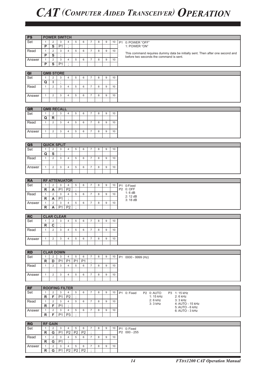| <b>PS</b>               |                |                         |                    | <b>POWER SWITCH</b>   |                 |                |                |   |   |    |                                                                                                                          |
|-------------------------|----------------|-------------------------|--------------------|-----------------------|-----------------|----------------|----------------|---|---|----|--------------------------------------------------------------------------------------------------------------------------|
| Set                     | $\mathbf{1}$   | $\overline{c}$          | 3                  | $\overline{4}$        | 5               | 6              | $\overline{7}$ | 8 | 9 | 10 | P1 0: POWER "OFF"                                                                                                        |
|                         | $\overline{P}$ | S                       | P1                 | $\cdot$               |                 |                |                |   |   |    | 1: POWER "ON"                                                                                                            |
| Read                    | $\mathbf{1}$   | $\overline{2}$          | 3                  | $\overline{4}$        | 5               | 6              | $\overline{7}$ | 8 | 9 | 10 |                                                                                                                          |
|                         | P              | ${\bf S}$               | $\vdots$           |                       |                 |                |                |   |   |    | This command requires dummy data be initially sent. Then after one second and<br>before two seconds the command is sent. |
| Answer                  | $\mathbf{1}$   | $\overline{2}$          | 3                  | $\overline{4}$        | 5               | 6              | $\overline{7}$ | 8 | 9 | 10 |                                                                                                                          |
|                         | $\overline{P}$ | $\overline{\mathbf{s}}$ | $\overline{P1}$    | $\epsilon$            |                 |                |                |   |   |    |                                                                                                                          |
|                         |                |                         |                    |                       |                 |                |                |   |   |    |                                                                                                                          |
| QI                      |                |                         | <b>QMB STORE</b>   |                       |                 |                |                |   |   |    |                                                                                                                          |
|                         |                |                         |                    |                       |                 |                |                |   |   |    |                                                                                                                          |
| Set                     | $\mathbf{1}$   | $\overline{2}$          | 3                  | $\overline{4}$        | 5               | 6              | $\overline{7}$ | 8 | 9 | 10 |                                                                                                                          |
|                         | $\mathbf Q$    | J.                      | $\vdots$           |                       |                 |                |                |   |   |    |                                                                                                                          |
| Read                    | $\mathbf{1}$   | $\overline{2}$          | 3                  | $\overline{4}$        | 5               | 6              | $\overline{7}$ | 8 | 9 | 10 |                                                                                                                          |
|                         |                |                         |                    |                       |                 |                |                |   |   |    |                                                                                                                          |
| Answer                  | $\mathbf{1}$   | $\overline{2}$          | 3                  | $\overline{4}$        | 5               | 6              | $\overline{7}$ | 8 | 9 | 10 |                                                                                                                          |
|                         |                |                         |                    |                       |                 |                |                |   |   |    |                                                                                                                          |
|                         |                |                         |                    |                       |                 |                |                |   |   |    |                                                                                                                          |
| QR                      |                |                         | <b>QMB RECALL</b>  |                       |                 |                |                |   |   |    |                                                                                                                          |
| Set                     | $\mathbf{1}$   | 2                       | 3                  | $\overline{4}$        | 5               | 6              | $\overline{7}$ | 8 | 9 | 10 |                                                                                                                          |
|                         | Q              | $\mathsf{R}$            | $\vdots$           |                       |                 |                |                |   |   |    |                                                                                                                          |
|                         |                |                         |                    |                       |                 |                |                |   |   |    |                                                                                                                          |
| Read                    | $\mathbf{1}$   | $\overline{2}$          | 3                  | $\overline{4}$        | 5               | 6              | $\overline{7}$ | 8 | 9 | 10 |                                                                                                                          |
|                         |                |                         |                    |                       |                 |                |                |   |   |    |                                                                                                                          |
| Answer                  | $\mathbf{1}$   | $\overline{2}$          | 3                  | $\overline{4}$        | 5               | 6              | $\overline{7}$ | 8 | 9 | 10 |                                                                                                                          |
|                         |                |                         |                    |                       |                 |                |                |   |   |    |                                                                                                                          |
|                         |                |                         |                    |                       |                 |                |                |   |   |    |                                                                                                                          |
| $\overline{\mathbf{a}}$ |                |                         | <b>QUICK SPLIT</b> |                       |                 |                |                |   |   |    |                                                                                                                          |
| Set                     | $\mathbf{1}$   | 2                       | 3                  | $\overline{4}$        | 5               | 6              | $\overline{7}$ | 8 | 9 | 10 |                                                                                                                          |
|                         | Q              | S                       | $\ddot{i}$         |                       |                 |                |                |   |   |    |                                                                                                                          |
| Read                    | $\mathbf{1}$   | $\overline{2}$          | 3                  | $\overline{4}$        | 5               | 6              | $\overline{7}$ | 8 | 9 | 10 |                                                                                                                          |
|                         |                |                         |                    |                       |                 |                |                |   |   |    |                                                                                                                          |
| Answer                  | $\mathbf{1}$   | 2                       | 3                  | $\overline{4}$        | 5               | 6              | $\overline{7}$ | 8 | 9 | 10 |                                                                                                                          |
|                         |                |                         |                    |                       |                 |                |                |   |   |    |                                                                                                                          |
|                         |                |                         |                    |                       |                 |                |                |   |   |    |                                                                                                                          |
| <b>RA</b>               |                |                         |                    | <b>RF ATTENUATOR</b>  |                 |                |                |   |   |    |                                                                                                                          |
|                         |                | $\overline{2}$          |                    |                       |                 |                | $\overline{7}$ |   |   |    |                                                                                                                          |
| Set                     | $\mathbf{1}$   |                         | $\mathbf{3}$       | $\overline{4}$        | 5<br>$\epsilon$ | 6              |                | 8 | 9 | 10 | P1 0:Fixed<br>P2 0: OFF                                                                                                  |
|                         | $\mathsf{R}$   | A                       | P <sub>1</sub>     | P <sub>2</sub>        |                 |                |                |   |   |    | 1:6dB                                                                                                                    |
| Read                    | $\mathbf{1}$   | $\sqrt{2}$              | 3                  | $\overline{4}$        | 5               | 6              | $\overline{7}$ | 8 | 9 | 10 | 2: 12 dB                                                                                                                 |
|                         | R              | A                       | P1                 | $\cdot$               |                 |                |                |   |   |    | 3:18 dB                                                                                                                  |
| Answer                  | $\mathbf{1}$   | 2                       | 3                  | $\overline{4}$        | 5               | 6              | $\overline{7}$ | 8 | 9 | 10 |                                                                                                                          |
|                         | $\mathsf{R}$   | A                       | P <sub>1</sub>     | P <sub>2</sub>        | $\cdot$         |                |                |   |   |    |                                                                                                                          |
|                         |                |                         |                    |                       |                 |                |                |   |   |    |                                                                                                                          |
| RC                      |                |                         | <b>CLAR CLEAR</b>  |                       |                 |                |                |   |   |    |                                                                                                                          |
| Set                     | $\mathbf{1}$   | $\overline{2}$          | 3                  | $\overline{4}$        | 5               | 6              | $\overline{7}$ | 8 | 9 | 10 |                                                                                                                          |
|                         | ${\sf R}$      | C                       | $\cdot$            |                       |                 |                |                |   |   |    |                                                                                                                          |
| Read                    | $\mathbf{1}$   | $\overline{2}$          | 3                  | $\overline{4}$        | 5               | 6              | $\overline{7}$ | 8 | 9 | 10 |                                                                                                                          |
|                         |                |                         |                    |                       |                 |                |                |   |   |    |                                                                                                                          |
| Answer                  | $\mathbf{1}$   | 2                       | 3                  | $\overline{4}$        | 5               | 6              | $\overline{7}$ | 8 | 9 | 10 |                                                                                                                          |
|                         |                |                         |                    |                       |                 |                |                |   |   |    |                                                                                                                          |
|                         |                |                         |                    |                       |                 |                |                |   |   |    |                                                                                                                          |
| <b>RD</b>               |                |                         | <b>CLAR DOWN</b>   |                       |                 |                |                |   |   |    |                                                                                                                          |
| Set                     | $\mathbf{1}$   | $\overline{2}$          | 3                  | $\overline{4}$        | $\,$ 5 $\,$     | 6              | $\overline{7}$ | 8 | 9 | 10 | P1 0000 - 9999 (Hz)                                                                                                      |
|                         | $\mathsf{R}$   | D                       | P1                 | <b>P1</b>             | P <sub>1</sub>  | P <sub>1</sub> | $\cdot$        |   |   |    |                                                                                                                          |
| Read                    | $\mathbf{1}$   | $\overline{2}$          | 3                  | 4                     | 5               | 6              | $\overline{7}$ | 8 | 9 | 10 |                                                                                                                          |
|                         |                |                         |                    |                       |                 |                |                |   |   |    |                                                                                                                          |
|                         |                |                         |                    |                       |                 |                |                |   |   |    |                                                                                                                          |
| Answer                  | $\mathbf{1}$   | 2                       | 3                  | $\overline{4}$        | 5               | 6              | $\overline{7}$ | 8 | 9 | 10 |                                                                                                                          |
|                         |                |                         |                    |                       |                 |                |                |   |   |    |                                                                                                                          |
|                         |                |                         |                    |                       |                 |                |                |   |   |    |                                                                                                                          |
| RF                      |                |                         |                    | <b>ROOFING FILTER</b> |                 |                |                |   |   |    |                                                                                                                          |
| Set                     | $\mathbf{1}$   | 2                       | 3                  | $\overline{4}$        | 5               | 6              | $\overline{7}$ | 8 | 9 | 10 | P1 0: Fixed<br>P2 0: AUTO<br>P3 1:15 kHz                                                                                 |
|                         | $\mathsf R$    | F                       | P <sub>1</sub>     | P <sub>2</sub>        | $\cdot$         |                |                |   |   |    | 1: 15 kHz<br>$2:6$ kHz                                                                                                   |
| Read                    | $\mathbf{1}$   | 2                       | 3                  | $\overline{4}$        | 5               | 6              | $\overline{7}$ | 8 | 9 | 10 | 2: 6 kHz<br>3: 3 kHz                                                                                                     |
|                         | $\mathsf R$    | F                       | P <sub>1</sub>     | $\cdot$               |                 |                |                |   |   |    | 3: 3 kHz<br>4: AUTO - 15 kHz<br>5: AUTO - 6 kHz                                                                          |
| Answer                  | $\mathbf{1}$   | $\overline{2}$          | 3                  | $\overline{4}$        | 5               | 6              | $\overline{7}$ | 8 | 9 | 10 | 6: AUTO - 3 kHz                                                                                                          |
|                         | R              | F.                      | P <sub>1</sub>     | P <sub>3</sub>        | $\cdot$         |                |                |   |   |    |                                                                                                                          |
|                         |                |                         |                    |                       |                 |                |                |   |   |    |                                                                                                                          |
| RG                      |                | <b>RF GAIN</b>          |                    |                       |                 |                |                |   |   |    |                                                                                                                          |
| Set                     | $\mathbf{1}$   | $\overline{2}$          | 3                  | $\overline{4}$        | 5               | 6              | $\overline{7}$ | 8 | 9 | 10 |                                                                                                                          |
|                         | $\mathsf{R}$   | G                       | P <sub>1</sub>     | P <sub>2</sub>        | P <sub>2</sub>  | P <sub>2</sub> | $\cdot$        |   |   |    | P1 0: Fixed<br>P2 000 - 255                                                                                              |
|                         |                |                         |                    |                       |                 |                |                |   |   |    |                                                                                                                          |
| Read                    | $\mathbf{1}$   | $\overline{2}$          | 3                  | $\overline{4}$        | 5               | 6              | $\overline{7}$ | 8 | 9 | 10 |                                                                                                                          |
|                         | $\mathsf R$    | G                       | P <sub>1</sub>     | $\cdot$               |                 |                |                |   |   |    |                                                                                                                          |
| Answer                  | $\mathbf{1}$   | $\overline{2}$          | 3                  | $\overline{4}$        | 5               | 6              | $\overline{7}$ | 8 | 9 | 10 |                                                                                                                          |
|                         | $\mathsf{R}$   | G                       | P <sub>1</sub>     | P2                    | P2              | P <sub>2</sub> |                |   |   |    |                                                                                                                          |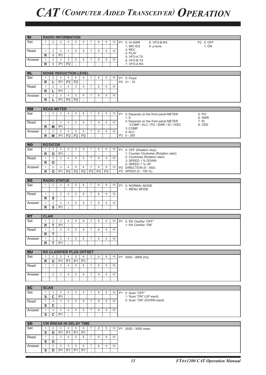| <b>RI</b>        |                             |                                           |                     | <b>RADIO INFORMATION</b>                          |                     |                     |                              |                |                 |         |           |                                                                           |                   |
|------------------|-----------------------------|-------------------------------------------|---------------------|---------------------------------------------------|---------------------|---------------------|------------------------------|----------------|-----------------|---------|-----------|---------------------------------------------------------------------------|-------------------|
| Set              | $\mathbf{1}$                | $\overline{2}$                            | 3                   | $\overline{4}$                                    | 5                   | 6                   | $\overline{7}$               | 8              | 9               | 10      | <b>P1</b> | 0: Hi-SWR<br>8: VFO-B-RX<br>1: MIC-EQ<br>$9: \mu$ -tune                   | P2 0: OFF<br>1:ON |
| Read             | $\mathbf{1}$                | $\overline{2}$                            | 3                   | $\overline{4}$                                    | 5                   | 6                   | $\overline{7}$               | 8              | 9               | 10      |           | $3:$ REC                                                                  |                   |
|                  | R                           | L                                         | P <sub>1</sub>      | $\cdot$                                           |                     |                     |                              |                |                 |         |           | 4: PLAY                                                                   |                   |
| Answer           | $\mathbf{1}$                | $\overline{c}$                            | 3                   | 4                                                 | 5                   | 6                   | $\overline{7}$               | 8              | 9               | 10      |           | 5: VFO-ATX<br>6: VFO-B TX                                                 |                   |
|                  | R                           | L                                         | P <sub>1</sub>      | P <sub>2</sub>                                    | $\vdots$            |                     |                              |                |                 |         |           | 7: VFO-A RX                                                               |                   |
|                  |                             |                                           |                     |                                                   |                     |                     |                              |                |                 |         |           |                                                                           |                   |
| <b>RL</b>        |                             |                                           |                     | <b>NOISE REDUCTION LEVEL</b>                      |                     |                     |                              |                |                 |         |           |                                                                           |                   |
| Set              | $\mathbf{1}$                | 2                                         | 3                   | 4                                                 | 5                   | 6                   | $\overline{7}$               | 8              | 9               | 10      |           | P1 0: Fixed                                                               |                   |
|                  | R                           | L                                         | P <sub>1</sub>      | P <sub>2</sub>                                    | P <sub>2</sub>      |                     |                              |                |                 |         |           | P2 01 - 15                                                                |                   |
| Read             | $\mathbf{1}$<br>R           | $\overline{2}$<br>L                       | 3<br>P <sub>1</sub> | $\overline{4}$<br>÷                               | 5                   | 6                   | $\overline{7}$               | 8              | 9               | 10      |           |                                                                           |                   |
| Answer           | $\mathbf{1}$                | 2                                         | 3                   | $\overline{4}$                                    | 5                   | 6                   | $\overline{7}$               | 8              | 9               | 10      |           |                                                                           |                   |
|                  | R                           | L                                         | P1                  | P <sub>2</sub>                                    | $\overline{P2}$     | $\vdots$            |                              |                |                 |         |           |                                                                           |                   |
|                  |                             |                                           |                     |                                                   |                     |                     |                              |                |                 |         |           |                                                                           |                   |
| <b>RM</b>        |                             | <b>READ METER</b>                         |                     |                                                   |                     |                     |                              |                |                 |         |           |                                                                           |                   |
| Set              | $\mathbf{1}$                | $\overline{2}$                            | 3                   | $\overline{4}$                                    | 5                   | 6                   | $\overline{7}$               | 8              | 9               | 10      | <b>P1</b> | 0: Depends on the front panel METER                                       | 5: PO             |
|                  |                             |                                           |                     |                                                   |                     |                     |                              |                |                 |         |           | 1: S                                                                      | 6: SWR            |
| Read             | $\mathbf{1}$                | 2                                         | 3                   | 4                                                 | 5                   | 6                   | $\overline{7}$               | 8              | 9               | 10      |           | 2: Depends on the front panel METER<br>(COMP / ALC / PO / SWR / ID / VDD) | 7:1D<br>8: VDD    |
|                  | R                           | M                                         | P <sub>1</sub>      | $\cdot$                                           |                     |                     |                              |                |                 |         |           | 3: COMP                                                                   |                   |
| Answer           | $\mathbf{1}$                | 2                                         | 3<br>P <sub>1</sub> | $\overline{4}$<br>P <sub>2</sub>                  | 5<br>P <sub>2</sub> | 6<br>P <sub>2</sub> | $\overline{7}$<br>$\cdot$    | 8              | 9               | 10      |           | 4: ALC<br>$P2 \quad 0 - 255$                                              |                   |
|                  | R                           | M                                         |                     |                                                   |                     |                     |                              |                |                 |         |           |                                                                           |                   |
| <b>RO</b>        |                             | <b>ROTATOR</b>                            |                     |                                                   |                     |                     |                              |                |                 |         |           |                                                                           |                   |
| Set              | $\mathbf{1}$                | $\overline{2}$                            | 3                   | 4                                                 | 5                   | 6                   | $\overline{7}$               | 8              | $9\,$           | 10      | <b>P1</b> | 0: OFF (Rotation stop)                                                    |                   |
|                  | $\mathsf{R}$                | O                                         | P <sub>1</sub>      | ÷                                                 |                     |                     |                              |                |                 |         |           | 1: Counter Clockwise (Rotation start)                                     |                   |
| Read             | $\mathbf{1}$                | 2                                         | 3                   | $\overline{4}$                                    | 5                   | 6                   | $\overline{7}$               | 8              | 9               | 10      |           | 2: Clockwise (Rotation start)<br>3: SPEED 1 % DOWN                        |                   |
|                  | R                           | O                                         | $\cdot$             |                                                   |                     |                     |                              |                |                 |         |           | 4: SPEED 1 % UP                                                           |                   |
| Answer           | $\mathbf{1}$                | $\overline{c}$                            | 3                   | 4                                                 | 5                   | 6                   | $\overline{7}$               | 8              | 9               | 10      |           | P2 DIRECTION (0 - 450)                                                    |                   |
|                  | R                           | O                                         | P1                  | P <sub>2</sub>                                    | P <sub>2</sub>      | P <sub>2</sub>      | P <sub>3</sub>               | P <sub>3</sub> | $\overline{P3}$ | $\cdot$ |           | P3 SPEED (0 - 100 %)                                                      |                   |
| <b>RS</b>        |                             | <b>RADIO STATUS</b>                       |                     |                                                   |                     |                     |                              |                |                 |         |           |                                                                           |                   |
| Set              | $\mathbf{1}$                | 2                                         | 3                   | $\overline{4}$                                    | 5                   | 6                   | $\overline{7}$               | 8              | 9               | 10      | <b>P1</b> | 0: NORMAL MODE                                                            |                   |
|                  |                             |                                           |                     |                                                   |                     |                     |                              |                |                 |         |           | 1: MENU MODE                                                              |                   |
| Read             | $\mathbf{1}$                | $\overline{2}$                            | 3                   | 4                                                 | 5                   | 6                   | $\overline{7}$               | 8              | 9               | 10      |           |                                                                           |                   |
|                  | R                           | $\overline{\mathbf{s}}$                   | $\cdot$             |                                                   |                     |                     |                              |                |                 |         |           |                                                                           |                   |
| Answer           | $\mathbf{1}$                | $\overline{2}$<br>$\overline{\mathsf{s}}$ | 3                   | 4<br>$\cdot$                                      | 5                   | 6                   | $\overline{7}$               | 8              | 9               | 10      |           |                                                                           |                   |
|                  | R                           |                                           | P <sub>1</sub>      |                                                   |                     |                     |                              |                |                 |         |           |                                                                           |                   |
|                  |                             |                                           |                     |                                                   |                     |                     |                              |                |                 |         |           |                                                                           |                   |
|                  |                             |                                           |                     |                                                   |                     |                     |                              |                |                 |         |           |                                                                           |                   |
| RT<br>Set        | <b>CLAR</b><br>$\mathbf{1}$ | $\overline{2}$                            | $\mathbf{3}$        | $\overline{4}$                                    | 5                   | 6                   | $\overline{7}$               | 8              | 9               | 10      |           |                                                                           |                   |
|                  | R                           | Т                                         | P <sub>1</sub>      | $\ddot{\phantom{a}}$                              |                     |                     |                              |                |                 |         |           | P1 0: RX Clarifier "OFF"<br>1: RX Clarifier "ON"                          |                   |
| Read             | $\mathbf{1}$                | 2                                         | $\mathbf{3}$        | $\overline{4}$                                    | 5                   | 6                   | $\overline{7}$               | 8              | 9               | 10      |           |                                                                           |                   |
|                  | R                           | т                                         | $\cdot$             |                                                   |                     |                     |                              |                |                 |         |           |                                                                           |                   |
| Answer           | $\mathbf{1}$                | 2                                         | 3                   | $\overline{4}$                                    | 5                   | 6                   | $\overline{7}$               | 8              | 9               | 10      |           |                                                                           |                   |
|                  | R                           | T.                                        | P <sub>1</sub>      | $\ddot{ }$                                        |                     |                     |                              |                |                 |         |           |                                                                           |                   |
|                  |                             |                                           |                     |                                                   |                     |                     |                              |                |                 |         |           |                                                                           |                   |
| <b>RU</b><br>Set | $\mathbf{1}$                | 2                                         | 3                   | <b>RX CLARIFIER PLUS OFFSET</b><br>$\overline{4}$ | 5                   | 6                   | 7                            | 8              | 9               | 10      |           | P1 0000 - 9999 (Hz)                                                       |                   |
|                  | R                           | U                                         | P1                  | P <sub>1</sub>                                    | P <sub>1</sub>      | P <sub>1</sub>      | $\cdot$                      |                |                 |         |           |                                                                           |                   |
| Read             | $\mathbf{1}$                | 2                                         | 3                   | $\overline{4}$                                    | 5                   | 6                   | $\overline{7}$               | 8              | 9               | 10      |           |                                                                           |                   |
|                  |                             |                                           |                     |                                                   |                     |                     |                              |                |                 |         |           |                                                                           |                   |
| Answer           | $\mathbf{1}$                | $\overline{2}$                            | 3                   | $\overline{4}$                                    | 5                   | 6                   | $\overline{7}$               | 8              | 9               | 10      |           |                                                                           |                   |
|                  |                             |                                           |                     |                                                   |                     |                     |                              |                |                 |         |           |                                                                           |                   |
|                  |                             |                                           |                     |                                                   |                     |                     |                              |                |                 |         |           |                                                                           |                   |
| <b>SC</b><br>Set | <b>SCAN</b><br>$\mathbf{1}$ | 2                                         | $\mathbf{3}$        | 4                                                 | 5                   | 6                   | $\overline{7}$               | 8              | 9               | 10      |           |                                                                           |                   |
|                  | $\overline{s}$              | $\overline{\mathbf{c}}$                   | P <sub>1</sub>      | $\cdot$                                           |                     |                     |                              |                |                 |         |           | P1 0: Scan "OFF"<br>1: Scan "ON" (UP ward)                                |                   |
| Read             | $\mathbf{1}$                | 2                                         | 3                   | 4                                                 | 5                   | 6                   | $\overline{7}$               | 8              | 9               | 10      |           | 2: Scan "ON" (DOWN ward)                                                  |                   |
|                  | S                           | C                                         | $\sim$              |                                                   |                     |                     |                              |                |                 |         |           |                                                                           |                   |
| Answer           | $\mathbf{1}$                | 2                                         | 3                   | 4                                                 | 5                   | 6                   | $\overline{7}$               | 8              | 9               | 10      |           |                                                                           |                   |
|                  | S                           | C                                         | P <sub>1</sub>      | ÷                                                 |                     |                     |                              |                |                 |         |           |                                                                           |                   |
|                  |                             |                                           |                     |                                                   |                     |                     |                              |                |                 |         |           |                                                                           |                   |
| <b>SD</b>        | $\mathbf{1}$                | 2                                         | 3                   | <b>CW BREAK-IN DELAY TIME</b><br>$\overline{4}$   | 5                   | 6                   | $\overline{7}$               | 8              | 9               | 10      |           |                                                                           |                   |
| Set              | S                           | D                                         | P <sub>1</sub>      | P <sub>1</sub>                                    | P <sub>1</sub>      | P <sub>1</sub>      | $\cdot$                      |                |                 |         |           | P1 0030 - 3000 msec                                                       |                   |
| Read             | $\mathbf{1}$                | 2                                         | 3                   | $\overline{4}$                                    | 5                   | 6                   | $\overline{7}$               | 8              | 9               | 10      |           |                                                                           |                   |
|                  | S                           | D                                         | ٠                   |                                                   |                     |                     |                              |                |                 |         |           |                                                                           |                   |
| Answer           | $\mathbf{1}$<br>S           | 2<br>D                                    | 3<br>P1             | 4<br><b>P1</b>                                    | 5<br><b>P1</b>      | 6<br><b>P1</b>      | $\overline{7}$<br>$\ddot{ }$ | 8              | 9               | 10      |           |                                                                           |                   |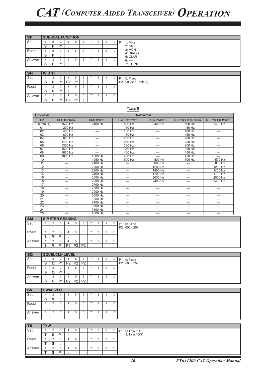| $\overline{\mathsf{S}\mathsf{F}}$ |              |        | <b>SUB-DIAL FUNCTION</b> |   |        |               |        |               |    |                                                                                                                                                                                                                                                                                                                                    |
|-----------------------------------|--------------|--------|--------------------------|---|--------|---------------|--------|---------------|----|------------------------------------------------------------------------------------------------------------------------------------------------------------------------------------------------------------------------------------------------------------------------------------------------------------------------------------|
| Set                               |              |        | 3                        | Ð | 6      |               | 8      | 9             | 10 | P <sub>1</sub><br>1: MHz                                                                                                                                                                                                                                                                                                           |
|                                   | S            |        | P <sub>1</sub>           |   |        |               |        |               |    | $2:$ GRP                                                                                                                                                                                                                                                                                                                           |
| Read                              |              |        | 5.                       |   | 6      |               | 8      | 9             | 10 | 3: MCH                                                                                                                                                                                                                                                                                                                             |
|                                   | S.           | E      |                          |   |        |               |        |               |    | 4: DIAL-B<br>5: CLAR                                                                                                                                                                                                                                                                                                               |
| Answer                            |              |        | $\sim$<br>з              |   | 6      |               | 8      | 9             | 10 | $6:$ ----                                                                                                                                                                                                                                                                                                                          |
|                                   | s            | F      | P <sub>1</sub>           |   |        |               |        |               |    | 7: uTUNE                                                                                                                                                                                                                                                                                                                           |
|                                   |              |        |                          |   |        |               |        |               |    |                                                                                                                                                                                                                                                                                                                                    |
| <b>SH</b>                         | <b>WIDTH</b> |        |                          |   |        |               |        |               |    |                                                                                                                                                                                                                                                                                                                                    |
| $\sim$                            |              | $\sim$ | $\sim$                   |   | $\sim$ | $\rightarrow$ | $\sim$ | $\sim$ $\sim$ |    | $\mathbf{A} \mathbf{A}$ $\mathbf{A}$ $\mathbf{A}$ $\mathbf{A}$ $\mathbf{A}$ $\mathbf{A}$ $\mathbf{A}$ $\mathbf{A}$ $\mathbf{A}$ $\mathbf{A}$ $\mathbf{A}$ $\mathbf{A}$ $\mathbf{A}$ $\mathbf{A}$ $\mathbf{A}$ $\mathbf{A}$ $\mathbf{A}$ $\mathbf{A}$ $\mathbf{A}$ $\mathbf{A}$ $\mathbf{A}$ $\mathbf{A}$ $\mathbf{A}$ $\mathbf{A}$ |

| .      | .      |   |                |    |                |   |   |   |    |                     |
|--------|--------|---|----------------|----|----------------|---|---|---|----|---------------------|
| Set    |        | 2 | 3              |    | 5              | 6 | 8 | 9 | 10 | P1 0: Fixed         |
|        | S      | н | D1             | מח | P2             | ٠ |   |   |    | P2 00 (See Table 5) |
| Read   |        | 2 | 3              | 4  | 5              | 6 | 8 | 9 | 10 |                     |
|        | S      | н | D <sub>1</sub> |    |                |   |   |   |    |                     |
| Answer |        | 2 | 3              |    | 5              | 6 | 8 | 9 | 10 |                     |
|        | ິ<br>a | н | D1             | מח | P <sub>2</sub> | ٠ |   |   |    |                     |

#### **Table 5**

| <b>COMMAND</b>  |                          |                                  |                          | <b>BANDWIDTH</b>         |                          |                          |
|-----------------|--------------------------|----------------------------------|--------------------------|--------------------------|--------------------------|--------------------------|
| P <sub>2</sub>  | SSB (Narrow)             | SSB (Wide)                       | CW (Narrow)              | CW (Wide)                | RTTY/PSK (Narrow)        | RTTY/PSK (Wide)          |
| 00 (Default)    | 1500 Hz                  | 2400 Hz                          | 500 Hz                   | 2400 Hz                  | 500 Hz                   | 2400 Hz                  |
| 01              | 200 Hz                   | $\overline{\phantom{0}}$         | $50$ Hz                  | $\overline{\phantom{0}}$ | $50$ Hz                  | —                        |
| 02              | 400 Hz                   | $\qquad \qquad -$                | 100 Hz                   | $\overline{\phantom{0}}$ | 100 Hz                   | $\overline{\phantom{0}}$ |
| $\overline{03}$ | 600 Hz                   | —                                | 150 Hz                   | -                        | 150 Hz                   | —                        |
| 04              | 850 Hz                   | $\overbrace{\phantom{12322111}}$ | 200 Hz                   | $\overline{\phantom{0}}$ | 200 Hz                   | —                        |
| 0 <sub>5</sub>  | 1100 Hz                  | —                                | 250 Hz                   | $\overline{\phantom{0}}$ | 250 Hz                   |                          |
| 06              | 1350 Hz                  | —                                | 300 Hz                   | -                        | 300 Hz                   | —                        |
| 07              | 1500 Hz                  | $\overline{\phantom{0}}$         | 350 Hz                   | —                        | 350 Hz                   |                          |
| 08              | 1650 Hz                  |                                  | 400 Hz                   |                          | 400 Hz                   | —                        |
| 09              | 1800 Hz                  | 1800 Hz                          | 450 Hz                   | —                        | 450 Hz                   | —                        |
| 10              |                          | 1950 Hz                          | 500 Hz                   | 500 Hz                   | 500 Hz                   | 500 Hz                   |
| 11              | —                        | 2100 Hz                          | $\overline{\phantom{0}}$ | 800 Hz                   | $\overline{\phantom{0}}$ | 800 Hz                   |
| $\overline{12}$ | $\overline{\phantom{0}}$ | 2200 Hz                          | $\overline{\phantom{0}}$ | 1200 Hz                  |                          | 1200 Hz                  |
| 13              | —                        | 2300 Hz                          | —                        | 1400 Hz                  |                          | 1400 Hz                  |
| 14              |                          | 2400 Hz                          |                          | 1700 Hz                  |                          | 1700 Hz                  |
| 15              |                          | 2500 Hz                          | —                        | 2000 Hz                  | —                        | 2000 Hz                  |
| 16              | —                        | 2600 Hz                          | $\overline{\phantom{0}}$ | 2400 Hz                  | $\overline{\phantom{0}}$ | 2400 Hz                  |
| 17              | -                        | 2700 Hz                          | —                        |                          | —                        |                          |
| 18              | -                        | 2800 Hz                          | -                        | —                        | -                        |                          |
| 19              | $\overline{\phantom{0}}$ | 2900 Hz                          |                          |                          |                          | —                        |
| $\overline{20}$ | —                        | 3000 Hz                          | —                        | —                        | —                        | --                       |
| $\overline{21}$ | —                        | 3200 Hz                          | —                        | -                        | —                        |                          |
| 22              |                          | 3400 Hz                          | —                        | —                        | -                        |                          |
| $\overline{23}$ | -                        | 3600 Hz                          | -                        | -                        | —                        |                          |
| $\overline{24}$ |                          | 3800 Hz                          | -                        |                          | -                        |                          |
| 25              |                          | 4000 Hz                          | —                        |                          | —                        |                          |

| <b>SM</b> |        |   |                | <b>S-METER READING</b> |                |                |         |   |    |                            |
|-----------|--------|---|----------------|------------------------|----------------|----------------|---------|---|----|----------------------------|
| Set       |        |   |                |                        |                | 6              | $\circ$ | 9 | 10 | 0: Fixed<br>P <sub>1</sub> |
|           |        |   |                |                        |                |                |         |   |    | P2 000 - 255               |
| Read      |        |   |                |                        |                | 6              |         | 9 | 10 |                            |
|           | ີ<br>G | M | P <sub>1</sub> |                        |                |                |         |   |    |                            |
| Answer    |        |   |                |                        |                | 6              |         | 9 | 10 |                            |
|           | ີ<br>ə | M | P <sub>1</sub> | P <sub>2</sub>         | P <sub>2</sub> | P <sub>2</sub> |         |   |    |                            |

| <b>SQ</b> |   |          | <b>SQUELCLH LEVEL</b> |                |                |                |  |   |    |              |
|-----------|---|----------|-----------------------|----------------|----------------|----------------|--|---|----|--------------|
| Set       |   |          | - 2                   |                | Ð              | 6              |  | 9 | 10 | P1 0: Fixed  |
|           | o | Q        | P <sub>1</sub>        | P <sub>2</sub> | P <sub>2</sub> | P <sub>2</sub> |  |   |    | P2 000 - 255 |
| Read      |   |          | ు                     |                |                | 6              |  | 9 | 10 |              |
|           |   | $\Omega$ | P <sub>1</sub>        |                |                |                |  |   |    |              |
| Answer    |   |          | <b>ن</b>              |                |                | ь              |  | 9 | 10 |              |
|           |   | Q        | P <sub>1</sub>        | P <sub>2</sub> | P <sub>2</sub> | P <sub>2</sub> |  |   |    |              |

| <b>SV</b> | <b>SWAP VFO</b> |              |   |   |   |  |              |    |
|-----------|-----------------|--------------|---|---|---|--|--------------|----|
| Set       |                 | ◠<br>د.      |   | ÷ | b |  | 9            | 10 |
|           | -<br>c          |              |   |   |   |  |              |    |
| Read      |                 | ◠<br>ر.      |   | ÷ | 6 |  | $\mathbf{Q}$ | 10 |
|           |                 |              |   |   |   |  |              |    |
| Answer    |                 | $\sim$<br>ر. | Ð | ÷ | 6 |  | $\mathbf{Q}$ | 10 |
|           |                 |              |   |   |   |  |              |    |

| TS     | <b>TXW</b> |                |                |    |   |  |              |    |                           |
|--------|------------|----------------|----------------|----|---|--|--------------|----|---------------------------|
| ' Set  |            |                | $\sim$<br>- 2  | ÷  | 6 |  | 9            | 10 | 0: TXW "OFF"<br><b>P1</b> |
|        |            | e.<br>P        | P <sub>1</sub> |    |   |  |              |    | 1: TXW "ON"               |
| Read   |            |                | $\sim$<br>- 2  | .b | 6 |  | 9            | 10 |                           |
|        |            | $\sim$<br>c    |                |    |   |  |              |    |                           |
| Answer |            |                | ◠<br>د.        |    | 6 |  | $\mathbf{Q}$ | 10 |                           |
|        |            | $\bullet$<br>o | P <sub>1</sub> |    |   |  |              |    |                           |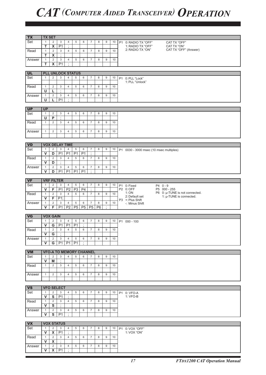| <b>TX</b> | <b>TX SET</b>                |                         |                   |                          |                |                |                                |                |                      |    |                                                        |
|-----------|------------------------------|-------------------------|-------------------|--------------------------|----------------|----------------|--------------------------------|----------------|----------------------|----|--------------------------------------------------------|
|           |                              |                         |                   |                          |                |                |                                |                |                      |    |                                                        |
| Set       | $\mathbf{1}$                 | $\overline{2}$          | 3                 | 4                        | 5              | 6              | $\overline{7}$                 | 8              | 9                    | 10 | P1 0: RADIO TX "OFF"<br>CAT TX "OFF"                   |
|           | T                            | $\overline{\mathbf{x}}$ | P <sub>1</sub>    | $\dddot{.}$              |                |                |                                |                |                      |    | 1: RADIO TX "OFF"<br>CAT TX "ON"                       |
| Read      | $\mathbf{1}$                 | $\overline{2}$          | 3                 | $\overline{4}$           | 5              | 6              | $\overline{7}$                 | 8              | 9                    | 10 | 2: RADIO TX "ON"<br>CAT TX "OFF" (Answer)              |
|           | T                            | X                       | $\ddot{i}$        |                          |                |                |                                |                |                      |    |                                                        |
| Answer    | $\mathbf{1}$                 | 2                       | $\mathsf 3$       | $\overline{4}$           | 5              | 6              | $\overline{7}$                 | 8              | $9\,$                | 10 |                                                        |
|           | T.                           | X                       | P <sub>1</sub>    | $\ddot{\phantom{a}}$     |                |                |                                |                |                      |    |                                                        |
|           |                              |                         |                   |                          |                |                |                                |                |                      |    |                                                        |
| UL        |                              |                         |                   | <b>PLL UNLOCK STATUS</b> |                |                |                                |                |                      |    |                                                        |
| Set       | $\mathbf{1}$                 | $\overline{2}$          | 3                 | $\overline{4}$           | 5              | 6              | $\overline{7}$                 | 8              | 9                    |    |                                                        |
|           |                              |                         |                   |                          |                |                |                                |                |                      | 10 | P1 0: PLL "Lock"                                       |
|           |                              |                         |                   |                          |                |                |                                |                |                      |    | 1: PLL "Unlock"                                        |
| Read      | $\mathbf{1}$                 | $\overline{2}$          | 3                 | $\overline{4}$           | 5              | 6              | $\overline{7}$                 | 8              | 9                    | 10 |                                                        |
|           | U                            | L                       | $\vdots$          |                          |                |                |                                |                |                      |    |                                                        |
| Answer    | $\mathbf{1}$                 | 2                       | 3                 | $\overline{4}$           | 5              | 6              | $\overline{7}$                 | 8              | $9\,$                | 10 |                                                        |
|           | $\overline{U}$               | L                       | P <sub>1</sub>    | ÷                        |                |                |                                |                |                      |    |                                                        |
|           |                              |                         |                   |                          |                |                |                                |                |                      |    |                                                        |
| <b>UP</b> | <b>UP</b>                    |                         |                   |                          |                |                |                                |                |                      |    |                                                        |
| Set       | $\mathbf{1}$                 | 2                       | 3                 | $\overline{4}$           | 5              | 6              | $\overline{7}$                 | 8              | 9                    | 10 |                                                        |
|           | $\overline{U}$               | $\overline{P}$          | $\ddot{\cdot}$    |                          |                |                |                                |                |                      |    |                                                        |
|           |                              |                         |                   |                          |                |                |                                |                |                      |    |                                                        |
| Read      | $\mathbf{1}$                 | 2                       | 3                 | $\overline{4}$           | 5              | 6              | $\overline{7}$                 | 8              | $9\,$                | 10 |                                                        |
|           |                              |                         |                   |                          |                |                |                                |                |                      |    |                                                        |
| Answer    | $\mathbf{1}$                 | $\overline{2}$          | 3                 | $\overline{4}$           | 5              | 6              | $\overline{7}$                 | 8              | 9                    | 10 |                                                        |
|           |                              |                         |                   |                          |                |                |                                |                |                      |    |                                                        |
|           |                              |                         |                   |                          |                |                |                                |                |                      |    |                                                        |
| <b>VD</b> |                              |                         |                   | <b>VOX DELAY TIME</b>    |                |                |                                |                |                      |    |                                                        |
| Set       | $\mathbf{1}$                 | $\overline{2}$          | 3                 | 4                        | 5              | 6              | $\boldsymbol{7}$               | 8              | 9                    | 10 | P1 0030 - 3000 msec (10 msec multiples)                |
|           | $\overline{\mathsf{v}}$      | D                       | P <sub>1</sub>    | P <sub>1</sub>           | P1             | P <sub>1</sub> | $\cdot$                        |                |                      |    |                                                        |
| Read      | $\mathbf{1}$                 | 2                       | 3                 | $\overline{4}$           | 5              | 6              | $\overline{7}$                 | 8              | 9                    | 10 |                                                        |
|           | $\mathsf{v}$                 | D                       | $\ddot{\cdot}$    |                          |                |                |                                |                |                      |    |                                                        |
| Answer    | $\mathbf{1}$                 | $\overline{2}$          | $\mathbf{3}$      | $\overline{4}$           | 5              | 6              | $\overline{7}$                 | 8              | 9                    | 10 |                                                        |
|           | $\overline{\mathsf{v}}$      | D                       | P1                | P1                       | P1             | P <sub>1</sub> | ÷                              |                |                      |    |                                                        |
|           |                              |                         |                   |                          |                |                |                                |                |                      |    |                                                        |
| <b>VF</b> |                              | <b>VRF FILTER</b>       |                   |                          |                |                |                                |                |                      |    |                                                        |
| Set       |                              | 2                       | 3                 | $\overline{4}$           |                |                |                                | 8              | $9\,$                |    |                                                        |
|           | $\mathbf{1}$<br>$\mathsf{V}$ |                         | P <sub>1</sub>    |                          | 5              | 6              | $\overline{7}$                 |                |                      | 10 | P1 0: Fixed<br>$P40 - -9$<br>P2 0: OFF<br>P5 000 - 255 |
|           |                              | F                       |                   | P <sub>2</sub>           | P <sub>3</sub> | P <sub>4</sub> | $\vdots$                       |                |                      |    | 1:ON<br>P6 0: µ-TUNE is not connected.                 |
| Read      | $\mathbf{1}$                 | $\overline{2}$          | 3                 | $\overline{4}$           | 5              | 6              | $\overline{7}$                 | 8              | 9                    | 10 | 2: Default set<br>1: µ-TUNE is connected.              |
|           | $\overline{\mathsf{v}}$      | F                       | P1;               |                          |                |                |                                |                |                      |    | P3 +: Plus Shift                                       |
| Answer    | $\mathbf{1}$                 | $\overline{2}$          | 3                 | $\overline{4}$           | 5              | 6              | $\overline{7}$                 | 8              | $\mathsf g$          | 10 | -: Minus Shift                                         |
|           | $\mathsf{v}$                 | F                       | P <sub>1</sub>    | P <sub>2</sub>           | P5             | P <sub>5</sub> | P5                             | P <sub>6</sub> | $\ddot{\phantom{a}}$ |    |                                                        |
|           |                              |                         |                   |                          |                |                |                                |                |                      |    |                                                        |
| <b>VG</b> |                              | <b>VOX GAIN</b>         |                   |                          |                |                |                                |                |                      |    |                                                        |
| Set       | $\mathbf{1}$                 | $\overline{2}$          | 3                 | $\overline{4}$           | 5              | 6              | $\overline{7}$                 | 8              | 9                    | 10 | P1 000 - 100                                           |
|           | V                            | G                       | P <sub>1</sub>    | P <sub>1</sub>           | P <sub>1</sub> | $\ddot{\cdot}$ |                                |                |                      |    |                                                        |
| Read      | $\mathbf{1}$                 | $\overline{2}$          | 3                 | $\overline{4}$           | 5              | 6              | $\overline{7}$                 | 8              | 9                    | 10 |                                                        |
|           | v                            | G                       |                   |                          |                |                |                                |                |                      |    |                                                        |
| Answer    | $\mathbf{1}$                 | 2                       | 3                 | 4                        | 5              | 6              | $\overline{7}$                 | 8              | 9                    | 10 |                                                        |
|           | V                            | G                       | P1                | P <sub>1</sub>           | <b>P1</b>      | $\cdot$        |                                |                |                      |    |                                                        |
|           |                              |                         |                   |                          |                |                |                                |                |                      |    |                                                        |
| <b>VM</b> |                              |                         |                   |                          |                |                | <b>VFO-A TO MEMORY CHANNEL</b> |                |                      |    |                                                        |
| Set       | $\mathbf{1}$                 | 2                       | 3                 | $\overline{4}$           | 5              | 6              | $\overline{7}$                 | 8              | 9                    | 10 |                                                        |
|           | V                            | M                       |                   |                          |                |                |                                |                |                      |    |                                                        |
| Read      | $\mathbf{1}$                 | 2                       | 3                 | $\overline{4}$           | 5              | 6              | $\overline{7}$                 | 8              | 9                    | 10 |                                                        |
|           |                              |                         |                   |                          |                |                |                                |                |                      |    |                                                        |
|           |                              |                         |                   |                          |                |                |                                |                |                      |    |                                                        |
| Answer    | $\mathbf{1}$                 | 2                       | 3                 | 4                        | 5              | 6              | $\overline{7}$                 | 8              | 9                    | 10 |                                                        |
|           |                              |                         |                   |                          |                |                |                                |                |                      |    |                                                        |
|           |                              |                         | <b>VFO SELECT</b> |                          |                |                |                                |                |                      |    |                                                        |
| <b>VS</b> |                              |                         |                   |                          |                |                |                                |                |                      |    |                                                        |
| Set       | $\mathbf{1}$                 | $\overline{2}$          | 3                 | $\overline{4}$           | 5              | 6              | $\overline{7}$                 | 8              | 9                    | 10 | P1 0: VFO-A                                            |
|           | $\mathsf{V}$                 | S                       | P <sub>1</sub>    | ÷                        |                |                |                                |                |                      |    | 1: VFO-B                                               |
| Read      | $\mathbf{1}$                 | 2                       | 3                 | $\overline{4}$           | 5              | 6              | $\overline{7}$                 | 8              | 9                    | 10 |                                                        |
|           | $\mathsf{V}$                 | S                       | $\cdot$           |                          |                |                |                                |                |                      |    |                                                        |
| Answer    | $\mathbf{1}$                 | 2                       | 3                 | $\overline{4}$           | 5              | 6              | $\overline{7}$                 | 8              | 9                    | 10 |                                                        |
|           | V                            | S                       | P <sub>1</sub>    | $\cdot$                  |                |                |                                |                |                      |    |                                                        |
|           |                              |                         |                   |                          |                |                |                                |                |                      |    |                                                        |
| <b>VX</b> |                              |                         | <b>VOX STATUS</b> |                          |                |                |                                |                |                      |    |                                                        |
| Set       | $\mathbf{1}$                 | 2                       | 3                 | 4                        | 5              | 6              | $\overline{7}$                 | 8              | 9                    | 10 | P1 0: VOX "OFF"                                        |
|           | $\overline{\mathsf{v}}$      | X                       | P <sub>1</sub>    | $\cdot$                  |                |                |                                |                |                      |    | 1: VOX "ON"                                            |
| Read      | $\mathbf{1}$                 | 2                       | 3                 | $\overline{4}$           | 5              | 6              | $\overline{7}$                 | 8              | 9                    | 10 |                                                        |
|           | V                            | X                       | $\dddot{.}$       |                          |                |                |                                |                |                      |    |                                                        |
| Answer    | $\mathbf{1}$                 | $\overline{2}$          | 3                 | $\overline{4}$           | 5              | 6              | $\overline{7}$                 | 8              | 9                    | 10 |                                                        |
|           |                              |                         |                   | ٠                        |                |                |                                |                |                      |    |                                                        |
|           | V                            | X                       | P <sub>1</sub>    |                          |                |                |                                |                |                      |    |                                                        |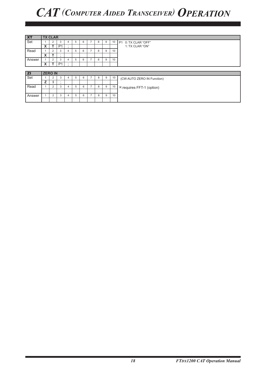| $\overline{\mathbf{X}}$ | <b>TX CLAR</b> |                |                |         |   |   |  |   |   |    |                                  |  |  |
|-------------------------|----------------|----------------|----------------|---------|---|---|--|---|---|----|----------------------------------|--|--|
| Set                     |                | $\overline{2}$ | 3              | 4       | 5 | 6 |  | 8 | 9 | 10 | P1 0: TX CLAR "OFF"              |  |  |
|                         | X              |                | P <sub>1</sub> | ٠       |   |   |  |   |   |    | 1: TX CLAR "ON"                  |  |  |
| Read                    |                | 2              | 3              | 4       | 5 | 6 |  | 8 | 9 | 10 |                                  |  |  |
|                         | X              |                | $\blacksquare$ |         |   |   |  |   |   |    |                                  |  |  |
| Answer                  |                | $\overline{2}$ | 3              | 4       | 5 | 6 |  | 8 | 9 | 10 |                                  |  |  |
|                         | X              |                | P <sub>1</sub> | $\cdot$ |   |   |  |   |   |    |                                  |  |  |
|                         |                |                |                |         |   |   |  |   |   |    |                                  |  |  |
| <b>ZI</b>               | <b>ZERO IN</b> |                |                |         |   |   |  |   |   |    |                                  |  |  |
| Set                     |                | $\overline{2}$ | 3              | 4       | 5 | 6 |  | 8 | 9 | 10 | (CW AUTO ZERO IN Function)       |  |  |
|                         | z              |                | $\bullet$      |         |   |   |  |   |   |    |                                  |  |  |
| Read                    |                | $\overline{2}$ | 3              | 4       | 5 | 6 |  | 8 | 9 | 10 | <b>X:requires FFT-1 (option)</b> |  |  |
|                         |                |                |                |         |   |   |  |   |   |    |                                  |  |  |
|                         |                |                |                |         |   |   |  |   |   |    |                                  |  |  |
| Answer                  |                | 2              | 3              | 4       | 5 | 6 |  | 8 | 9 | 10 |                                  |  |  |